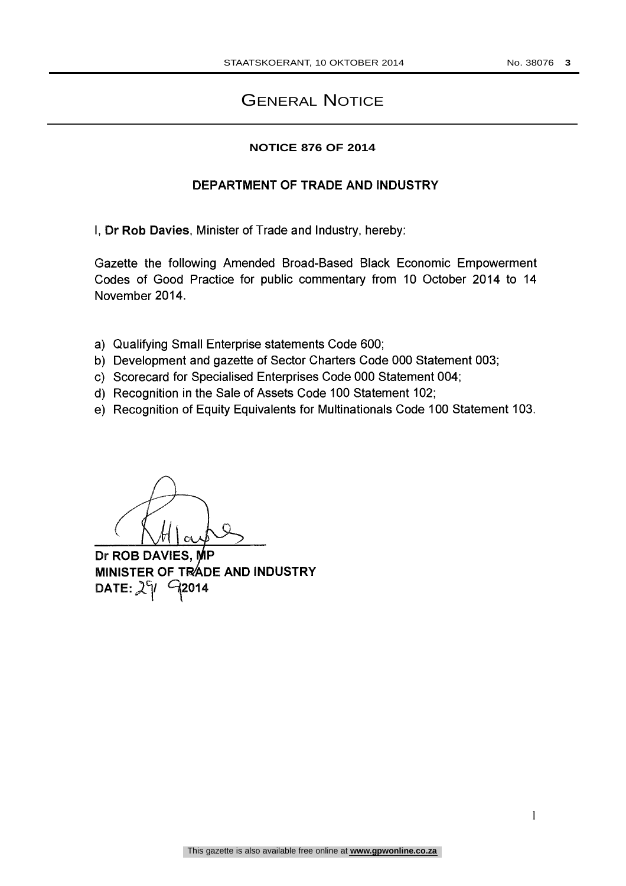## GENERAL NOTICE

## **NOTICE 876 OF 2014**

## DEPARTMENT OF TRADE AND INDUSTRY

I, Dr Rob Davies, Minister of Trade and Industry, hereby:

Gazette the following Amended Broad-Based Black Economic Empowerment Codes of Good Practice for public commentary from 10 October 2014 to 14 November 2014.

- a) Qualifying Small Enterprise statements Code 600;
- b) Development and gazette of Sector Charters Code 000 Statement 003;
- c) Scorecard for Specialised Enterprises Code 000 Statement 004;
- d) Recognition in the Sale of Assets Code 100 Statement 102;
- e) Recognition of Equity Equivalents for Multinationals Code 100 Statement 103.

Dr ROB DAVIES, MP MINISTER OF TRADE AND INDUSTRY  $DATE: 29$  G2014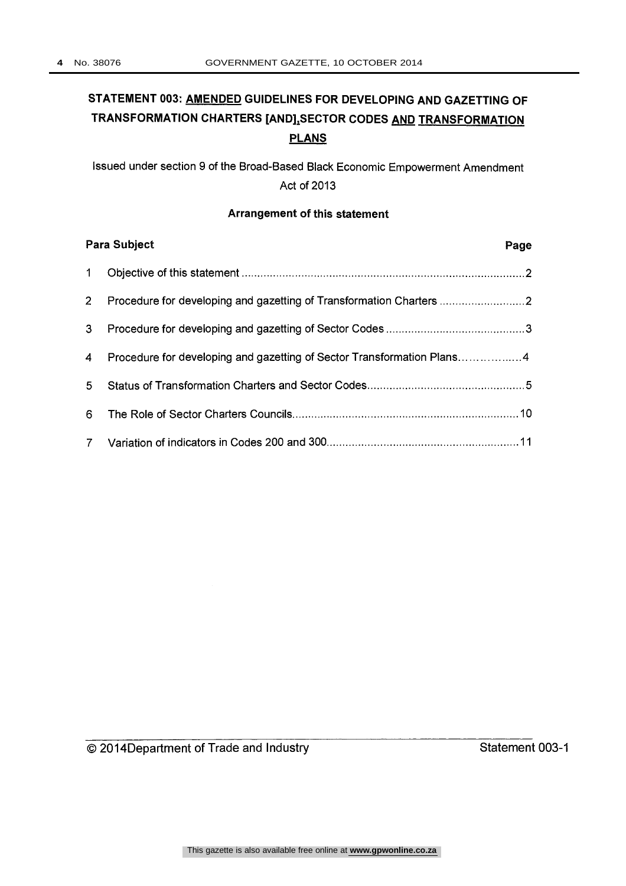# STATEMENT 003: AMENDED GUIDELINES FOR DEVELOPING AND GAZETTING OF TRANSFORMATION CHARTERS [AND], SECTOR CODES AND TRANSFORMATION PLANS

Issued under section 9 of the Broad-Based Black Economic Empowerment Amendment Act of 2013

## Arrangement of this statement

| <b>Para Subject</b> |                                                                        | Page |
|---------------------|------------------------------------------------------------------------|------|
| $\mathbf 1$         |                                                                        |      |
| 2                   | Procedure for developing and gazetting of Transformation Charters      |      |
| 3                   |                                                                        |      |
| 4                   | Procedure for developing and gazetting of Sector Transformation Plans4 |      |
| 5                   |                                                                        |      |
| 6                   |                                                                        |      |
|                     |                                                                        |      |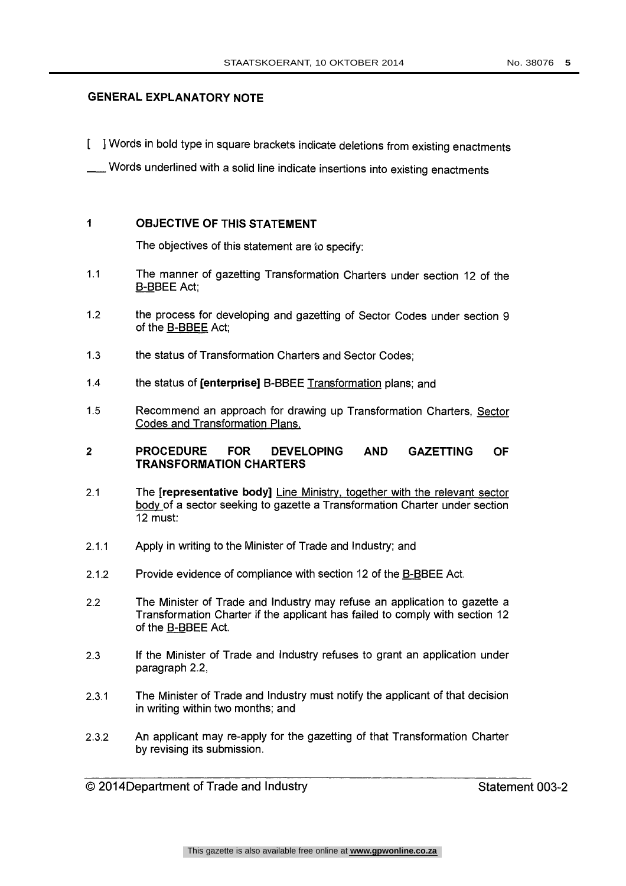## GENERAL EXPLANATORY NOTE

[ ] Words in bold type in square brackets indicate deletions from existing enactments

Words underlined with a solid line indicate insertions into existing enactments

## <sup>1</sup> OBJECTIVE OF THIS STATEMENT

The objectives of this statement are to specify:

- 1.1 The manner of gazetting Transformation Charters under section 12 of the B-BBEE Act;
- 1.2 the process for developing and gazetting of Sector Codes under section 9 of the B-BBEE Act;
- 1.3 the status of Transformation Charters and Sector Codes;
- 1.4 the status of [enterprise] B-BBEE Transformation plans; and
- 1.5 Recommend an approach for drawing up Transformation Charters, Sector Codes and Transformation Plans.

## 2 PROCEDURE FOR DEVELOPING AND GAZETTING OF TRANSFORMATION CHARTERS

- 2.1 The [representative body] Line Ministry, together with the relevant sector body of a sector seeking to gazette a Transformation Charter under section 12 must:
- 2.1.1 Apply in writing to the Minister of Trade and Industry; and
- 2.1.2 Provide evidence of compliance with section 12 of the B-BBEE Act.
- 2.2 The Minister of Trade and Industry may refuse an application to gazette a Transformation Charter if the applicant has failed to comply with section 12 of the B-BBEE Act.
- 2.3 If the Minister of Trade and Industry refuses to grant an application under paragraph 2.2,
- 2.3.1 The Minister of Trade and Industry must notify the applicant of that decision in writing within two months; and
- 2.3.2 An applicant may re-apply for the gazetting of that Transformation Charter by revising its submission.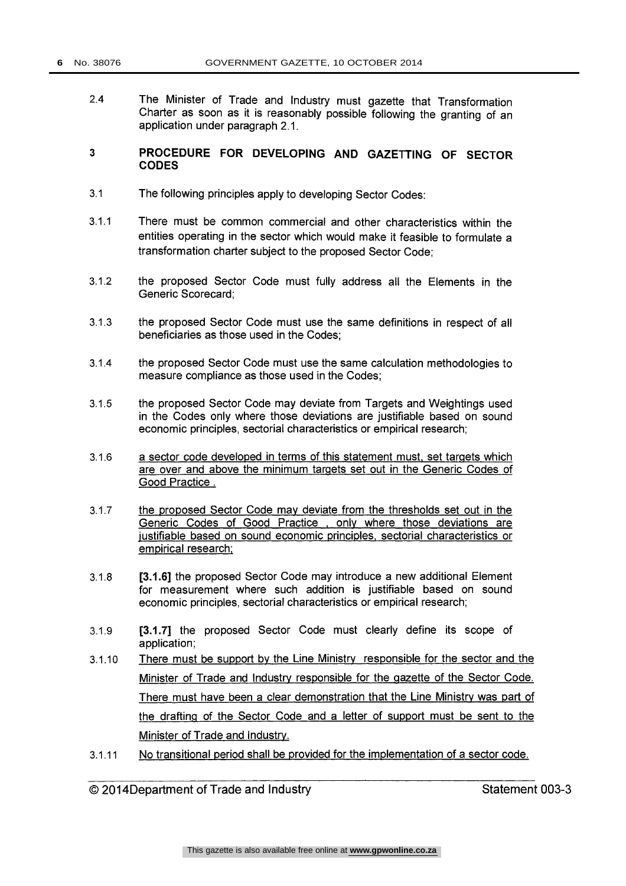2.4 The Minister of Trade and Industry must gazette that Transformation Charter as soon as it is reasonably possible following the granting of an application under paragraph 2.1.

## <sup>3</sup> PROCEDURE FOR DEVELOPING AND GAZETTING OF SECTOR CODES

- 3.1 The following principles apply to developing Sector Codes:
- 3.1.1 There must be common commercial and other characteristics within the entities operating in the sector which would make it feasible to formulate a transformation charter subject to the proposed Sector Code;
- 3.1.2 the proposed Sector Code must fully address all the Elements in the Generic Scorecard;
- 3.1.3 the proposed Sector Code must use the same definitions in respect of all beneficiaries as those used in the Codes;
- 3.1.4 the proposed Sector Code must use the same calculation methodologies to measure compliance as those used in the Codes;
- 3.1.5 the proposed Sector Code may deviate from Targets and Weightings used in the Codes only where those deviations are justifiable based on sound economic principles, sectorial characteristics or empirical research;
- 3.1.6 a sector code developed in terms of this statement must, set targets which are over and above the minimum targets set out in the Generic Codes of Good Practice .
- 3.1.7 the proposed Sector Code may deviate from the thresholds set out in the Generic Codes of Good Practice , only where those deviations are justifiable based on sound economic principles, sectorial characteristics or empirical research;
- 3.1.8 [3.1.6] the proposed Sector Code may introduce a new additional Element for measurement where such addition is justifiable based on sound economic principles, sectorial characteristics or empirical research;
- 3.1.9 [3.1.7] the proposed Sector Code must clearly define its scope of application;
- 3.1.10 There must be support by the Line Ministry responsible for the sector and the Minister of Trade and Industry responsible for the gazette of the Sector Code. There must have been a clear demonstration that the Line Ministry was part of the drafting of the Sector Code and a letter of support must be sent to the Minister of Trade and Industry.
- 3.1.11 No transitional period shall be provided for the implementation of a sector code.

© 2014Department of Trade and Industry example the Statement 003-3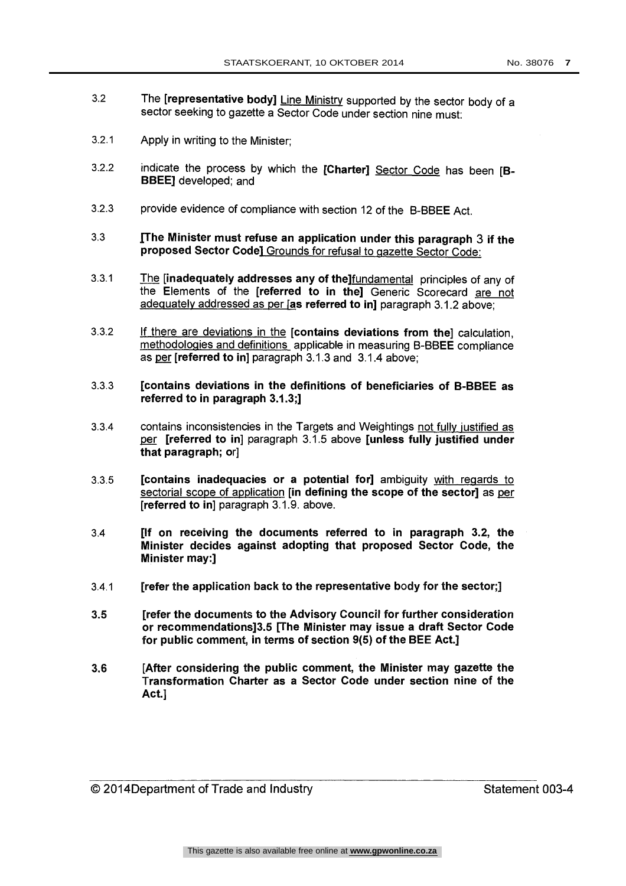- 3.2 The [representative body] Line Ministry supported by the sector body of a sector seeking to gazette a Sector Code under section nine must:
- 3.2.1 Apply in writing to the Minister;
- 3.2.2 indicate the process by which the [Charter] Sector Code has been [B-<br>BBEEI developed: and
- 3.2.3 provide evidence of compliance with section 12 of the B-BBEE Act.
- 3.3 The Minister must refuse an application under this paragraph 3 if the proposed Sector Code] Grounds for refusal to gazette Sector Code:
- 3.3.1 The [inadequately addresses any of the]fundamental principles of any of the Elements of the [referred to in the] Generic Scorecard are not adequately addressed as per [as referred to in] paragraph 3.1.2 above;
- 3.3.2 If there are deviations in the [contains deviations from the] calculation, methodologies and definitions applicable in measuring B-BBEE compliance as per [referred to in] paragraph 3.1.3 and 3.1.4 above;
- 3.3.3 [contains deviations in the definitions of beneficiaries of B-BBEE as referred to in paragraph 3.1.3;]
- 3.3.4 contains inconsistencies in the Targets and Weightings not fully justified as per [referred to in] paragraph 3.1.5 above [unless fully justified under that paragraph; or]
- 3.3.5 [contains inadequacies or a potential for] ambiguity with regards to sectorial scope of application [in defining the scope of the sector] as per [referred to in] paragraph 3.1.9. above.
- 3.4 [If on receiving the documents referred to in paragraph 3.2, the Minister decides against adopting that proposed Sector Code, the Minister may:]
- 3.4.1 [refer the application back to the representative body for the sector;]
- 3.5 [refer the documents to the Advisory Council for further consideration or recommendations]3.5 [The Minister may issue a draft Sector Code for public comment, in terms of section 9(5) of the BEE Act.]
- 3.6 [After considering the public comment, the Minister may gazette the Transformation Charter as a Sector Code under section nine of the Act.]

© 2014Department of Trade and Industry example the statement 003-4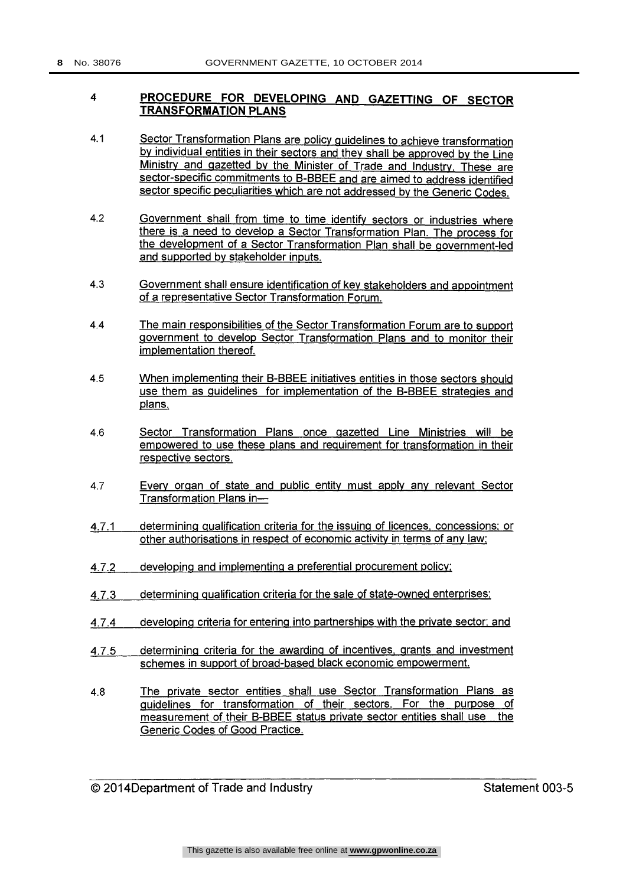## 4 PROCEDURE FOR DEVELOPING AND GAZETTING OF SECTOR TRANSFORMATION PLANS

- 4.1 Sector Transformation Plans are policy guidelines to achieve transformation by individual entities in their sectors and they shall be approved by the Line Ministry and gazetted by the Minister of Trade and Industry. These are sector-specific commitments to B-BBEE and are aimed to address identified sector specific peculiarities which are not addressed by the Generic Codes.
- 4.2 Government shall from time to time identify sectors or industries where there is a need to develop a Sector Transformation Plan. The process for the development of a Sector Transformation Plan shall be government-led and supported by stakeholder inputs.
- 4.3 Government shall ensure identification of key stakeholders and appointment of a representative Sector Transformation Forum.
- 4.4 The main responsibilities of the Sector Transformation Forum are to support government to develop Sector Transformation Plans and to monitor their implementation thereof.
- 4.5 When implementing their B-BBEE initiatives entities in those sectors should use them as guidelines for implementation of the B-BBEE strategies and plans.
- 4.6 Sector Transformation Plans once gazetted Line Ministries will be empowered to use these plans and requirement for transformation in their respective sectors.
- 4.7 Every organ of state and public entity must apply any relevant Sector Transformation Plans in-
- 4.7.1 determining qualification criteria for the issuing of licences, concessions; or other authorisations in respect of economic activity in terms of any law;
- 4.7.2 developing and implementing a preferential procurement policy;
- 4.7.3 determining qualification criteria for the sale of state-owned enterprises;
- 4.7.4 developing criteria for entering into partnerships with the private sector; and
- 4.7.5 determining criteria for the awarding of incentives, grants and investment schemes in support of broad-based black economic empowerment.
- 4.8 The private sector entities shall use Sector Transformation Plans as guidelines for transformation of their sectors. For the purpose of measurement of their B-BBEE status private sector entities shall use the Generic Codes of Good Practice.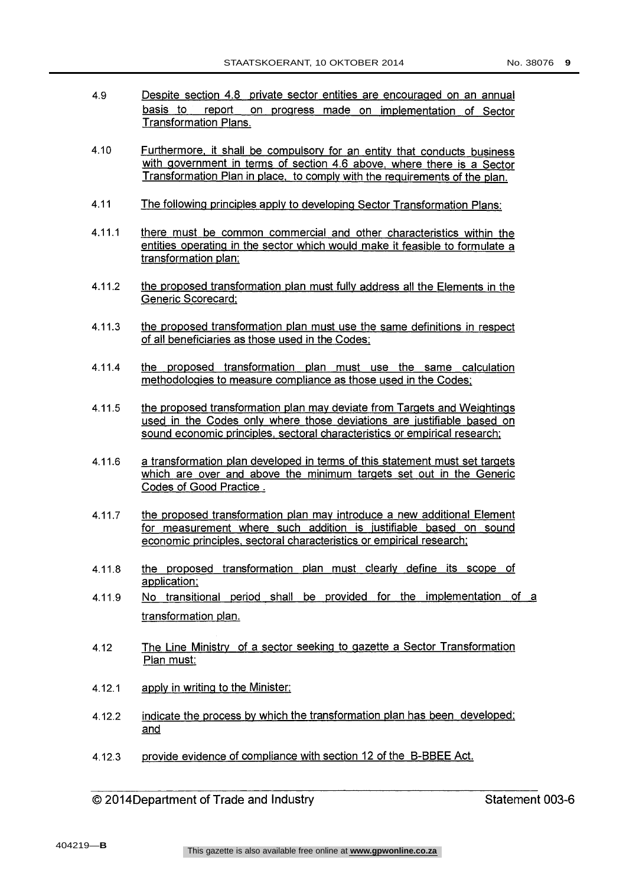- 4.9 Despite section 4.8 private sector entities are encouraged on an annual basis to report on progress made on implementation of Sector Transformation Plans.
- 4.10 Furthermore, it shall be compulsory for an entity that conducts business with government in terms of section 4.6 above, where there is a Sector Transformation Plan in place, to comply with the requirements of the plan.
- 4.11 The following principles apply to developing Sector Transformation Plans:
- 4.11.1 there must be common commercial and other characteristics within the entities operating in the sector which would make it feasible to formulate a transformation plan;
- 4.11.2 the proposed transformation plan must fully address all the Elements in the Generic Scorecard;
- 4.11.3 the proposed transformation plan must use the same definitions in respect of all beneficiaries as those used in the Codes;
- 4.11.4 the proposed transformation plan must use the same calculation methodologies to measure compliance as those used in the Codes;
- 4.11.5 the proposed transformation plan may deviate from Targets and Weightings used in the Codes only where those deviations are justifiable based on sound economic principles, sectoral characteristics or empirical research;
- 4.11.6 a transformation plan developed in terms of this statement must set targets which are over and above the minimum targets set out in the Generic Codes of Good Practice .
- 4.11.7 the proposed transformation plan may introduce a new additional Element for measurement where such addition is justifiable based on sound economic principles, sectoral characteristics or empirical research;
- 4.11.8 the proposed transformation plan must clearly define its scope of application;
- 4.11.9 No transitional period shall be provided for the implementation of a transformation plan.
- 4.12 The Line Ministry of a sector seeking to gazette a Sector Transformation Plan must:
- 4.12.1 apply in writing to the Minister;
- 4.12.2 indicate the process by which the transformation plan has been developed; and
- 4.12.3 provide evidence of compliance with section 12 of the B-BBEE Act.

© 2014Department of Trade and Industry example the Statement 003-6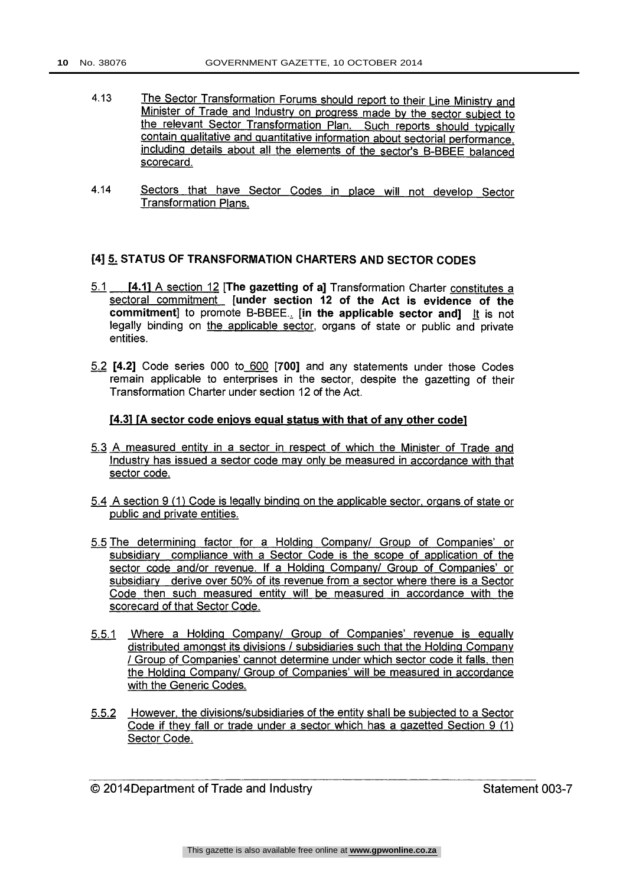- 4.13 The Sector Transformation Forums should report to their Line Ministry and Minister of Trade and Industry on progress made by the sector subject to the relevant Sector Transformation Plan. Such reports should typically contain qualitative and quantitative information about sectorial performance, including details about all the elements of the sector's B-BBEE balanced scorecard.
- 4.14 Sectors that have Sector Codes in place will not develop Sector Transformation Plans.

## [4] 5. STATUS OF TRANSFORMATION CHARTERS AND SECTOR CODES

- 5.1 [4.1] A section 12 [The gazetting of a] Transformation Charter constitutes a sectoral commitment [under section 12 of the Act is evidence of the commitment] to promote B-BBEE., [in the applicable sector and] It is not legally binding on the applicable sector, organs of state or public and private entities.
- 5.2 [4.2] Code series 000 to 600 [700] and any statements under those Codes remain applicable to enterprises in the sector, despite the gazetting of their Transformation Charter under section 12 of the Act.

## 14.31 IA sector code enjoys equal status with that of any other codel

- 5.3 A measured entity in a sector in respect of which the Minister of Trade and Industry has issued a sector code may only be measured in accordance with that sector code.
- 5.4 A section 9 (1) Code is legally binding on the applicable sector, organs of state or public and private entities.
- 5.5 The determining factor for a Holding Company/ Group of Companies' or subsidiary compliance with a Sector Code is the scope of application of the sector code and/or revenue. If a Holding Company/ Group of Companies' or subsidiary derive over 50% of its revenue from a sector where there is a Sector Code then such measured entity will be measured in accordance with the scorecard of that Sector Code.
- 5.5.1 Where a Holding Company/ Group of Companies' revenue is equally distributed amongst its divisions / subsidiaries such that the Holding Company / Group of Companies' cannot determine under which sector code it falls, then the Holding Company/ Group of Companies' will be measured in accordance with the Generic Codes.
- 5.5.2 However, the divisions/subsidiaries of the entity shall be subjected to a Sector Code if they fall or trade under a sector which has a gazetted Section 9 (1) Sector Code.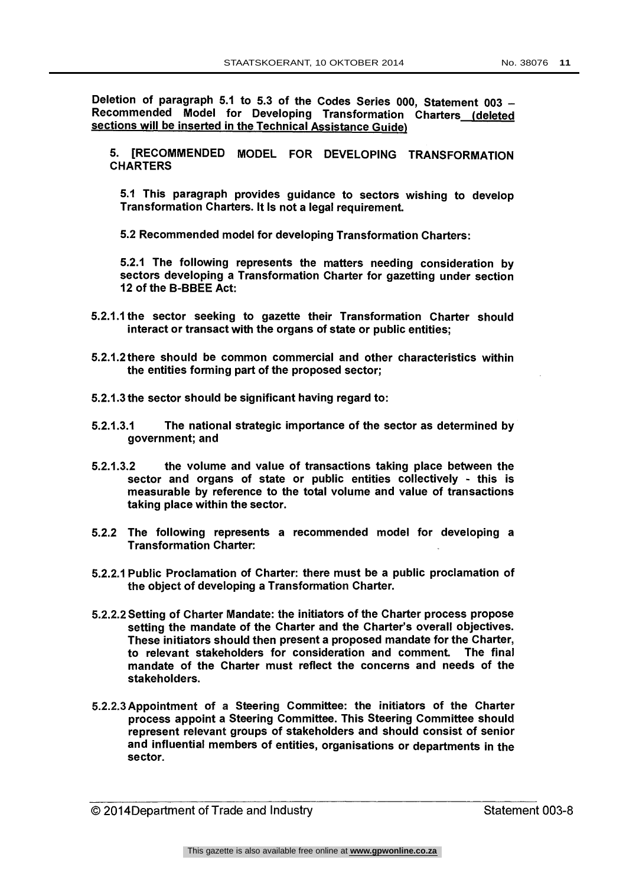Deletion of paragraph 5.1 to 5.3 of the Codes Series 000. Statement 003 -Recommended Model for Developing Transformation Charters (deleted sections will be inserted in the Technical Assistance Guide)

5. [RECOMMENDED MODEL FOR DEVELOPING TRANSFORMATION CHARTERS

5.1 This paragraph provides guidance to sectors wishing to develop Transformation Charters. It Is not a legal requirement.

5.2 Recommended model for developing Transformation Charters:

5.2.1 The following represents the matters needing consideration by sectors developing a Transformation Charter for gazetting under section 12 of the B-BBEE Act:

- 5.2.1.1 the sector seeking to gazette their Transformation Charter should interact or transact with the organs of state or public entities;
- 5.2.1.2 there should be common commercial and other characteristics within the entities forming part of the proposed sector;
- 5.2.1.3 the sector should be significant having regard to:
- 5.2.1.3.1 The national strategic importance of the sector as determined by government; and
- 5.2.1.3.2 the volume and value of transactions taking place between the sector and organs of state or public entities collectively - this is measurable by reference to the total volume and value of transactions taking place within the sector.
- 5.2.2 The following represents a recommended model for developing a Transformation Charter:
- 5.2.2.1 Public Proclamation of Charter: there must be a public proclamation of the object of developing a Transformation Charter.
- 5.2.2.2 Setting of Charter Mandate: the initiators of the Charter process propose setting the mandate of the Charter and the Charter's overall objectives. These initiators should then present a proposed mandate for the Charter, to relevant stakeholders for consideration and comment. The final mandate of the Charter must reflect the concerns and needs of the stakeholders.
- 5.2.2.3 Appointment of a Steering Committee: the initiators of the Charter process appoint a Steering Committee. This Steering Committee should represent relevant groups of stakeholders and should consist of senior and influential members of entities, organisations or departments in the sector.

<sup>© 2014</sup>Department of Trade and Industry Statement 003-8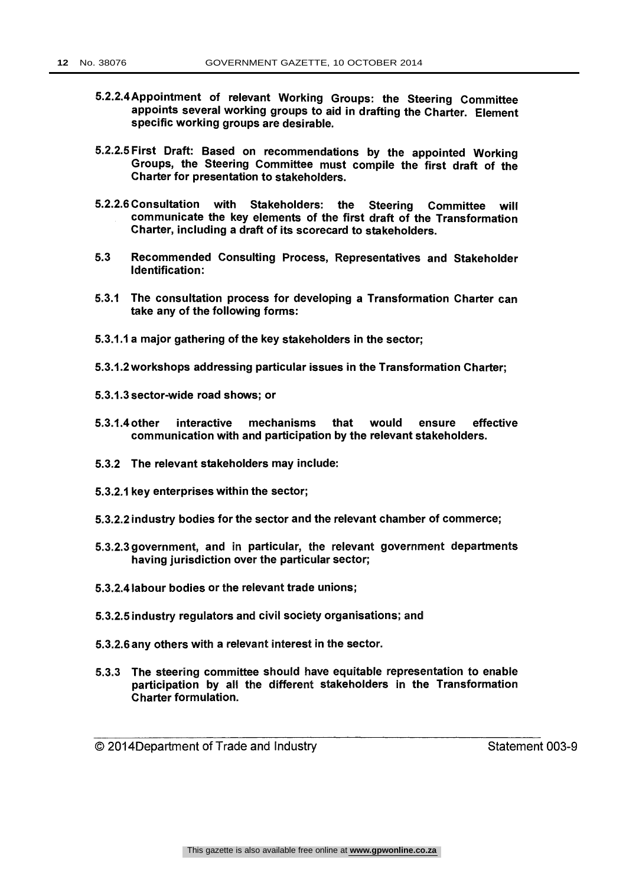- 5.2.2.4 Appointment of relevant Working Groups: the Steering Committee appoints several working groups to aid in drafting the Charter. Element specific working groups are desirable.
- 5.2.2.5 First Draft: Based on recommendations by the appointed Working Groups, the Steering Committee must compile the first draft of the Charter for presentation to stakeholders.
- 5.2.2.6 Consultation with Stakeholders: the Steering Committee will communicate the key elements of the first draft of the Transformation Charter, including a draft of its scorecard to stakeholders.
- 5.3 Recommended Consulting Process, Representatives and Stakeholder Identification:
- 5.3.1 The consultation process for developing a Transformation Charter can take any of the following forms:
- 5.3.1.1 a major gathering of the key stakeholders in the sector;
- 5.3.1.2workshops addressing particular issues in the Transformation Charter;
- 5.3.1.3 sector-wide road shows; or
- 6.3.1.4 other interactive mechanisms that would ensure effective communication with and participation by the relevant stakeholders.
- 5.3.2 The relevant stakeholders may include:
- 5.3.2.1 key enterprises within the sector;
- 5.3.2.2 industry bodies for the sector and the relevant chamber of commerce;
- 5.3.2.3 government, and in particular, the relevant government departments having jurisdiction over the particular sector;
- 5.3.2.4 labour bodies or the relevant trade unions;
- 5.3.2.5 industry regulators and civil society organisations; and
- 5.3.2.6 any others with a relevant interest in the sector.
- 5.3.3 The steering committee should have equitable representation to enable participation by all the different stakeholders in the Transformation Charter formulation.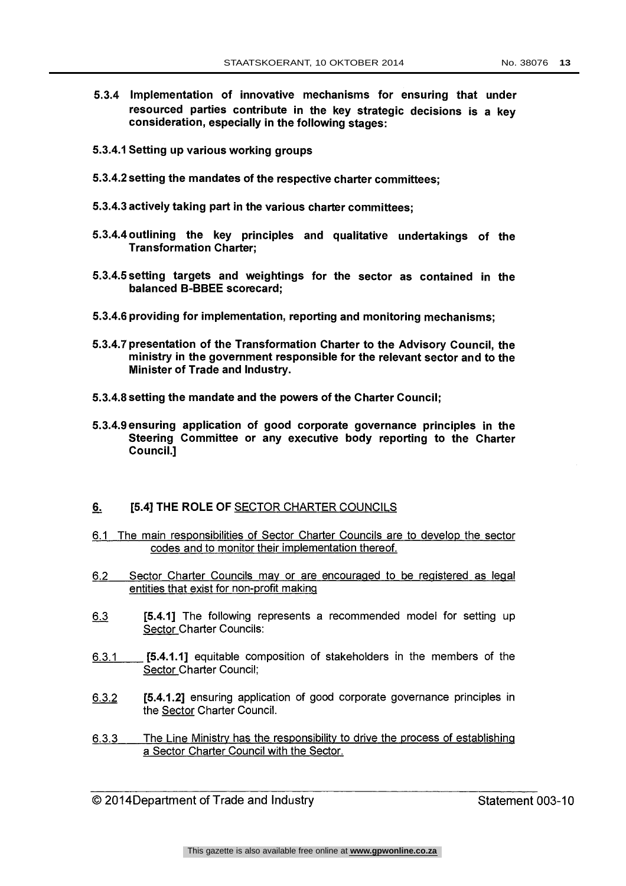- 5.3.4 Implementation of innovative mechanisms for ensuring that under resourced parties contribute in the key strategic decisions is a key consideration, especially in the following stages:
- 5.3.4.1 Setting up various working groups
- 5.3.4.2 setting the mandates of the respective charter committees;
- 5.3.4.3 actively taking part in the various charter committees;
- 5.3.4.4 outlining the key principles and qualitative undertakings of the Transformation Charter;
- 5.3.4.5setting targets and weightings for the sector as contained in the balanced B-BBEE scorecard;
- 5.3.4.6 providing for implementation, reporting and monitoring mechanisms;
- 5.3.4.7 presentation of the Transformation Charter to the Advisory Council, the ministry in the government responsible for the relevant sector and to the Minister of Trade and Industry.
- 5.3.4.8 setting the mandate and the powers of the Charter Council;
- 5.3.4.9 ensuring application of good corporate governance principles in the Steering Committee or any executive body reporting to the Charter Council.]

## 6. [5.4] THE ROLE OF SECTOR CHARTER COUNCILS

- 6.1 The main responsibilities of Sector Charter Councils are to develop the sector codes and to monitor their implementation thereof.
- 6.2 Sector Charter Councils may or are encouraged to be registered as legal entities that exist for non-profit making
- 6.3 [5.4.1] The following represents a recommended model for setting up Sector Charter Councils:
- 6.3.1 [5.4.1.1] equitable composition of stakeholders in the members of the Sector Charter Council;
- 6.3.2 [5.4.1.2] ensuring application of good corporate governance principles in the Sector Charter Council.
- 6.3.3 The Line Ministry has the responsibility to drive the process of establishing a Sector Charter Council with the Sector.

© 2014Department of Trade and Industry example the Statement 003-10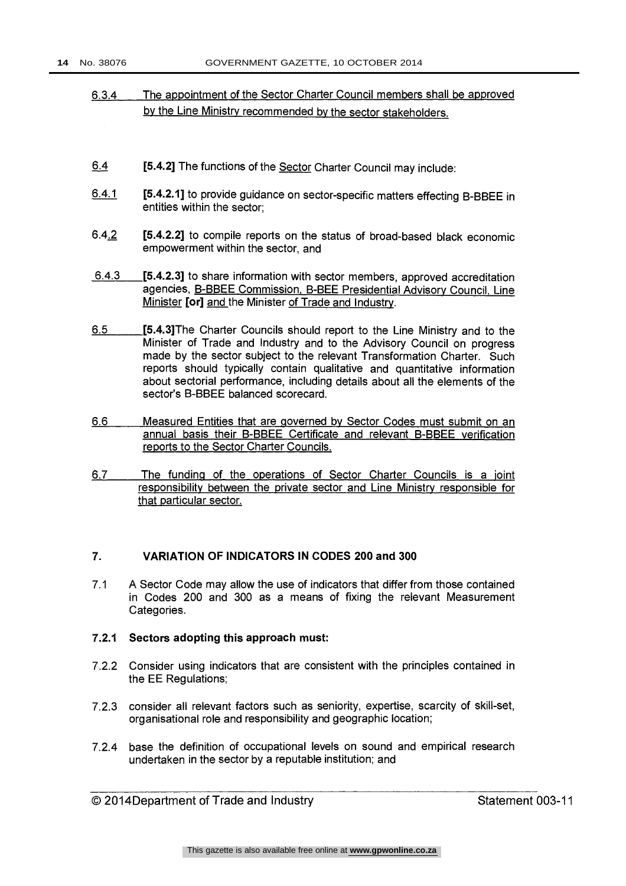- 6.3.4 The appointment of the Sector Charter Council members shall be approved by the Line Ministry recommended by the sector stakeholders.
- 6.4 **[5.4.2]** The functions of the Sector Charter Council may include:
- 6.4.1 [5.4.2.1] to provide guidance on sector-specific matters effecting B-BBEE in entities within the sector;
- 6.4.2 **[5.4.2.2]** to compile reports on the status of broad-based black economic empowerment within the sector, and
- 6.4.3 [5.4.2.3] to share information with sector members, approved accreditation agencies, B-BBEE Commission, B-BEE Presidential Advisory Council, Line Minister [or] and the Minister of Trade and Industry.
- 6.5 [5.4.3]The Charter Councils should report to the Line Ministry and to the Minister of Trade and Industry and to the Advisory Council on progress made by the sector subject to the relevant Transformation Charter. Such reports should typically contain qualitative and quantitative information about sectorial performance, including details about all the elements of the sector's B-BBEE balanced scorecard.
- 6.6 Measured Entities that are governed by Sector Codes must submit on an annual basis their B-BBEE Certificate and relevant B-BBEE verification reports to the Sector Charter Councils.
- 6.7 The funding of the operations of Sector Charter Councils is a joint responsibility between the private sector and Line Ministry responsible for that particular sector.

## 7. VARIATION OF INDICATORS IN CODES 200 and 300

7.1 A Sector Code may allow the use of indicators that differ from those contained in Codes 200 and 300 as a means of fixing the relevant Measurement Categories.

## 7.2.1 Sectors adopting this approach must:

- 7.2.2 Consider using indicators that are consistent with the principles contained in the EE Regulations;
- 7.2.3 consider all relevant factors such as seniority, expertise, scarcity of skill-set, organisational role and responsibility and geographic location;
- 7.2.4 base the definition of occupational levels on sound and empirical research undertaken in the sector by a reputable institution; and

© 2014Department of Trade and Industry example the Statement 003-11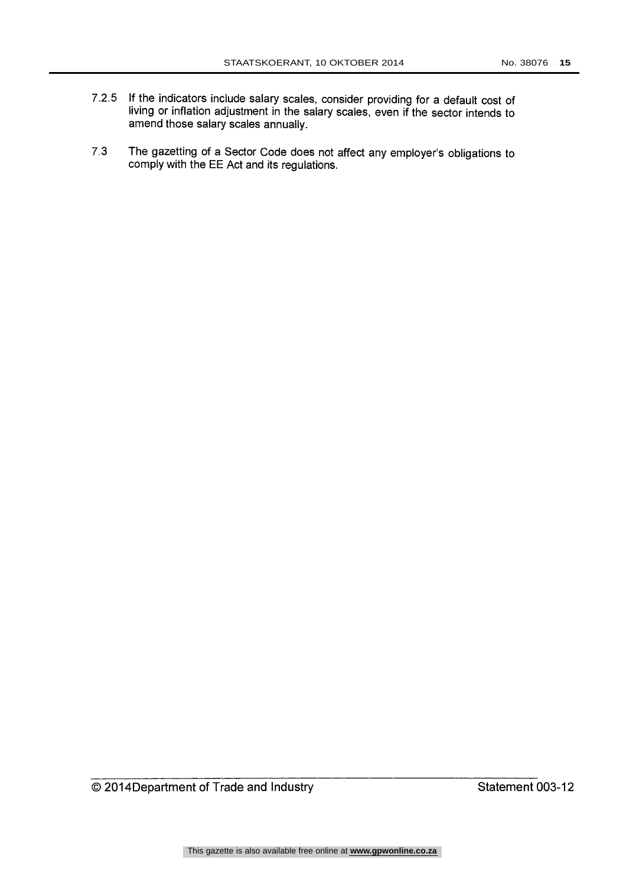- 7.2.5 If the indicators include salary scales, consider providing for a default cost of living or inflation adjustment in the salary scales, even if the sector intends to amend those salary scales annually.
- 7.3 The gazetting of a Sector Code does not affect any employer's obligations to comply with the EE Act and its regulations.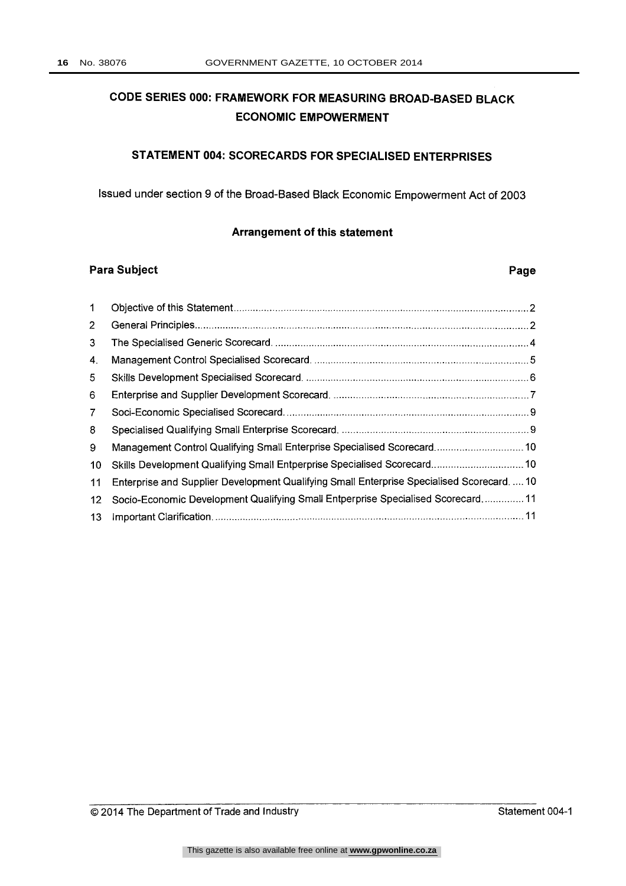## CODE SERIES 000: FRAMEWORK FOR MEASURING BROAD-BASED BLACK ECONOMIC EMPOWERMENT

## STATEMENT 004: SCORECARDS FOR SPECIALISED ENTERPRISES

Issued under section 9 of the Broad-Based Black Economic Empowerment Act of 2003

## Arrangement of this statement

## Para Subject **Para Subject** Page 2014

| $\mathbf 1$    |                                                                                            |  |
|----------------|--------------------------------------------------------------------------------------------|--|
| $\overline{2}$ |                                                                                            |  |
| 3              |                                                                                            |  |
| 4.             |                                                                                            |  |
| 5              |                                                                                            |  |
| 6              |                                                                                            |  |
| $\overline{7}$ |                                                                                            |  |
| 8              |                                                                                            |  |
| 9              | Management Control Qualifying Small Enterprise Specialised Scorecard 10                    |  |
| 10             | Skills Development Qualifying Small Entperprise Specialised Scorecard 10                   |  |
| 11             | Enterprise and Supplier Development Qualifying Small Enterprise Specialised Scorecard.  10 |  |
| 12             | Socio-Economic Development Qualifying Small Entperprise Specialised Scorecard 11           |  |
| 13             |                                                                                            |  |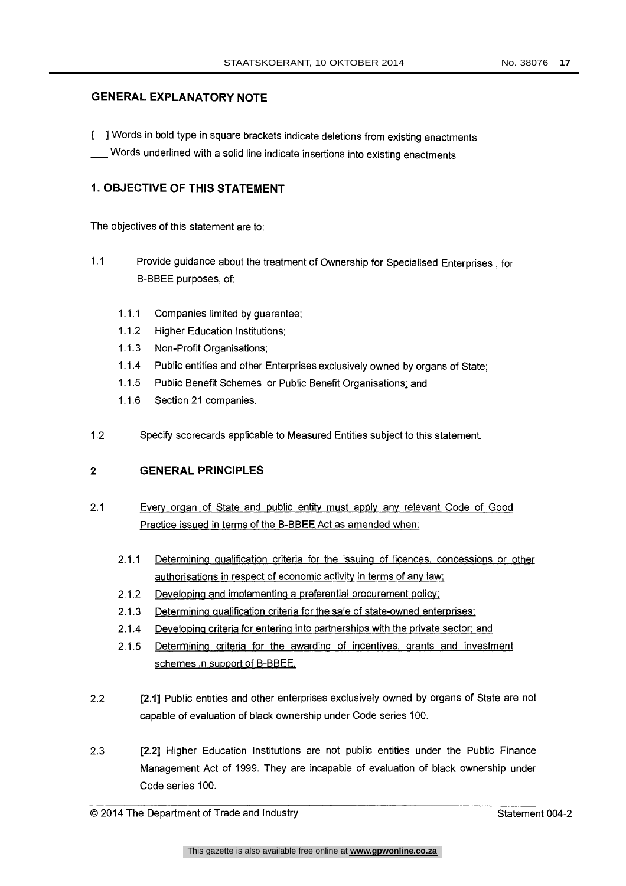## GENERAL EXPLANATORY NOTE

[ ] Words in bold type in square brackets indicate deletions from existing enactments \_ Words underlined with a solid line indicate insertions into existing enactments

## 1. OBJECTIVE OF THIS STATEMENT

The objectives of this statement are to:

- 1.1 Provide guidance about the treatment of Ownership for Specialised Enterprises , for B-BBEE purposes, of:
	- 1.1.1 Companies limited by guarantee;
	- 1.1.2 Higher Education Institutions;
	- 1.1.3 Non-Profit Organisations;
	- 1.1.4 Public entities and other Enterprises exclusively owned by organs of State;
	- 1.1.5 Public Benefit Schemes or Public Benefit Organisations; and
	- 1.1.6 Section 21 companies.
- 1.2 Specify scorecards applicable to Measured Entities subject to this statement.

## 2 GENERAL PRINCIPLES

- 2.1 Every organ of State and public entity must apply any relevant Code of Good Practice issued in terms of the B-BBEE Act as amended when:
	- 2.1.1 Determining qualification criteria for the issuing of licences, concessions or other authorisations in respect of economic activity in terms of any law;
	- 2.1.2 Developing and implementing a preferential procurement policy'.
	- 2.1.3 Determining qualification criteria for the sale of state-owned enterprises;
	- 2.1.4 Developing criteria for entering into partnerships with the private sector; and
	- 2.1.5 Determining criteria for the awarding of incentives, grants and investment schemes in support of B-BBEE.
- 2.2 **[2.1]** Public entities and other enterprises exclusively owned by organs of State are not capable of evaluation of black ownership under Code series 100.
- 2.3 [2.2] Higher Education Institutions are not public entities under the Public Finance Management Act of 1999. They are incapable of evaluation of black ownership under Code series 100.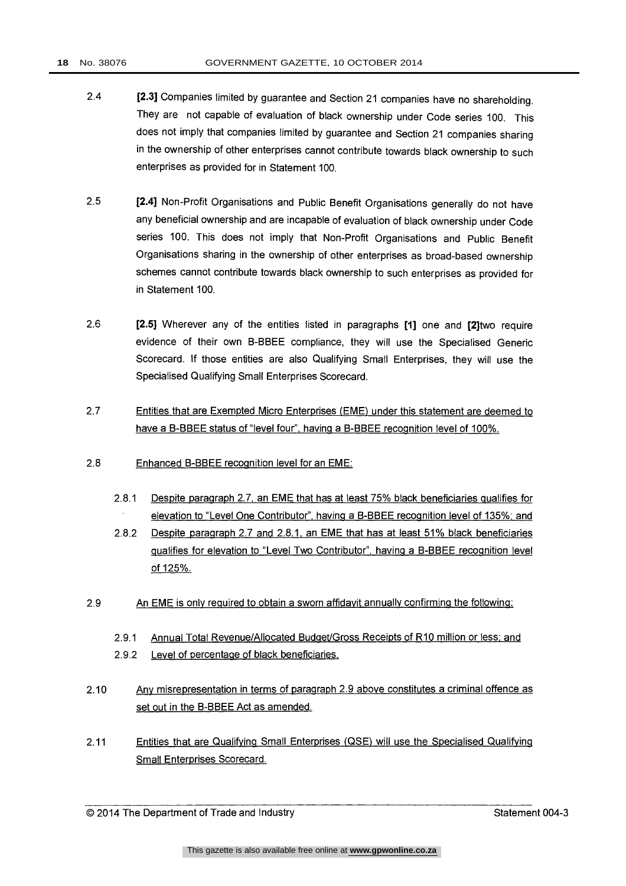- 2.4 [2.3] Companies limited by guarantee and Section 21 companies have no shareholding. They are not capable of evaluation of black ownership under Code series 100. This does not imply that companies limited by guarantee and Section 21 companies sharing in the ownership of other enterprises cannot contribute towards black ownership to such enterprises as provided for in Statement 100.
- 2.5 [2.4] Non-Profit Organisations and Public Benefit Organisations generally do not have any beneficial ownership and are incapable of evaluation of black ownership under Code series 100. This does not imply that Non-Profit Organisations and Public Benefit Organisations sharing in the ownership of other enterprises as broad-based ownership schemes cannot contribute towards black ownership to such enterprises as provided for in Statement 100.
- 2.6 [2.5] Wherever any of the entities listed in paragraphs [1] one and [2]two require evidence of their own B-BBEE compliance, they will use the Specialised Generic Scorecard. If those entities are also Qualifying Small Enterprises, they will use the Specialised Qualifying Small Enterprises Scorecard.
- 2.7 Entities that are Exempted Micro Enterprises (EME) under this statement are deemed to have a B-BBEE status of "level four", having a B-BBEE recognition level of 100%.
- 2.8 Enhanced B-BBEE recognition level for an EME:
	- 2.8.1 Despite paragraph 2.7, an EME that has at least 75% black beneficiaries qualifies for elevation to "Level One Contributor", having a B-BBEE recognition level of 135%; and
	- 2.8.2 Despite paragraph 2.7 and 2.8.1, an EME that has at least 51% black beneficiaries qualifies for elevation to "Level Two Contributor", having a B-BBEE recognition level of 125%.
- 2.9 An EME is only required to obtain a sworn affidavit annually confirming the following:
	- 2.9.1 Annual Total Revenue/Allocated Budget/Gross Receipts of R10 million or less; and
	- 2.9.2 Level of percentage of black beneficiaries.
- 2.10 Any misrepresentation in terms of paragraph 2.9 above constitutes a criminal offence as set out in the B-BBEE Act as amended.
- 2.11 Entities that are Qualifying Small Enterprises (QSE) will use the Specialised Qualifying Small Enterprises Scorecard.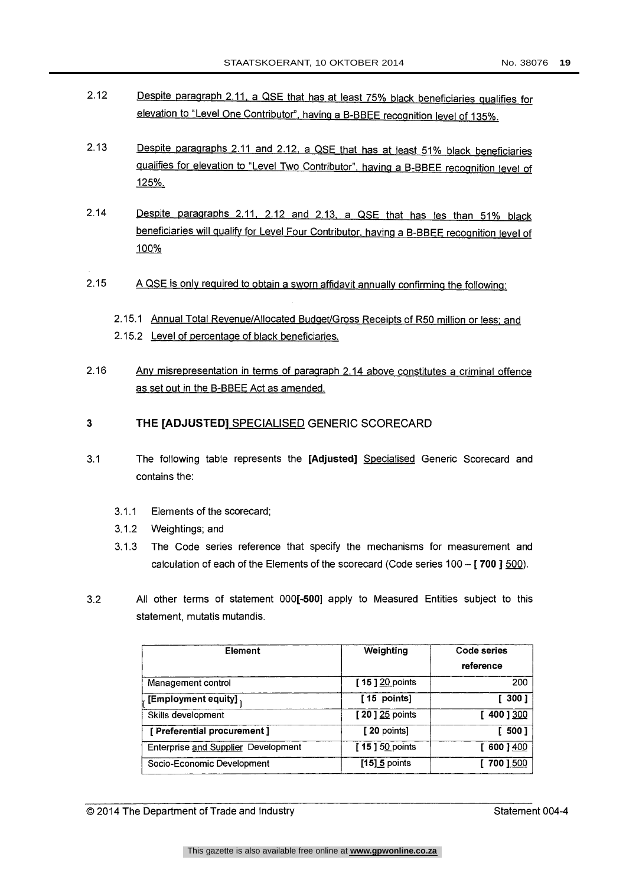- 2.12 Despite paragraph 2.11, a QSE that has at least 75% black beneficiaries qualifies for elevation to "Level One Contributor", having a B-BBEE recognition level of 135%.
- 2.13 Despite paragraphs 2.11 and 2.12, a QSE that has at least 51% black beneficiaries qualifies for elevation to "Level Two Contributor", having a B-BBEE recognition level of 125%.
- 2.14 Despite paragraphs 2.11, 2.12 and 2.13, a QSE that has les than 51% black beneficiaries will qualify for Level Four Contributor, having a B-BBEE recognition level of 100%
- 2.15 A QSE is only required to obtain a sworn affidavit annually confirming the following:
	- 2.15.1 Annual Total Revenue/Allocated Budget/Gross Receipts of R50 million or less: and 2.15.2 Level of percentage of black beneficiaries.
- 2.16 Any misrepresentation in terms of paragraph 2.14 above constitutes a criminal offence as set out in the B-BBEE Act as amended.
- 3 THE [ADJUSTED] SPECIALISED GENERIC SCORECARD
- 3.1 The following table represents the [Adjusted] Specialised Generic Scorecard and contains the:
	- 3.1.1 Elements of the scorecard;
	- 3.1.2 Weightings; and
	- 3.1.3 The Code series reference that specify the mechanisms for measurement and calculation of each of the Elements of the scorecard (Code series 100 - [700 ] 500).
- 3.2 All other terms of statement 000[-500] apply to Measured Entities subject to this statement, mutatis mutandis.

| Element                                   | Weighting                 | Code series<br>reference |
|-------------------------------------------|---------------------------|--------------------------|
| Management control                        | [15] 20 points            | 200                      |
| $_{\rm c}$ [Employment equity] $_{\rm b}$ | [ 15 points]              | 3001                     |
| Skills development                        | [20] 25 points            | 400 ] 300                |
| [ Preferential procurement ]              | $[20 \text{ points}]$     | 500 ]                    |
| Enterprise and Supplier Development       | [ 15 ] 5 <u>0 p</u> oints | 600 ] 400                |
| Socio-Economic Development                | $[15]$ 5 points           | 700 1500                 |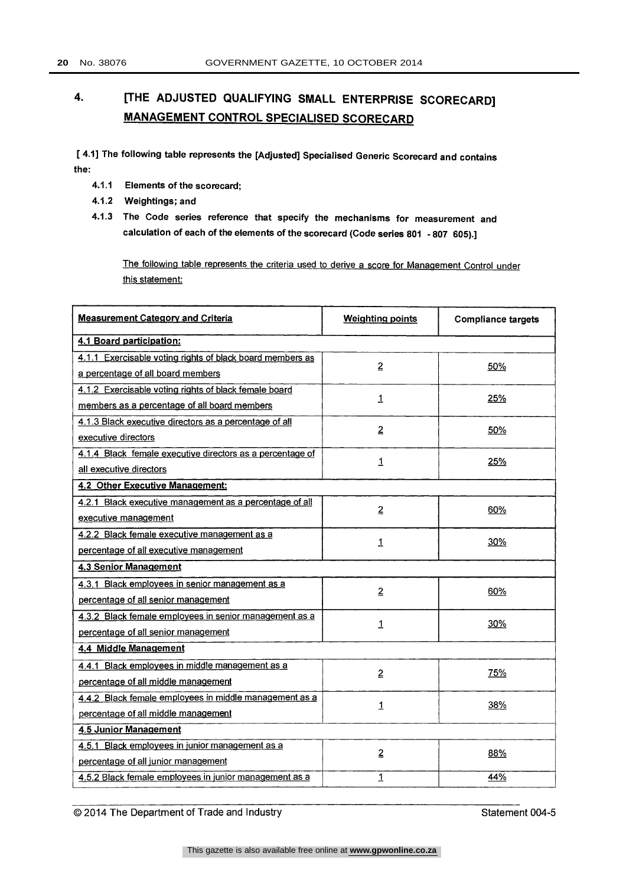# 4. [THE ADJUSTED QUALIFYING SMALL ENTERPRISE SCORECARD] MANAGEMENT CONTROL SPECIALISED SCORECARD

[ 4.1] The following table represents the [Adjusted] Specialised Generic Scorecard and contains the:

- 4.1.1 Elements of the scorecard;
- 4.1.2 Weightings; and
- 4.1.3 The Code series reference that specify the mechanisms for measurement and calculation of each of the elements of the scorecard (Code series 801 - 807 605).]

The following table represents the criteria used to derive a score for Management Control under this statement:

| <b>Measurement Category and Criteria</b>                   | <b>Weighting points</b> | <b>Compliance targets</b> |
|------------------------------------------------------------|-------------------------|---------------------------|
| 4.1 Board participation:                                   |                         |                           |
| 4.1.1 Exercisable voting rights of black board members as  |                         |                           |
| a percentage of all board members                          | $\overline{2}$          | 50%                       |
| 4.1.2 Exercisable voting rights of black female board      |                         |                           |
| members as a percentage of all board members               | $\mathbf{1}$            | 25%                       |
| 4.1.3 Black executive directors as a percentage of all     |                         |                           |
| executive directors                                        | $\overline{2}$          | 50%                       |
| 4.1.4 Black female executive directors as a percentage of  |                         |                           |
| all executive directors                                    | 1                       | 25%                       |
| 4.2 Other Executive Management:                            |                         |                           |
| Black executive management as a percentage of all<br>4.2.1 | $\overline{2}$          | 60%                       |
| executive management                                       |                         |                           |
| 4.2.2 Black female executive management as a               | $\mathbf{1}$            |                           |
| percentage of all executive management                     |                         | 30%                       |
| 4.3 Senior Management                                      |                         |                           |
| 4.3.1 Black employees in senior management as a            | $\overline{2}$          | 60%                       |
| percentage of all senior management                        |                         |                           |
| 4.3.2 Black female employees in senior management as a     | 1                       | 30%                       |
| percentage of all senior management                        |                         |                           |
| 4.4 Middle Management                                      |                         |                           |
| 4.4.1 Black employees in middle management as a            |                         | <u>75%</u>                |
| percentage of all middle management                        | $\overline{2}$          |                           |
| 4.4.2 Black female employees in middle management as a     |                         |                           |
| percentage of all middle management                        | 1                       | 38%                       |
| 4.5 Junior Management                                      |                         |                           |
| 4.5.1 Black employees in junior management as a            | $\overline{2}$          | 88%                       |
| percentage of all junior management                        |                         |                           |
| 4.5.2 Black female employees in junior management as a     | 1                       | 44%                       |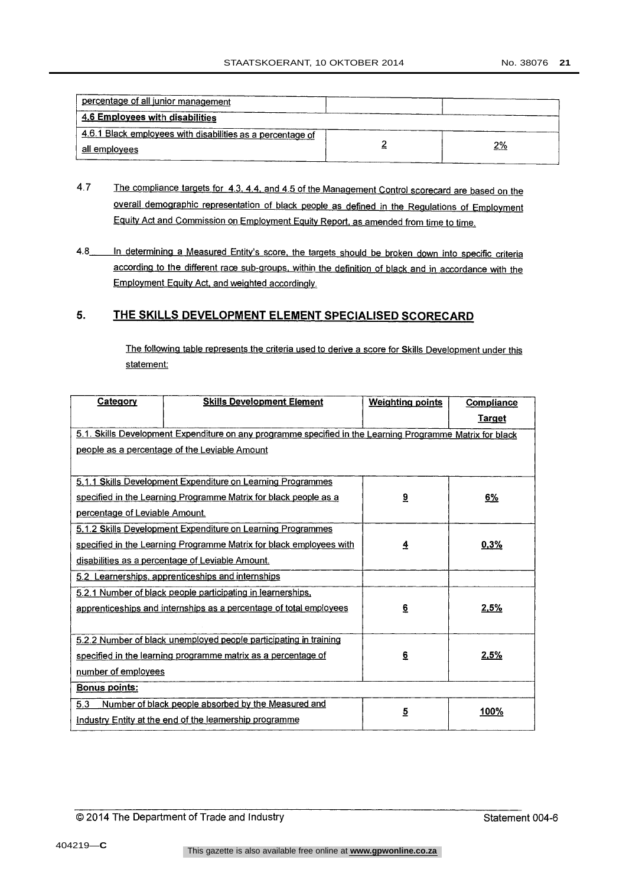| percentage of all junior management                        |           |
|------------------------------------------------------------|-----------|
| <u>4.6 Employees with disabilities</u>                     |           |
| 4.6.1 Black employees with disabilities as a percentage of |           |
| all employees                                              | <u>2%</u> |

- 4.7 The compliance targets for 4.3, 4.4, and 4.5 of the Management Control scorecard are based on the overall demographic representation of black people as defined in the Regulations of Employment Equity Act and Commission on Employment Equity Report, as amended from time to time.
- 4.8 In determining a Measured Entity's score, the targets should be broken down into specific criteria according to the different race sub-groups, within the definition of black and in accordance with the Employment Equity Act, and weighted accordingly.

## 5. THE SKILLS DEVELOPMENT ELEMENT SPECIALISED SCORECARD

The following table represents the criteria used to derive a score for Skills Development under this statement:

| Category                       | <b>Skills Development Element</b>                                                                         | <b>Weighting points</b> | <b>Compliance</b> |
|--------------------------------|-----------------------------------------------------------------------------------------------------------|-------------------------|-------------------|
|                                |                                                                                                           |                         | <b>Target</b>     |
|                                | 5.1. Skills Development Expenditure on any programme specified in the Learning Programme Matrix for black |                         |                   |
|                                | people as a percentage of the Leviable Amount                                                             |                         |                   |
|                                |                                                                                                           |                         |                   |
|                                | 5.1.1 Skills Development Expenditure on Learning Programmes                                               |                         |                   |
|                                | specified in the Learning Programme Matrix for black people as a                                          | $\overline{a}$          | <u>6%</u>         |
| percentage of Leviable Amount. |                                                                                                           |                         |                   |
|                                | 5.1.2 Skills Development Expenditure on Learning Programmes                                               |                         |                   |
|                                | specified in the Learning Programme Matrix for black employees with                                       | $\overline{4}$          | 0,3%              |
|                                | disabilities as a percentage of Leviable Amount.                                                          |                         |                   |
|                                | 5.2 Learnerships, apprenticeships and internships                                                         |                         |                   |
|                                | 5.2.1 Number of black people participating in learnerships.                                               |                         |                   |
|                                | apprenticeships and internships as a percentage of total employees                                        | $6\overline{6}$         | 2,5%              |
|                                |                                                                                                           |                         |                   |
|                                | 5.2.2 Number of black unemployed people participating in training                                         |                         |                   |
|                                | specified in the learning programme matrix as a percentage of                                             | 6                       | 2,5%              |
| number of employees            |                                                                                                           |                         |                   |
| Bonus points:                  |                                                                                                           |                         |                   |
| 5.3                            | Number of black people absorbed by the Measured and                                                       | $\overline{5}$          | 100%              |
|                                | Industry Entity at the end of the learnership programme                                                   |                         |                   |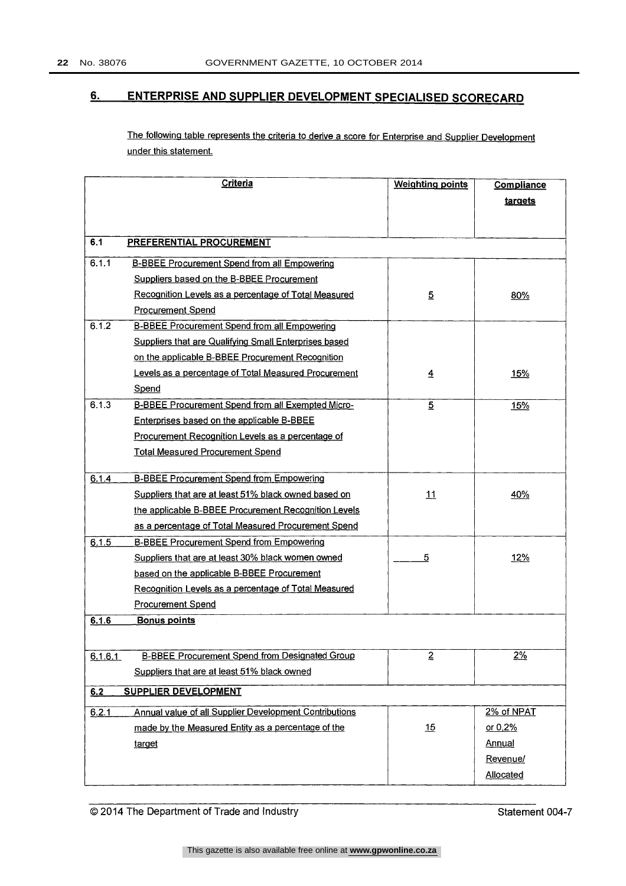# 6. ENTERPRISE AND SUPPLIER DEVELOPMENT SPECIALISED SCORECARD

The following table represents the criteria to derive a score for Enterprise and Supplier Development under this statement.

|         | <b>Criteria</b>                                        | <b>Weighting points</b> | Compliance       |
|---------|--------------------------------------------------------|-------------------------|------------------|
|         |                                                        |                         | <u>targets</u>   |
|         |                                                        |                         |                  |
| 6.1     | PREFERENTIAL PROCUREMENT                               |                         |                  |
| 6.1.1   | <b>B-BBEE Procurement Spend from all Empowering</b>    |                         |                  |
|         | Suppliers based on the B-BBEE Procurement              |                         |                  |
|         | Recognition Levels as a percentage of Total Measured   | $\overline{5}$          | 80%              |
|         | <b>Procurement Spend</b>                               |                         |                  |
| 6.1.2   | <b>B-BBEE Procurement Spend from all Empowering</b>    |                         |                  |
|         | Suppliers that are Qualifying Small Enterprises based  |                         |                  |
|         | on the applicable B-BBEE Procurement Recognition       |                         |                  |
|         | Levels as a percentage of Total Measured Procurement   | 4                       | 15%              |
|         | Spend                                                  |                         |                  |
| 6.1.3   | B-BBEE Procurement Spend from all Exempted Micro-      | $\overline{5}$          | 15%              |
|         | <b>Enterprises based on the applicable B-BBEE</b>      |                         |                  |
|         | Procurement Recognition Levels as a percentage of      |                         |                  |
|         | <b>Total Measured Procurement Spend</b>                |                         |                  |
|         |                                                        |                         |                  |
| 6.1.4   | <b>B-BBEE Procurement Spend from Empowering</b>        |                         |                  |
|         | Suppliers that are at least 51% black owned based on   | 11                      | 40%              |
|         | the applicable B-BBEE Procurement Recognition Levels   |                         |                  |
|         | as a percentage of Total Measured Procurement Spend    |                         |                  |
| 6.1.5   | <b>B-BBEE Procurement Spend from Empowering</b>        |                         |                  |
|         | Suppliers that are at least 30% black women owned      | 5                       | 12%              |
|         | based on the applicable B-BBEE Procurement             |                         |                  |
|         | Recognition Levels as a percentage of Total Measured   |                         |                  |
|         | <b>Procurement Spend</b>                               |                         |                  |
| 6.1.6   | <b>Bonus points</b>                                    |                         |                  |
|         |                                                        |                         |                  |
| 6.1.6.1 | <b>B-BBEE Procurement Spend from Designated Group</b>  | $\overline{2}$          | 2%               |
|         | Suppliers that are at least 51% black owned            |                         |                  |
| 6.2     | <b>SUPPLIER DEVELOPMENT</b>                            |                         |                  |
| 6.2.1   | Annual value of all Supplier Development Contributions |                         | 2% of NPAT       |
|         | made by the Measured Entity as a percentage of the     | 15                      | or 0,2%          |
|         | target                                                 |                         | Annual           |
|         |                                                        |                         | Revenue/         |
|         |                                                        |                         | <b>Allocated</b> |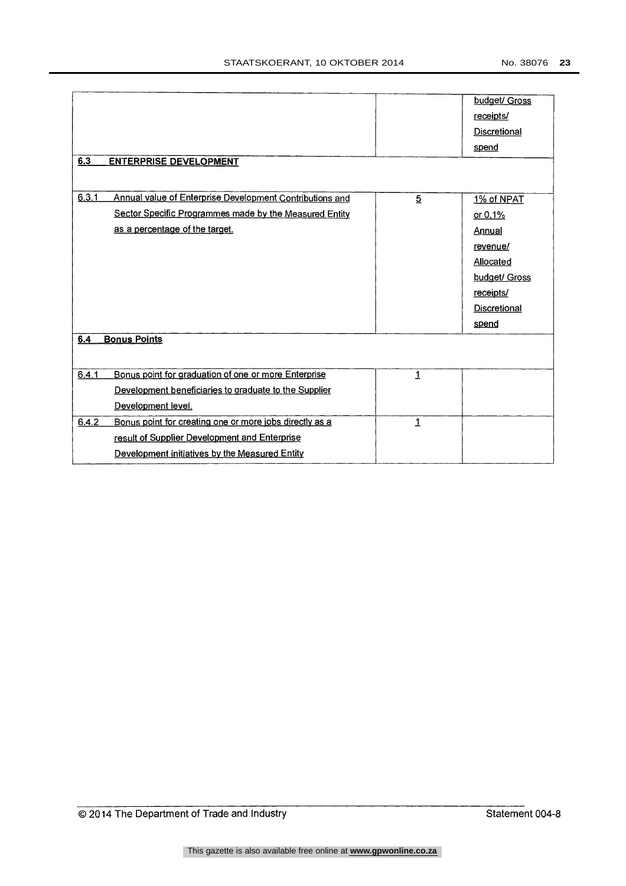| 6.3<br><b>ENTERPRISE DEVELOPMENT</b>                              |                | budget/ Gross<br>receipts/<br>Discretional<br>spend |
|-------------------------------------------------------------------|----------------|-----------------------------------------------------|
| 6.3.1<br>Annual value of Enterprise Development Contributions and | $\overline{5}$ | 1% of NPAT                                          |
| Sector Specific Programmes made by the Measured Entity            |                | or 0,1%                                             |
| as a percentage of the target.                                    |                | Annual                                              |
|                                                                   |                | revenue/                                            |
|                                                                   |                | Allocated                                           |
|                                                                   |                | budget/ Gross                                       |
|                                                                   |                | receipts/                                           |
|                                                                   |                | Discretional                                        |
| <b>Bonus Points</b><br>6.4                                        |                | spend                                               |
|                                                                   |                |                                                     |
| Bonus point for graduation of one or more Enterprise<br>6.4.1     | $\mathbf{1}$   |                                                     |
| Development beneficiaries to graduate to the Supplier             |                |                                                     |
| Development level.                                                |                |                                                     |
| Bonus point for creating one or more jobs directly as a<br>6.4.2  | $\mathbf{1}$   |                                                     |
| result of Supplier Development and Enterprise                     |                |                                                     |
| Development initiatives by the Measured Entity                    |                |                                                     |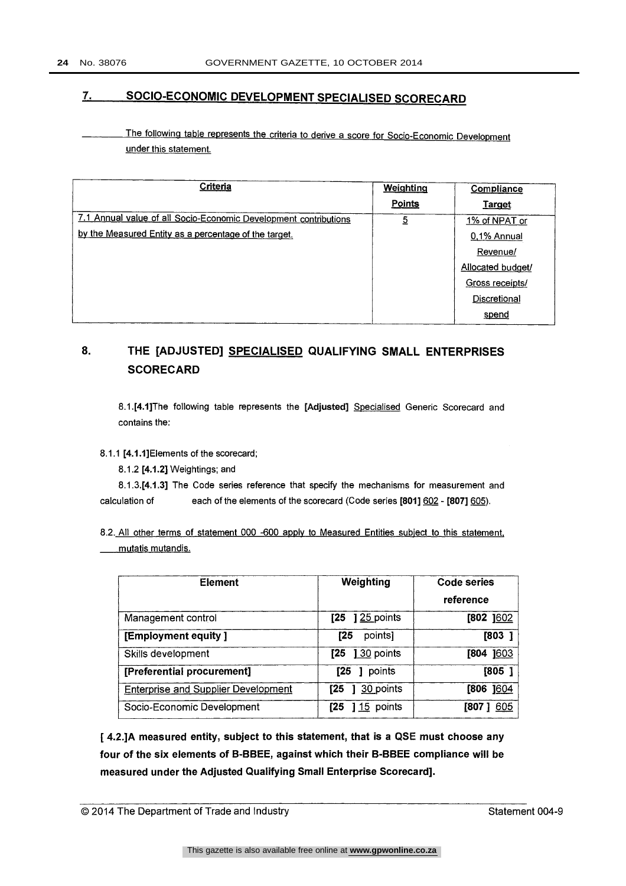## 7. SOCIO-ECONOMIC DEVELOPMENT SPECIALISED SCORECARD

The following table represents the criteria to derive a score for Socio-Economic Development under this statement.

| Criteria                                                         | Weighting | Compliance        |
|------------------------------------------------------------------|-----------|-------------------|
|                                                                  | Points    | <b>Target</b>     |
| 7.1 Annual value of all Socio-Economic Development contributions | 5         | 1% of NPAT or     |
| by the Measured Entity as a percentage of the target.            |           | 0.1% Annual       |
|                                                                  |           | Revenue/          |
|                                                                  |           | Allocated budget/ |
|                                                                  |           | Gross receipts/   |
|                                                                  |           | Discretional      |
|                                                                  |           | spend             |

## 8. THE [ADJUSTED] SPECIALISED QUALIFYING SMALL ENTERPRISES **SCORECARD**

8.1.[4.1]The following table represents the [Adjusted] Specialised Generic Scorecard and contains the:

8.1.1 [4.1.1]Elements of the scorecard;

8.1.2 [4.1.2] Weightings; and

8.1.3.[4.1.3] The Code series reference that specify the mechanisms for measurement and calculation of each of the elements of the scorecard (Code series [801] 602 - [807] 605).

8.2. All other terms of statement 000 -600 apply to Measured Entities subject to this statement, mutatis mutandis.

| Element                                    | Weighting           | Code series<br>reference |
|--------------------------------------------|---------------------|--------------------------|
| Management control                         | $125$ points<br>[25 | [802 ]602                |
| [Employment equity]                        | points]<br>[25]     | [803]                    |
| Skills development                         | 130 points<br>T25   | [804 ]603                |
| [Preferential procurement]                 | [25<br>points       | [805                     |
| <b>Enterprise and Supplier Development</b> | 30 points<br>125    | [806 ]604                |
| Socio-Economic Development                 | $115$ points<br>r25 | 605<br>1807              |

[ 4.2.]A measured entity, subject to this statement, that is a QSE must choose any four of the six elements of B-BBEE, against which their B-BBEE compliance will be measured under the Adjusted Qualifying Small Enterprise Scorecard].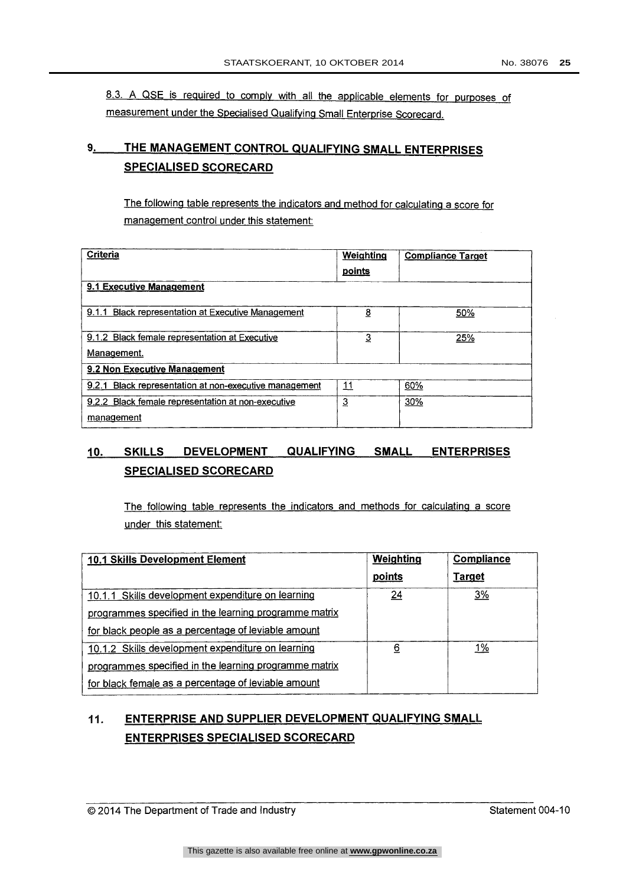8.3. A QSE is required to comply with all the applicable elements for purposes of measurement under the Specialised Qualifying Small Enterprise Scorecard.

## 9. THE MANAGEMENT CONTROL QUALIFYING SMALL ENTERPRISES SPECIALISED SCORECARD

The following table represents the indicators and method for calculating a score for management control under this statement:

| Criteria                                                     | Weighting      | <b>Compliance Target</b> |  |  |  |
|--------------------------------------------------------------|----------------|--------------------------|--|--|--|
|                                                              | <u>points</u>  |                          |  |  |  |
| 9.1 Executive Management                                     |                |                          |  |  |  |
|                                                              |                |                          |  |  |  |
| 9.1.1<br><b>Black representation at Executive Management</b> | 8              | 50%                      |  |  |  |
|                                                              |                |                          |  |  |  |
| 9.1.2 Black female representation at Executive               | $\overline{3}$ | 25%                      |  |  |  |
| Management.                                                  |                |                          |  |  |  |
| 9.2 Non Executive Management                                 |                |                          |  |  |  |
| Black representation at non-executive management<br>9.2.1    | <u> 11</u>     | 60%                      |  |  |  |
| 9.2.2 Black female representation at non-executive           | $\overline{3}$ | 30%                      |  |  |  |
| management                                                   |                |                          |  |  |  |

## 10. SKILLS DEVELOPMENT QUALIFYING SMALL ENTERPRISES SPECIALISED SCORECARD

The following table represents the indicators and methods for calculating a score under this statement:

| 10.1 Skills Development Element                       | Weighting       | Compliance    |
|-------------------------------------------------------|-----------------|---------------|
|                                                       | points          | <u>Target</u> |
| 10.1.1 Skills development expenditure on learning     | $\overline{24}$ | 3%            |
| programmes specified in the learning programme matrix |                 |               |
| for black people as a percentage of leviable amount   |                 |               |
| 10.1.2 Skills development expenditure on learning     | 6               | <u>1%</u>     |
| programmes specified in the learning programme matrix |                 |               |
| for black female as a percentage of leviable amount   |                 |               |

## 11. ENTERPRISE AND SUPPLIER DEVELOPMENT QUALIFYING SMALL ENTERPRISES SPECIALISED SCORECARD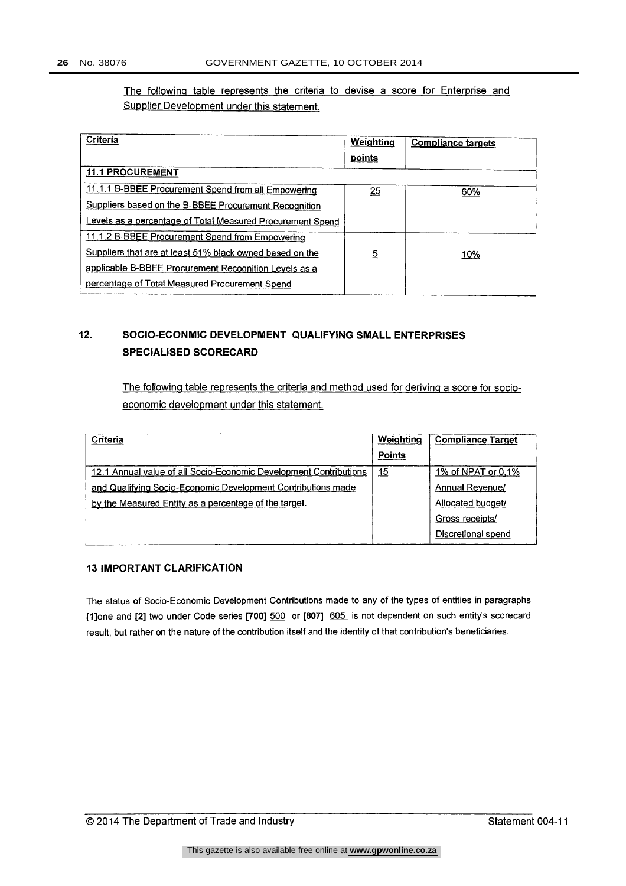The following table represents the criteria to devise a score for Enterprise and Supplier Development under this statement.

| Criteria                                                   | Weighting | <b>Compliance targets</b> |
|------------------------------------------------------------|-----------|---------------------------|
|                                                            | points    |                           |
| <b>11.1 PROCUREMENT</b>                                    |           |                           |
| 11.1.1 B-BBEE Procurement Spend from all Empowering        | 25        | 60%                       |
| Suppliers based on the B-BBEE Procurement Recognition      |           |                           |
| Levels as a percentage of Total Measured Procurement Spend |           |                           |
| 11.1.2 B-BBEE Procurement Spend from Empowering            |           |                           |
| Suppliers that are at least 51% black owned based on the   | 5         | 10%                       |
| applicable B-BBEE Procurement Recognition Levels as a      |           |                           |
| percentage of Total Measured Procurement Spend             |           |                           |

## 12. SOCIO-ECONMIC DEVELOPMENT QUALIFYING SMALL ENTERPRISES SPECIALISED SCORECARD

The following table represents the criteria and method used for deriving a score for socioeconomic development under this statement.

| Criteria                                                          | Weighting     | <b>Compliance Target</b> |
|-------------------------------------------------------------------|---------------|--------------------------|
|                                                                   | <b>Points</b> |                          |
| 12.1 Annual value of all Socio-Economic Development Contributions | 15            | 1% of NPAT or 0,1%       |
| and Qualifying Socio-Economic Development Contributions made      |               | Annual Revenue/          |
| by the Measured Entity as a percentage of the target.             |               | Allocated budget/        |
|                                                                   |               | Gross receipts/          |
|                                                                   |               | Discretional spend       |

## 13 IMPORTANT CLARIFICATION

The status of Socio-Economic Development Contributions made to any of the types of entities in paragraphs [1]one and [2] two under Code series [700] 500 or [807] 605 is not dependent on such entity's scorecard result, but rather on the nature of the contribution itself and the identity of that contribution's beneficiaries.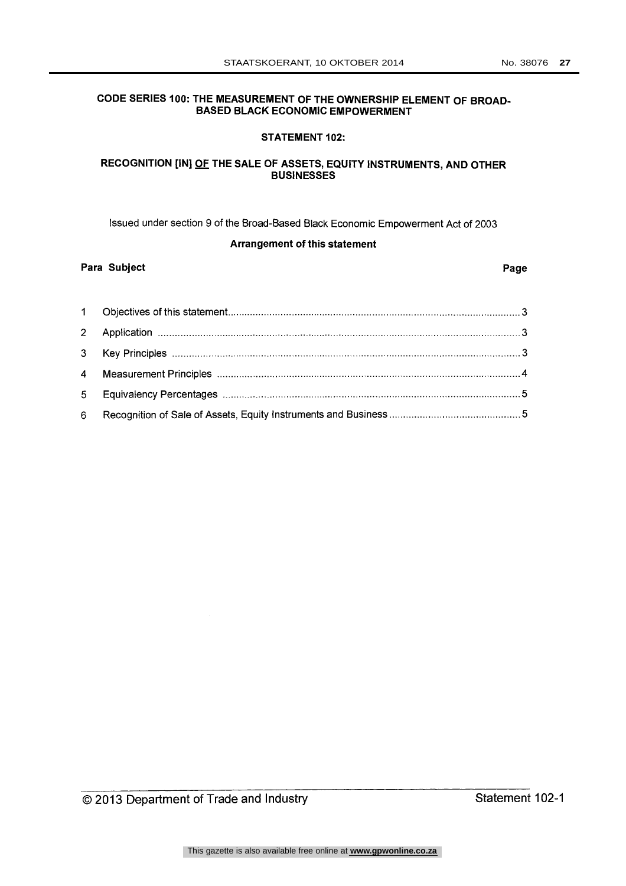## CODE SERIES 100: THE MEASUREMENT OF THE OWNERSHIP ELEMENT OF BROAD-BASED BLACK ECONOMIC EMPOWERMENT

## STATEMENT 102:

## RECOGNITION [IN] OF THE SALE OF ASSETS, EQUITY INSTRUMENTS, AND OTHER **BUSINESSES**

Issued under section 9 of the Broad-Based Black Economic Empowerment Act of 2003

## Arrangement of this statement

## Para Subject **Para Subject** Page 2014

| 6 |  |
|---|--|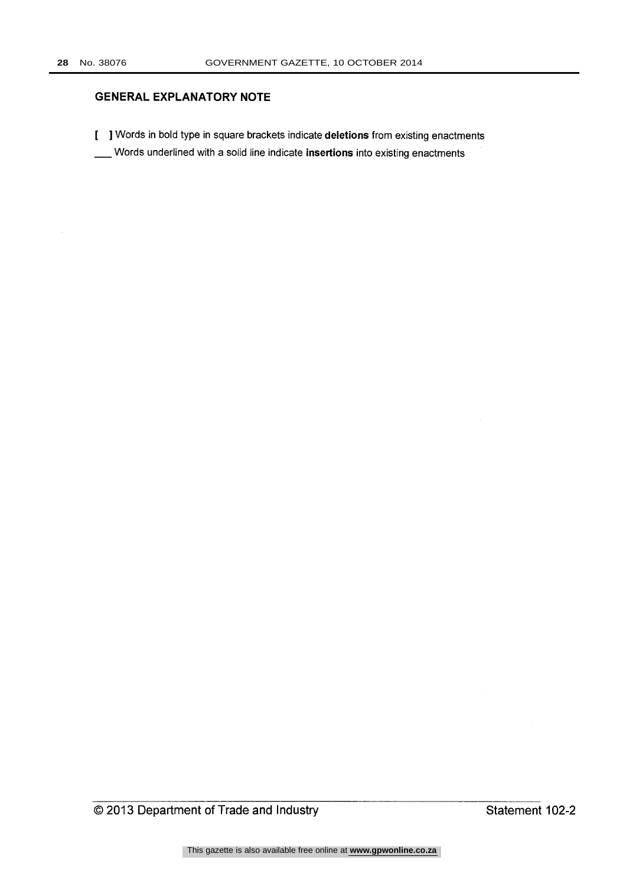## GENERAL EXPLANATORY NOTE

[ ] Words in bold type in square brackets indicate deletions from existing enactments

**Words underlined with a solid line indicate insertions into existing enactments**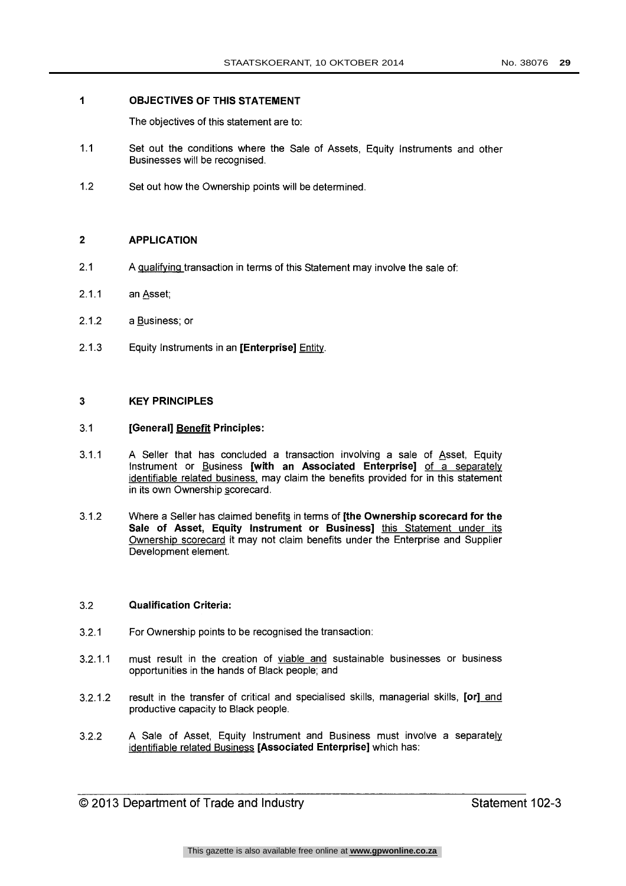## <sup>1</sup> OBJECTIVES OF THIS STATEMENT

The objectives of this statement are to:

- 1.1 Set out the conditions where the Sale of Assets, Equity Instruments and other Businesses will be recognised.
- 1.2 Set out how the Ownership points will be determined.

## 2 APPLICATION

- 2.1 A qualifying transaction in terms of this Statement may involve the sale of:
- 2.1.1 an Asset;
- 2.1.2 a Business; or
- 2.1.3 Equity Instruments in an [Enterprise] Entity.

## 3 KEY PRINCIPLES

## 3.1 [General] Benefit Principles:

- 3.1.1 A Seller that has concluded a transaction involving a sale of Asset, Equity Instrument or Business [with an Associated Enterprise] of a separately identifiable related business, may claim the benefits provided for in this statement in its own Ownership scorecard.
- 3.1.2 Where a Seller has claimed benefits in terms of [the Ownership scorecard for the Sale of Asset, Equity Instrument or Business] this Statement under its Ownership scorecard it may not claim benefits under the Enterprise and Supplier Development element.

#### 3.2 Qualification Criteria:

- 3.2.1 For Ownership points to be recognised the transaction:
- 3.2.1.1 must result in the creation of viable and sustainable businesses or business opportunities in the hands of Black people; and
- 3.2.1.2 result in the transfer of critical and specialised skills, managerial skills, [or] and productive capacity to Black people.
- 3.2.2 A Sale of Asset, Equity Instrument and Business must involve a separately identifiable related Business [Associated Enterprise] which has: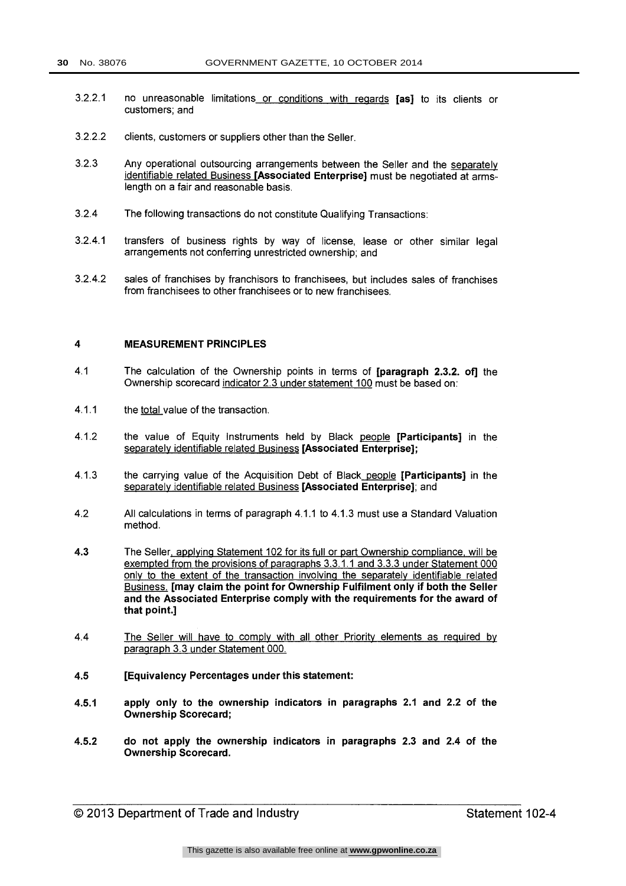- 3.2.2.1 no unreasonable limitations or conditions with regards [as] to its clients or customers; and
- 3.2.2.2 clients, customers or suppliers other than the Seller.
- 3.2.3 Any operational outsourcing arrangements between the Seller and the separately identifiable related Business [Associated Enterprise] must be negotiated at armslength on a fair and reasonable basis.
- 3.2.4 The following transactions do not constitute Qualifying Transactions:
- 3.2.4.1 transfers of business rights by way of license, lease or other similar legal arrangements not conferring unrestricted ownership; and
- 3.2.4.2 sales of franchises by franchisors to franchisees, but includes sales of franchises from franchisees to other franchisees or to new franchisees.

#### 4 MEASUREMENT PRINCIPLES

- 4.1 The calculation of the Ownership points in terms of [paragraph 2.3.2. of] the Ownership scorecard indicator 2.3 under statement 100 must be based on:
- 4.1.1 the total value of the transaction.
- 4.1.2 the value of Equity Instruments held by Black people [Participants] in the separately identifiable related Business [Associated Enterprise];
- 4.1.3 the carrying value of the Acquisition Debt of Black people **[Participants]** in the separately identifiable related Business [Associated Enterprise]; and
- 4.2 All calculations in terms of paragraph 4.1.1 to 4.1.3 must use a Standard Valuation method.
- 4.3 The Seller, applying Statement 102 for its full or part Ownership compliance, will be exempted from the provisions of paragraphs 3.3.1.1 and 3.3.3 under Statement 000 only to the extent of the transaction involving the separately identifiable related Business. [may claim the point for Ownership Fulfilment only if both the Seller and the Associated Enterprise comply with the requirements for the award of that point.]
- 4.4 The Seller will have to comply with all other Priority elements as required by paragraph 3.3 under Statement 000.
- 4.5 [Equivalency Percentages under this statement:
- 4.5.1 apply only to the ownership indicators in paragraphs 2.1 and 2.2 of the Ownership Scorecard;
- 4.5.2 do not apply the ownership indicators in paragraphs 2.3 and 2.4 of the Ownership Scorecard.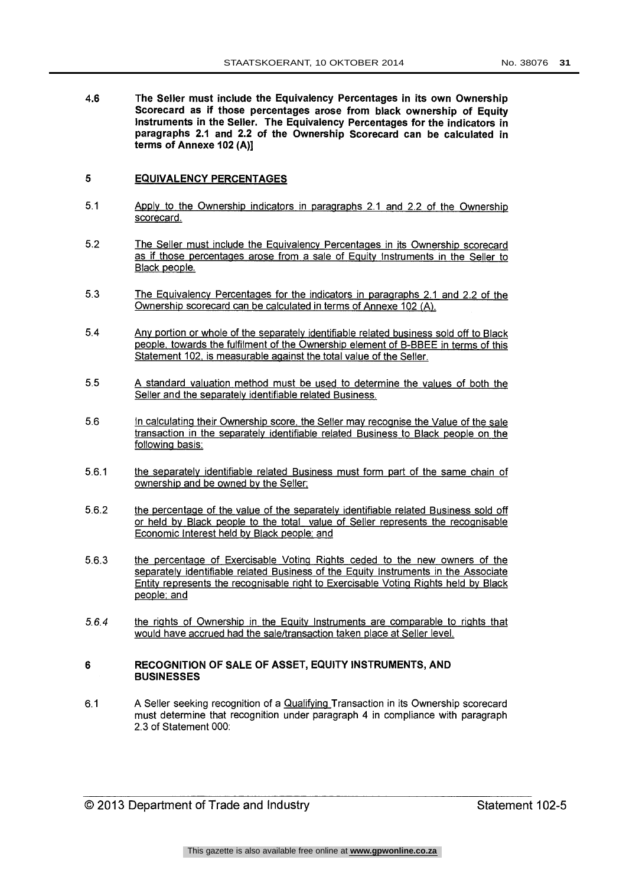4.6 The Seller must include the Equivalency Percentages in its own Ownership Scorecard as if those percentages arose from black ownership of Equity Instruments in the Seller. The Equivalency Percentages for the indicators in paragraphs 2.1 and 2.2 of the Ownership Scorecard can be calculated in terms of Annexe 102 (A)]

## 5 EQUIVALENCY PERCENTAGES

- 5.1 Apply to the Ownership indicators in paragraphs 2.1 and 2.2 of the Ownership scorecard.
- 5.2 The Seller must include the Equivalency Percentages in its Ownership scorecard as if those percentages arose from a sale of Equity Instruments in the Seller to Black people.
- 5.3 The Equivalency Percentages for the indicators in paragraphs 2.1 and 2.2 of the Ownership scorecard can be calculated in terms of Annexe 102 (A).
- 5.4 Any portion or whole of the separately identifiable related business sold off to Black people, towards the fulfilment of the Ownership element of B-BBEE in terms of this Statement 102, is measurable against the total value of the Seller.
- 5.5 A standard valuation method must be used to determine the values of both the Seller and the separately identifiable related Business.
- 5.6 In calculating their Ownership score, the Seller may recognise the Value of the sale transaction in the separately identifiable related Business to Black people on the following basis:
- 5.6.1 the separately identifiable related Business must form part of the same chain of ownership and be owned by the Seller;
- 5.6.2 the percentage of the value of the separately identifiable related Business sold off or held by Black people to the total value of Seller represents the recognisable Economic Interest held by Black people; and
- 5.6.3 the percentage of Exercisable Voting Rights ceded to the new owners of the separately identifiable related Business of the Equity Instruments in the Associate Entity represents the recognisable right to Exercisable Voting Rights held by Black people; and
- 5.6.4 the rights of Ownership in the Equity Instruments are comparable to rights that would have accrued had the sale/transaction taken place at Seller level.

## 6 RECOGNITION OF SALE OF ASSET, EQUITY INSTRUMENTS, AND **BUSINESSES**

6.1 A Seller seeking recognition of a Qualifying Transaction in its Ownership scorecard must determine that recognition under paragraph 4 in compliance with paragraph 2.3 of Statement 000: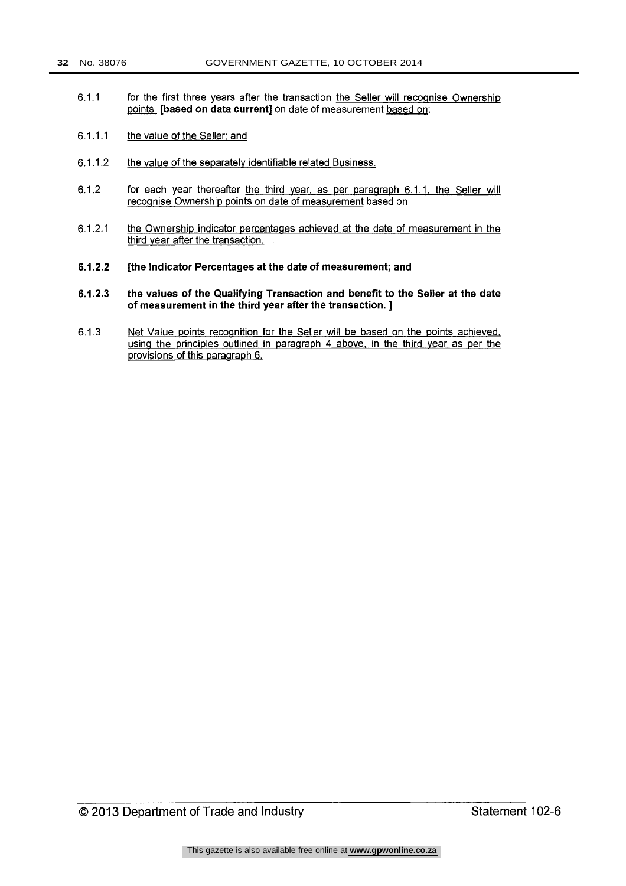- 6.1.1 for the first three years after the transaction the Seller will recognise Ownership points [based on data current] on date of measurement based on:
- 6.1.1.1 the value of the Seller: and
- 6.1.1.2 the value of the separately identifiable related Business.
- 6.1.2 for each year thereafter the third year, as per paragraph 6.1.1, the Seller will recognise Ownership points on date of measurement based on:
- 6.1.2.1 the Ownership indicator percentages achieved at the date of measurement in the third year after the transaction.
- 6.1.2.2 [the Indicator Percentages at the date of measurement; and
- 6.1.2.3 the values of the Qualifying Transaction and benefit to the Seller at the date of measurement in the third year after the transaction. ]
- 6.1.3 Net Value points recognition for the Seller will be based on the points achieved, using the principles outlined in paragraph 4 above, in the third year as per the provisions of this paragraph 6.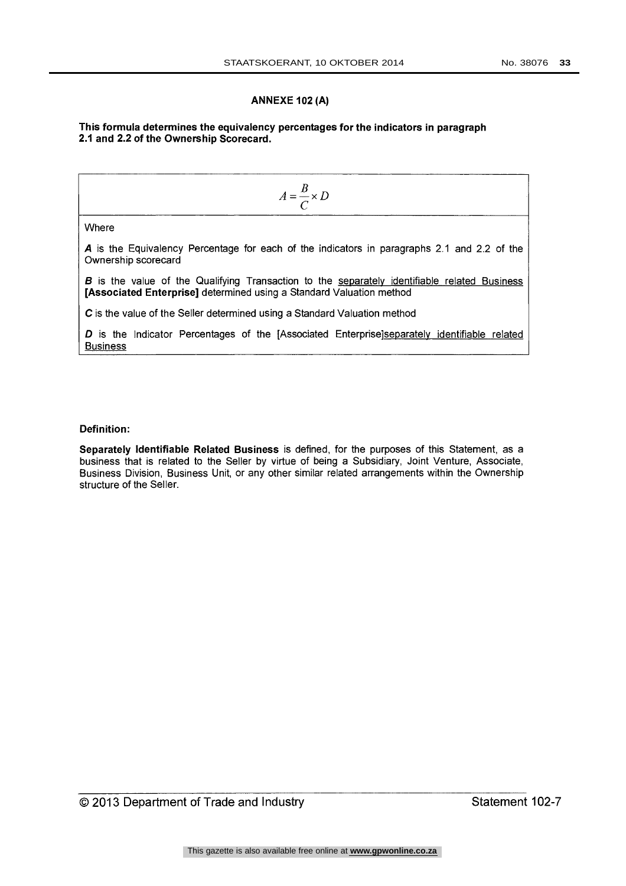## ANNEXE 102 (A)

## This formula determines the equivalency percentages for the indicators in paragraph 2.1 and 2.2 of the Ownership Scorecard.

$$
A = \frac{B}{C} \times D
$$

**Where** 

A is the Equivalency Percentage for each of the indicators in paragraphs 2.1 and 2.2 of the Ownership scorecard

B is the value of the Qualifying Transaction to the separately identifiable related Business [Associated Enterprise] determined using a Standard Valuation method

C is the value of the Seller determined using a Standard Valuation method

D is the Indicator Percentages of the [Associated Enterprise]separately identifiable related **Business** 

#### Definition:

Separately Identifiable Related Business is defined, for the purposes of this Statement, as a business that is related to the Seller by virtue of being a Subsidiary, Joint Venture, Associate, Business Division, Business Unit, or any other similar related arrangements within the Ownership structure of the Seller.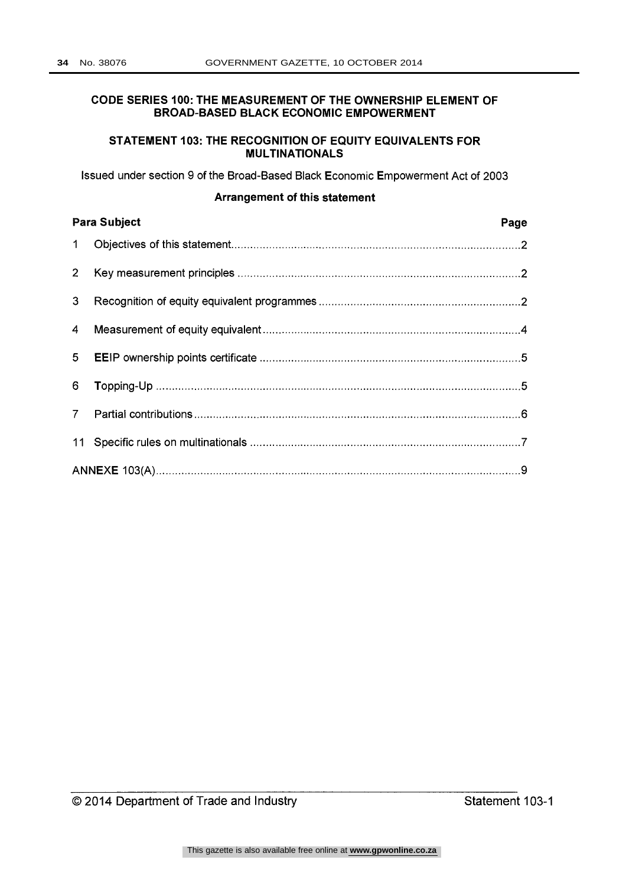## CODE SERIES 100: THE MEASUREMENT OF THE OWNERSHIP ELEMENT OF BROAD-BASED BLACK ECONOMIC EMPOWERMENT

## STATEMENT 103: THE RECOGNITION OF EQUITY EQUIVALENTS FOR MULTINATIONALS

Issued under section 9 of the Broad-Based Black Economic Empowerment Act of 2003

## Arrangement of this statement

|                | <b>Para Subject</b> | Page |
|----------------|---------------------|------|
| $\mathbf 1$    |                     |      |
| $\overline{2}$ |                     |      |
| 3              |                     |      |
| 4              |                     |      |
| 5.             |                     |      |
| 6              |                     |      |
| $\overline{7}$ |                     |      |
| 11             |                     |      |
|                |                     |      |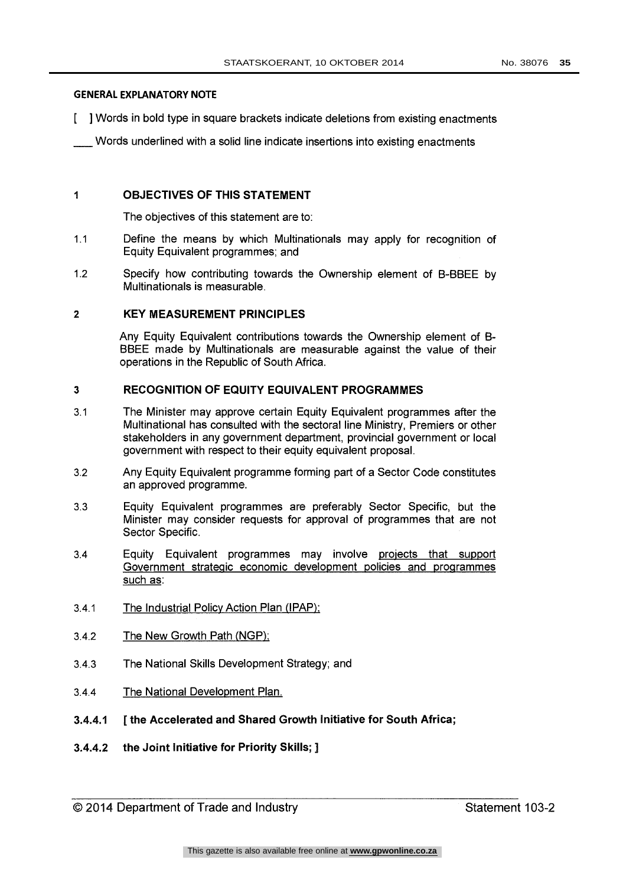## GENERAL EXPLANATORY NOTE

[ ] Words in bold type in square brackets indicate deletions from existing enactments

Words underlined with a solid line indicate insertions into existing enactments

## <sup>1</sup> OBJECTIVES OF THIS STATEMENT

The objectives of this statement are to:

- 1.1 Define the means by which Multinationals may apply for recognition of Equity Equivalent programmes; and
- 1.2 Specify how contributing towards the Ownership element of B-BBEE by Multinationals is measurable.

## 2 KEY MEASUREMENT PRINCIPLES

Any Equity Equivalent contributions towards the Ownership element of B-BBEE made by Multinationals are measurable against the value of their operations in the Republic of South Africa.

## 3 RECOGNITION OF EQUITY EQUIVALENT PROGRAMMES

- 3.1 The Minister may approve certain Equity Equivalent programmes after the Multinational has consulted with the sectoral line Ministry, Premiers or other stakeholders in any government department, provincial government or local government with respect to their equity equivalent proposal.
- 3.2 Any Equity Equivalent programme forming part of a Sector Code constitutes an approved programme.
- 3.3 Equity Equivalent programmes are preferably Sector Specific, but the Minister may consider requests for approval of programmes that are not Sector Specific.
- 3.4 Equity Equivalent programmes may involve projects that support Government strategic economic development policies and programmes such as:
- 3.4.1 The Industrial Policy Action Plan (IPAP);
- 3.4.2 The New Growth Path (NGP);
- 3.4.3 The National Skills Development Strategy; and
- 3.4.4 The National Development Plan.
- 3.4.4.1 [ the Accelerated and Shared Growth Initiative for South Africa;
- 3.4.4.2 the Joint Initiative for Priority Skills; ]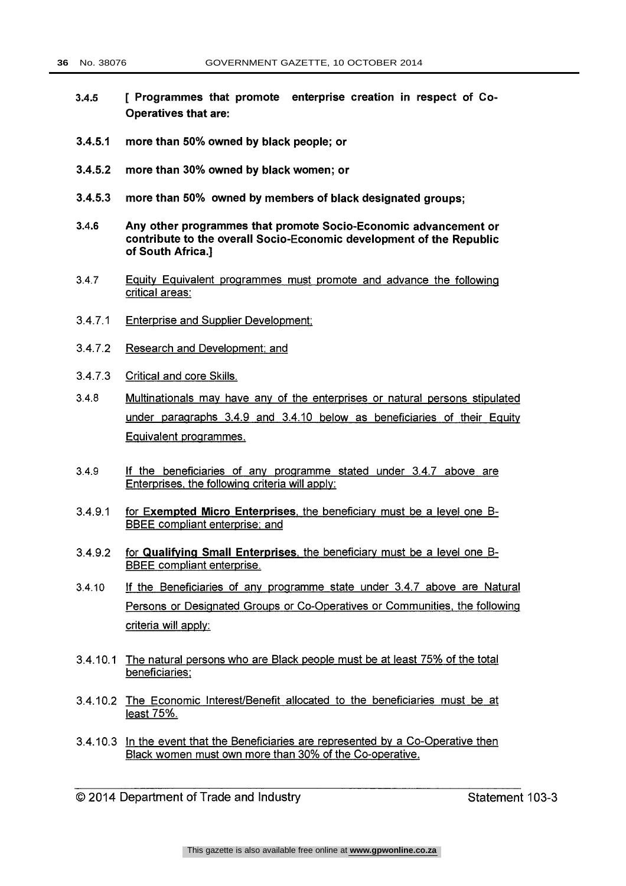- 3.4.5 [ Programmes that promote enterprise creation in respect of Co-Operatives that are:
- 3.4.5.1 more than 50% owned by black people; or
- 3.4.5.2 more than 30% owned by black women; or
- 3.4.5.3 more than 50% owned by members of black designated groups;
- 3.4.6 Any other programmes that promote Socio-Economic advancement or contribute to the overall Socio-Economic development of the Republic of South Africa.]
- 3.4.7 Equity Equivalent programmes must promote and advance the following critical areas:
- 3.4.7.1 Enterprise and Supplier Development;
- 3.4.7.2 Research and Development; and
- 3.4.7.3 Critical and core Skills.
- 3.4.8 Multinationals may have any of the enterprises or natural persons stipulated under paragraphs 3.4.9 and 3.4.10 below as beneficiaries of their Equity Equivalent programmes.
- 3.4.9 If the beneficiaries of any programme stated under 3.4.7 above are Enterprises, the following criteria will apply:
- 3.4.9.1 for Exempted Micro Enterprises, the beneficiary must be a level one B-BBEE compliant enterprise; and
- 3.4.9.2 for Qualifying Small Enterprises, the beneficiary must be a level one B-BBEE compliant enterprise.
- 3.4.10 If the Beneficiaries of any programme state under 3.4.7 above are Natural Persons or Designated Groups or Co-Operatives or Communities, the following criteria will apply:
- 3.4.10.1 The natural persons who are Black people must be at least 75% of the total beneficiaries;
- 3.4.10.2 The Economic Interest/Benefit allocated to the beneficiaries must be at least 75%.
- 3.4.10.3 In the event that the Beneficiaries are represented by a Co-Operative then Black women must own more than 30% of the Co-operative.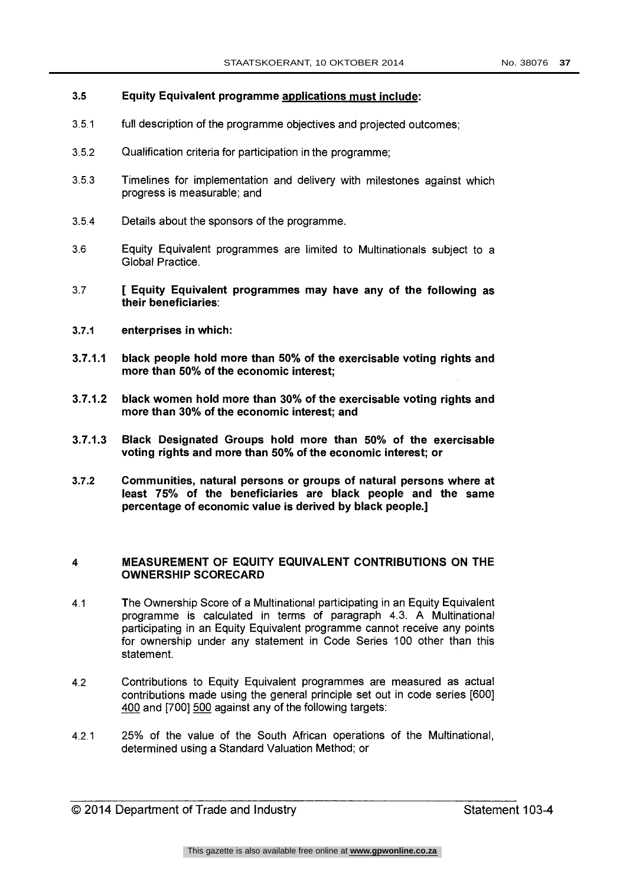## 3.5 Equity Equivalent programme applications must include:

- 3.5.1 full description of the programme objectives and projected outcomes;
- 3.5.2 Qualification criteria for participation in the programme;
- 3.5.3 Timelines for implementation and delivery with milestones against which progress is measurable; and
- 3.5.4 Details about the sponsors of the programme.
- 3.6 Equity Equivalent programmes are limited to Multinationals subject to a Global Practice.
- 3.7 [ Equity Equivalent programmes may have any of the following as their beneficiaries:
- 3.7.1 enterprises in which:
- 3.7.1.1 black people hold more than 50% of the exercisable voting rights and more than 50% of the economic interest;
- 3.7.1.2 black women hold more than 30% of the exercisable voting rights and more than 30% of the economic interest; and
- 3.7.1.3 Black Designated Groups hold more than 50% of the exercisable voting rights and more than 50% of the economic interest; or
- 3.7.2 Communities, natural persons or groups of natural persons where at least 75% of the beneficiaries are black people and the same percentage of economic value is derived by black people.]

## 4 MEASUREMENT OF EQUITY EQUIVALENT CONTRIBUTIONS ON THE OWNERSHIP SCORECARD

- 4.1 The Ownership Score of a Multinational participating in an Equity Equivalent programme is calculated in terms of paragraph 4.3. A Multinational participating in an Equity Equivalent programme cannot receive any points for ownership under any statement in Code Series 100 other than this statement.
- 4.2 Contributions to Equity Equivalent programmes are measured as actual contributions made using the general principle set out in code series [600] 400 and [700] 500 against any of the following targets:
- 4.2.1 25% of the value of the South African operations of the Multinational, determined using a Standard Valuation Method; or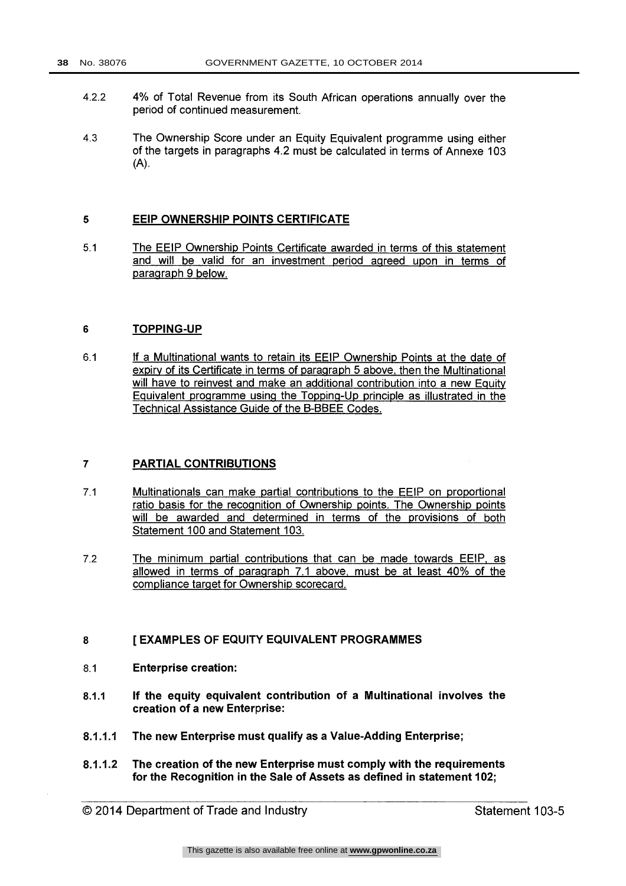- 4.2.2 4% of Total Revenue from its South African operations annually over the period of continued measurement.
- 4.3 The Ownership Score under an Equity Equivalent programme using either of the targets in paragraphs 4.2 must be calculated in terms of Annexe 103  $(A)$ .

## 5 EEIP OWNERSHIP POINTS CERTIFICATE

5.1 The EEIP Ownership Points Certificate awarded in terms of this statement and will be valid for an investment period agreed upon in terms of paragraph 9 below.

## 6 TOPPING-UP

6.1 If a Multinational wants to retain its EEIP Ownership Points at the date of expiry of its Certificate in terms of paragraph 5 above, then the Multinational will have to reinvest and make an additional contribution into a new Equity Equivalent programme using the Topping-Up principle as illustrated in the Technical Assistance Guide of the B-BBEE Codes.

## 7 PARTIAL CONTRIBUTIONS

- 7.1 Multinationals can make partial contributions to the EEIP on proportional ratio basis for the recognition of Ownership points. The Ownership points will be awarded and determined in terms of the provisions of both Statement 100 and Statement 103.
- 7.2 The minimum partial contributions that can be made towards EEIP, as allowed in terms of paragraph 7.1 above, must be at least 40% of the compliance target for Ownership scorecard.

## 8 **I EXAMPLES OF EQUITY EQUIVALENT PROGRAMMES**

- 8.1 Enterprise creation:
- 8.1.1 If the equity equivalent contribution of a Multinational involves the creation of a new Enterprise:
- 8.1.1.1 The new Enterprise must qualify as a Value-Adding Enterprise;
- 8.1.1.2 The creation of the new Enterprise must comply with the requirements for the Recognition in the Sale of Assets as defined in statement 102;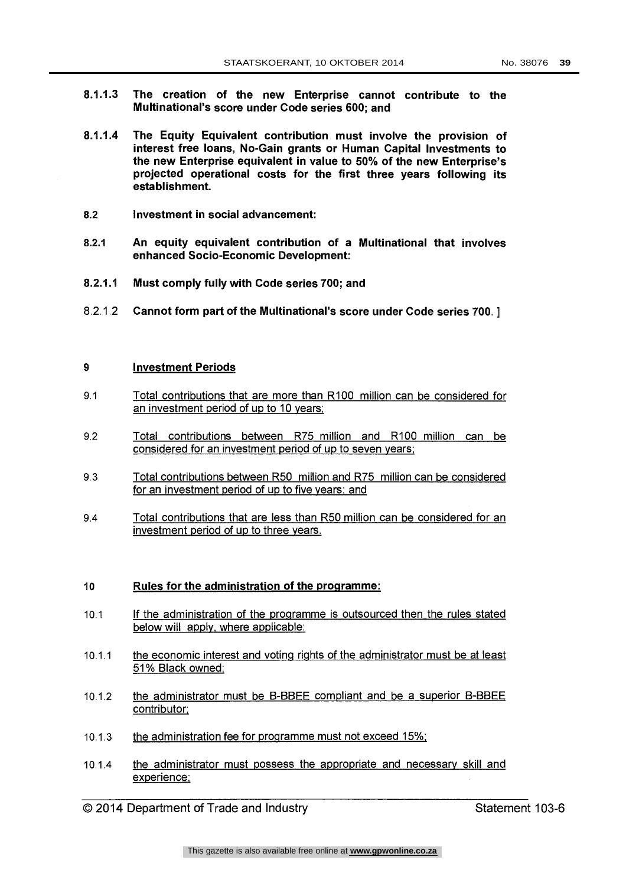- 8.1.1.3 The creation of the new Enterprise cannot contribute to the Multinational's score under Code series 600; and
- 8.1.1.4 The Equity Equivalent contribution must involve the provision of interest free loans, No-Gain grants or Human Capital Investments to the new Enterprise equivalent in value to 50% of the new Enterprise's projected operational costs for the first three years following its establishment.
- 8.2 Investment in social advancement:
- 8.2.1 An equity equivalent contribution of a Multinational that involves enhanced Socio-Economic Development:
- 8.2.1.1 Must comply fully with Code series 700; and
- 8.2.1.2 Cannot form part of the Multinational's score under Code series 700. ]

## <sup>9</sup> Investment Periods

- 9.1 Total contributions that are more than R100 million can be considered for an investment period of up to 10 years
- 9.2 Total contributions between R75 million and R100 million can be considered for an investment period of up to seven years;
- 9.3 Total contributions between R50 million and R75 million can be considered for an investment period of up to five years; and
- 9.4 Total contributions that are less than R50 million can be considered for an investment period of up to three years.

## 10 Rules for the administration of the programme:

- 10.1 If the administration of the programme is outsourced then the rules stated below will apply, where applicable:
- 10.1.1 the economic interest and voting rights of the administrator must be at least 51% Black owned;
- 10.1.2 the administrator must be B-BBEE compliant and be a superior B-BBEE contributor;
- 10.1.3 the administration fee for programme must not exceed 15%;
- 10.1.4 the administrator must possess the appropriate and necessary skill and experience;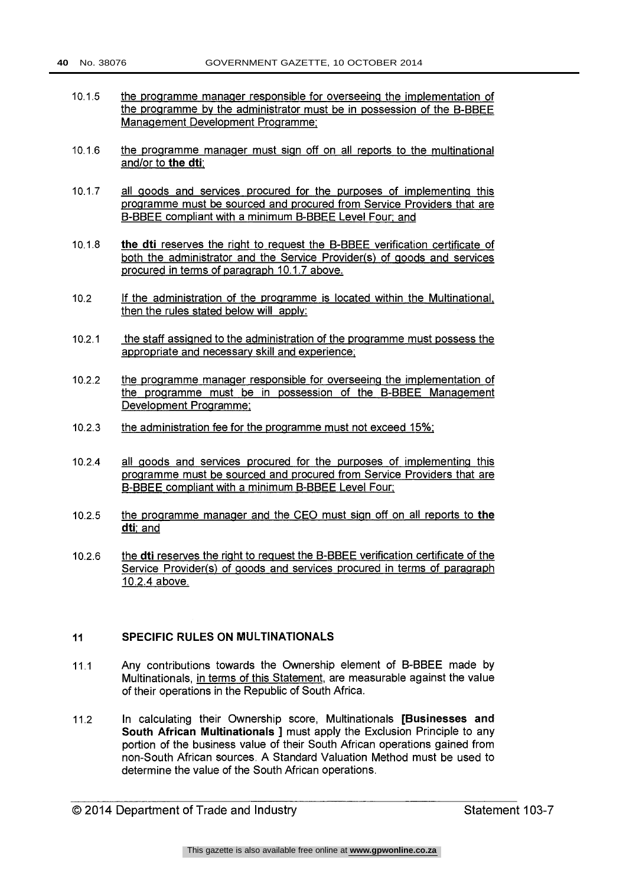- 10.1.5 the programme manager responsible for overseeing the implementation of the programme by the administrator must be in possession of the B-BBEE Management Development Programme;
- 10.1.6 the programme manager must sign off on all reports to the multinational and/or to the dti:
- 10.1.7 all goods and services procured for the purposes of implementing this programme must be sourced and procured from Service Providers that are B-BBEE compliant with a minimum B-BBEE Level Four; and
- 10.1.8 the dti reserves the right to request the B-BBEE verification certificate of both the administrator and the Service Provider(s) of goods and services procured in terms of paragraph 10.1.7 above.
- 10.2 If the administration of the programme is located within the Multinational, then the rules stated below will apply:
- 10.2.1 the staff assigned to the administration of the programme must possess the appropriate and necessary skill and experience;
- 10.2.2 the programme manager responsible for overseeing the implementation of the programme must be in possession of the B-BBEE Management Development Programme;
- 10.2.3 the administration fee for the programme must not exceed 15%;
- 10.2.4 all goods and services procured for the purposes of implementing this programme must be sourced and procured from Service Providers that are B-BBEE compliant with a minimum B-BBEE Level Four;
- 10.2.5 the programme manager and the CEO must sign off on all reports to the dti: and
- 10.2.6 the dti reserves the right to request the B-BBEE verification certificate of the Service Provider(s) of goods and services procured in terms of paragraph 10.2.4 above.

## 11 SPECIFIC RULES ON MULTINATIONALS

- $11.1$ Any contributions towards the Ownership element of B-BBEE made by Multinationals, in terms of this Statement, are measurable against the value of their operations in the Republic of South Africa.
- 11.2 In calculating their Ownership score, Multinationals [Businesses and South African Multinationals ] must apply the Exclusion Principle to any portion of the business value of their South African operations gained from non-South African sources. A Standard Valuation Method must be used to determine the value of the South African operations.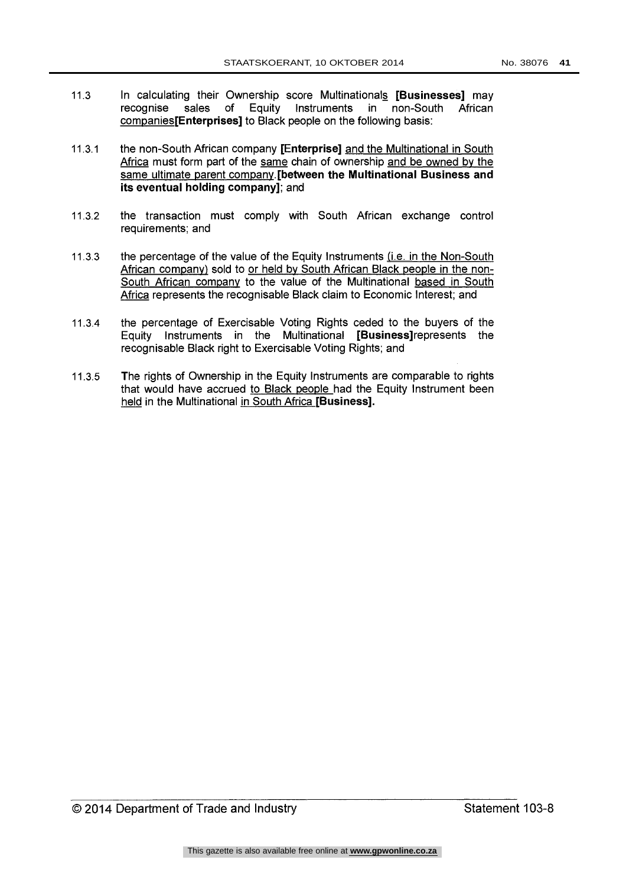- 11.3 In calculating their Ownership score Multinationals [Businesses] may recognise sales of Equity Instruments in non-South African companies[Enterprises] to Black people on the following basis:
- 11.3.1 the non-South African company [Enterprise] and the Multinational in South Africa must form part of the same chain of ownership and be owned by the same ultimate parent companv.[between the Multinational Business and its eventual holding company]; and
- 11.3.2 the transaction must comply with South African exchange control requirements; and
- 11.3.3 the percentage of the value of the Equity Instruments (i.e. in the Non-South African company) sold to or held by South African Black people in the non-South African company to the value of the Multinational based in South Africa represents the recognisable Black claim to Economic Interest; and
- 11.3.4 the percentage of Exercisable Voting Rights ceded to the buyers of the Equity Instruments in the Multinational [Business]represents the recognisable Black right to Exercisable Voting Rights; and
- 11.3.5 The rights of Ownership in the Equity Instruments are comparable to rights that would have accrued to Black people had the Equity Instrument been held in the Multinational in South Africa [Business].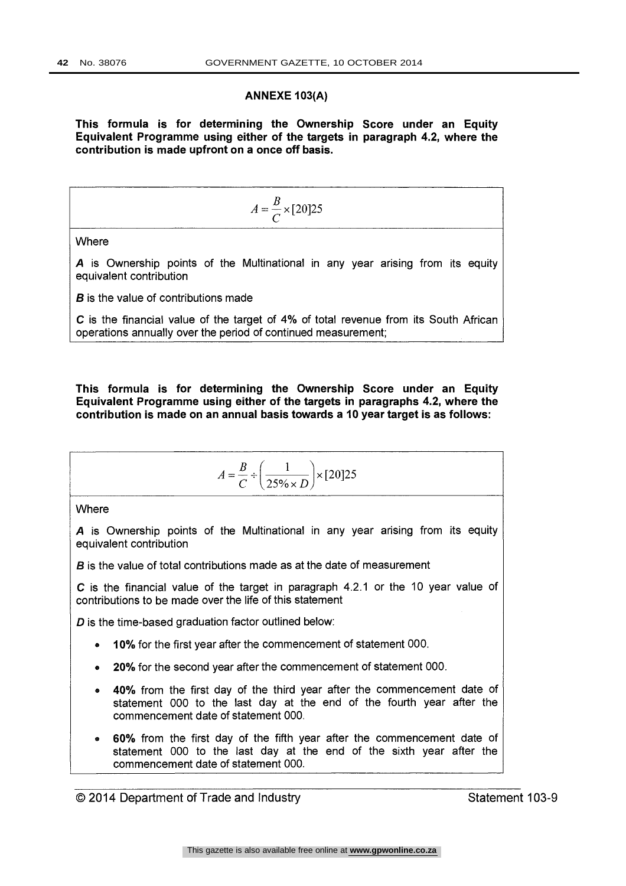## ANNEXE 103(A)

This formula is for determining the Ownership Score under an Equity Equivalent Programme using either of the targets in paragraph 4.2, where the contribution is made upfront on a once off basis.

$$
A = \frac{B}{C} \times [20]25
$$

**Where** 

A is Ownership points of the Multinational in any year arising from its equity equivalent contribution

**B** is the value of contributions made

C is the financial value of the target of 4% of total revenue from its South African operations annually over the period of continued measurement;

This formula is for determining the Ownership Score under an Equity Equivalent Programme using either of the targets in paragraphs 4.2, where the contribution is made on an annual basis towards a 10 year target is as follows:

$$
A = \frac{B}{C} \div \left(\frac{1}{25\% \times D}\right) \times [20]25
$$
  
Where  
**A** is Our  
parship points of the Multinational in any year arising from its equality

A is Ownership points of the Multinational in any year arising from its equity equivalent contribution

B is the value of total contributions made as at the date of measurement

C is the financial value of the target in paragraph 4.2.1 or the 10 year value of contributions to be made over the life of this statement

D is the time-based graduation factor outlined below:

- 10% for the first year after the commencement of statement 000.  $\bullet$
- 20% for the second year after the commencement of statement 000.  $\bullet$
- 40% from the first day of the third year after the commencement date of statement 000 to the last day at the end of the fourth year after the commencement date of statement 000.
- 60% from the first day of the fifth year after the commencement date of statement 000 to the last day at the end of the sixth year after the commencement date of statement 000.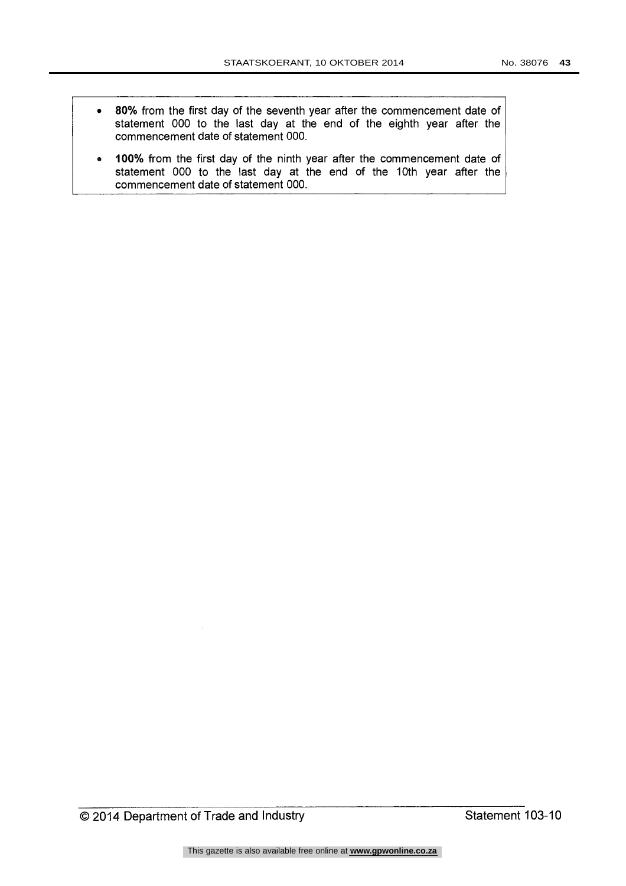- 80% from the first day of the seventh year after the commencement date of  $\bullet$ statement 000 to the last day at the end of the eighth year after the commencement date of statement 000.
- 100% from the first day of the ninth year after the commencement date of  $\bullet$ statement 000 to the last day at the end of the 10th year after the commencement date of statement 000.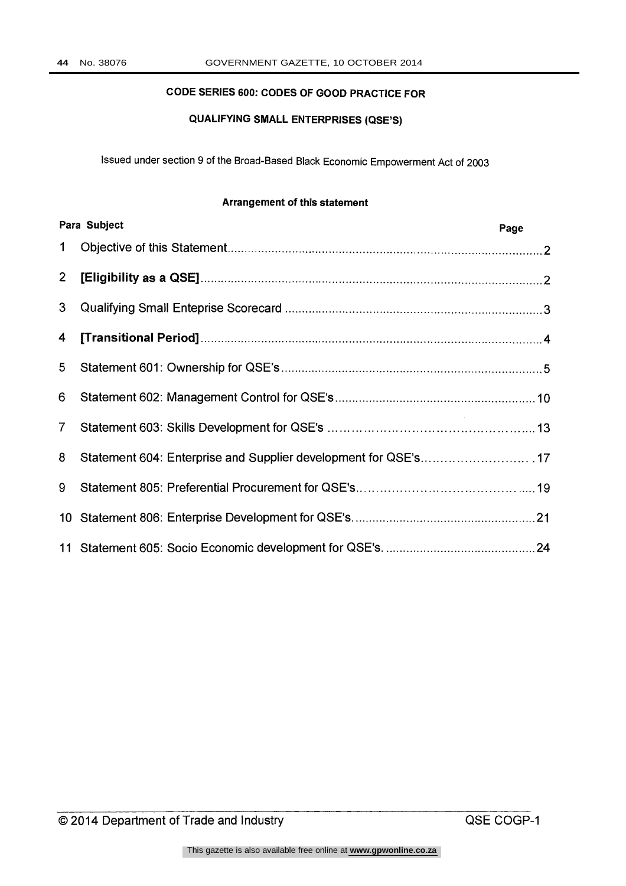## CODE SERIES 600: CODES OF GOOD PRACTICE FOR

## QUALIFYING SMALL ENTERPRISES (QSE'S)

Issued under section 9 of the Broad-Based Black Economic Empowerment Act of 2003

## Arrangement of this statement

|                | Para Subject | Page |
|----------------|--------------|------|
| $\mathbf 1$    |              |      |
| $\overline{2}$ |              |      |
| $3^{\circ}$    |              |      |
| 4              |              |      |
| 5              |              |      |
| 6              |              |      |
| $\overline{7}$ |              |      |
| 8              |              |      |
| 9              |              |      |
|                |              |      |
|                |              |      |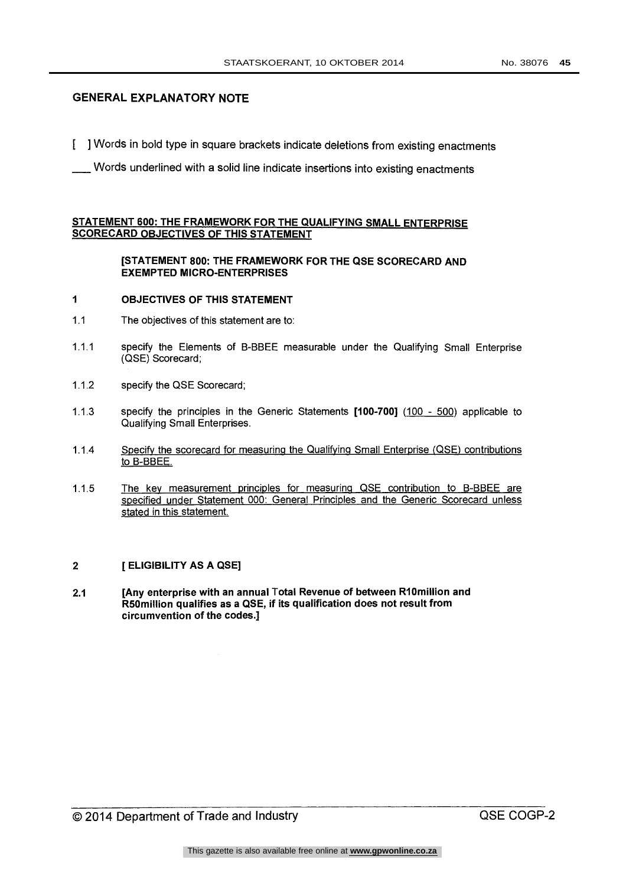## GENERAL EXPLANATORY NOTE

- [ ] Words in bold type in square brackets indicate deletions from existing enactments
- Words underlined with a solid line indicate insertions into existing enactments

## STATEMENT 600: THE FRAMEWORK FOR THE QUALIFYING SMALL ENTERPRISE SCORECARD OBJECTIVES OF THIS STATEMENT

## [STATEMENT 800: THE FRAMEWORK FOR THE QSE SCORECARD AND EXEMPTED MICRO-ENTERPRISES

## <sup>1</sup> OBJECTIVES OF THIS STATEMENT

- 1.1 The objectives of this statement are to:
- 1.1.1 specify the Elements of B-BBEE measurable under the Qualifying Small Enterprise (QSE) Scorecard;
- 1.1.2 specify the QSE Scorecard;
- 1.1.3 specify the principles in the Generic Statements [100-700] (100 500) applicable to Qualifying Small Enterprises.
- 1.1.4 Specify the scorecard for measuring the Qualifying Small Enterprise (QSE) contributions to B-BBEE.
- 1.1.5 The key measurement principles for measuring QSE contribution to B-BBEE are specified under Statement 000: General Principles and the Generic Scorecard unless stated in this statement.

## 2 **[ ELIGIBILITY AS A QSE]**

2.1 [Any enterprise with an annual Total Revenue of between R1Omillion and R50million qualifies as a QSE, if its qualification does not result from circumvention of the codes.]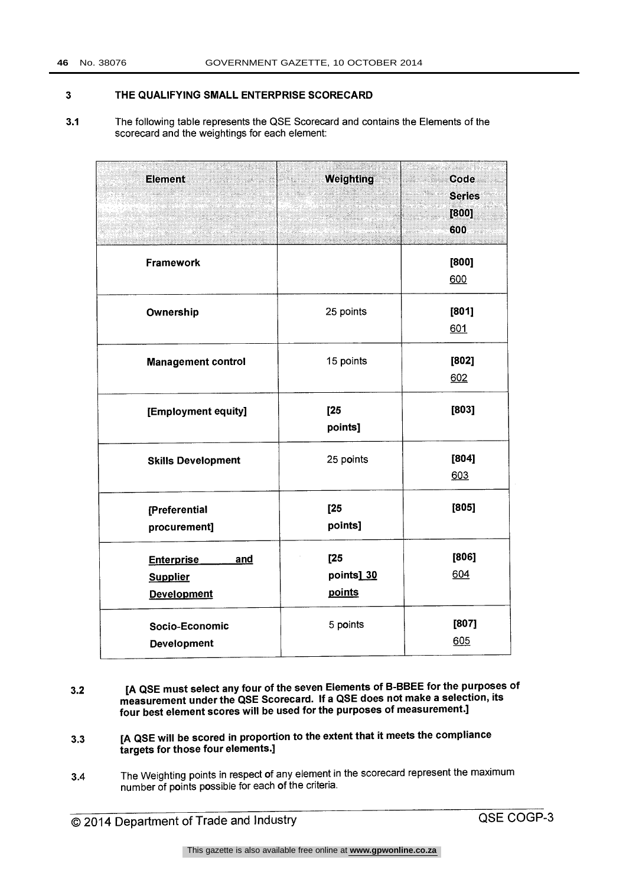## 3 THE QUALIFYING SMALL ENTERPRISE SCORECARD

3.1 The following table represents the QSE Scorecard and contains the Elements of the scorecard and the weightings for each element:

| Element and the state of Weighting                         | <u>se de la compa</u>        | <u> Karatana Ma</u><br><b>Code Communication</b><br>- 50<br><b>Series</b><br>William<br>[800]<br>600 |
|------------------------------------------------------------|------------------------------|------------------------------------------------------------------------------------------------------|
| Framework                                                  |                              | [800]<br>600                                                                                         |
| Ownership                                                  | 25 points                    | [801]<br>601                                                                                         |
| <b>Management control</b>                                  | 15 points                    | [802]<br>602                                                                                         |
| [Employment equity]                                        | [25]<br>points]              | $[803]$                                                                                              |
| <b>Skills Development</b>                                  | 25 points                    | $[804]$<br>603                                                                                       |
| [Preferential<br>procurement]                              | [25]<br>points]              | [805]                                                                                                |
| Enterprise<br>and<br><b>Supplier</b><br><b>Development</b> | [25]<br>points] 30<br>points | [806]<br>604                                                                                         |
| Socio-Economic<br>Development                              | 5 points                     | $[807]$<br>605                                                                                       |

3.2 [A QSE must select any four of the seven Elements of B-BBEE for the purposes of measurement under the QSE Scorecard. If a QSE does not make a selection, its four best element scores will be used for the purposes of measurement.]

## 3.3 [A QSE will be scored in proportion to the extent that it meets the compliance targets for those four elements.]

3.4 The Weighting points in respect of any element in the scorecard represent the maximum number of points possible for each of the criteria.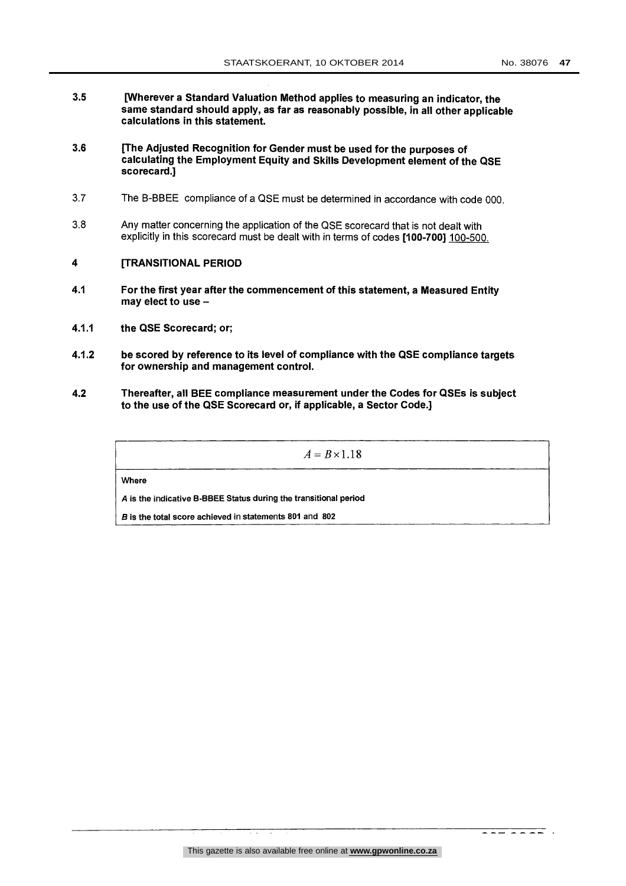- 3.5 [Wherever a Standard Valuation Method applies to measuring an indicator, the same standard should apply, as far as reasonably possible, in all other applicable calculations in this statement.
- 3.6 [The Adjusted Recognition for Gender must be used for the purposes of calculating the Employment Equity and Skills Development element of the QSE scorecard.]
- 3.7 The B-BBEE compliance of a QSE must be determined in accordance with code 000.
- 3.8 Any matter concerning the application of the QSE scorecard that is not dealt with explicitly in this scorecard must be dealt with in terms of codes [100-700] 100-500.
- 4 **ITRANSITIONAL PERIOD**
- 4.1 For the first year after the commencement of this statement, a Measured Entity may elect to use -
- 4.1.1 the QSE Scorecard; or;
- 4.1.2 be scored by reference to its level of compliance with the QSE compliance targets for ownership and management control.
- 4.2 Thereafter, all BEE compliance measurement under the Codes for QSEs is subject to the use of the QSE Scorecard or, if applicable, a Sector Code.]

## $A=B\times1.18$

**Where** 

A is the indicative B-BBEE Status during the transitional period

B is the total score achieved in statements 801 and 802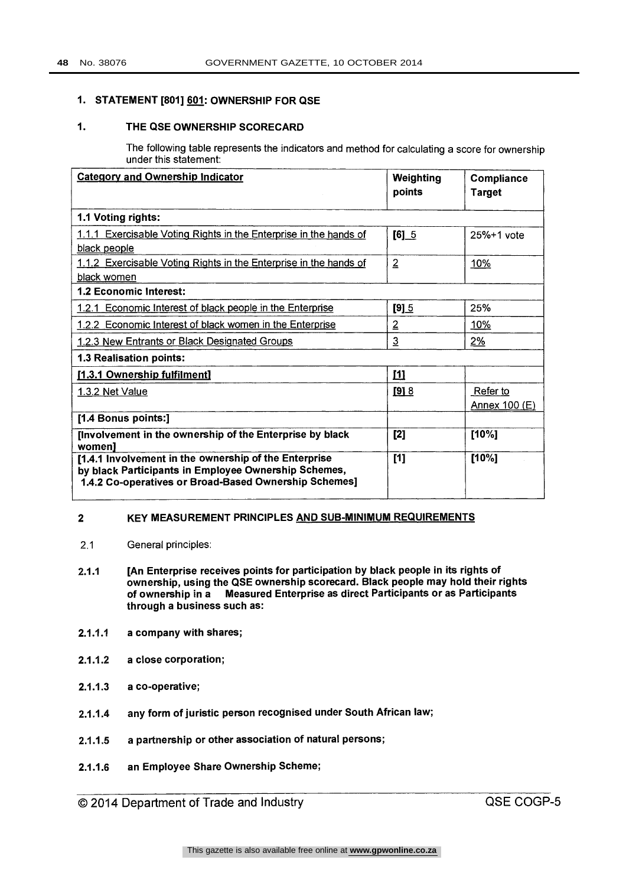## 1. STATEMENT [801] 601: OWNERSHIP FOR QSE

## 1. THE QSE OWNERSHIP SCORECARD

The following table represents the indicators and method for calculating a score for ownership under this statement:

| <b>Category and Ownership Indicator</b>                                                                                                                                | Weighting      | <b>Compliance</b>                |
|------------------------------------------------------------------------------------------------------------------------------------------------------------------------|----------------|----------------------------------|
|                                                                                                                                                                        | points         | <b>Target</b>                    |
| 1.1 Voting rights:                                                                                                                                                     |                |                                  |
| 1.1.1 Exercisable Voting Rights in the Enterprise in the hands of<br>black people                                                                                      | $[6]$ 5        | $25%+1$ vote                     |
| 1.1.2 Exercisable Voting Rights in the Enterprise in the hands of<br>black women                                                                                       | $\overline{2}$ | 10%                              |
| 1.2 Economic Interest:                                                                                                                                                 |                |                                  |
| Economic Interest of black people in the Enterprise<br>1.2.1                                                                                                           | [9] 5          | 25%                              |
| 1.2.2 Economic Interest of black women in the Enterprise                                                                                                               | $\overline{2}$ | <u>10%</u>                       |
| 1.2.3 New Entrants or Black Designated Groups                                                                                                                          | $\overline{3}$ | 2%                               |
| <b>1.3 Realisation points:</b>                                                                                                                                         |                |                                  |
| [1.3.1 Ownership fulfilment]                                                                                                                                           | 11]            |                                  |
| 1.3.2 Net Value                                                                                                                                                        | 618            | Refer to<br><u>Annex 100 (E)</u> |
| [1.4 Bonus points:]                                                                                                                                                    |                |                                  |
| [Involvement in the ownership of the Enterprise by black<br>womenl                                                                                                     | [2]            | [10%]                            |
| [1.4.1 Involvement in the ownership of the Enterprise<br>by black Participants in Employee Ownership Schemes,<br>1.4.2 Co-operatives or Broad-Based Ownership Schemes] | [1]            | [10%]                            |

## 2 KEY MEASUREMENT PRINCIPLES AND SUB-MINIMUM REQUIREMENTS

- 2.1 General principles:
- 2.1.1 [An Enterprise receives points for participation by black people in its rights of ownership, using the QSE ownership scorecard. Black people may hold their rights of ownership in a Measured Enterprise as direct Participants or as Participants through a business such as:
- 2.1.1.1 a company with shares;
- 2.1.1.2 a close corporation;
- 2.1.1.3 a co-operative;
- 2.1.1.4 any form of juristic person recognised under South African law;
- 2.1.1.5 a partnership or other association of natural persons;
- 2.1.1.6 an Employee Share Ownership Scheme;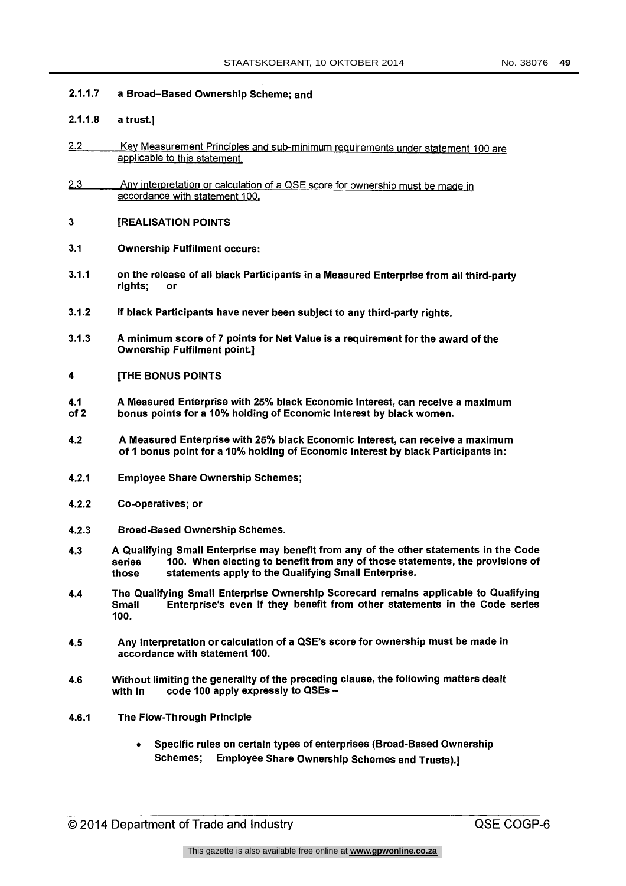## 2.1.1.7 a Broad-Based Ownership Scheme; and

## 2.1.1.8 a trust.]

- 2.2 Key Measurement Principles and sub-minimum requirements under statement 100 are applicable to this statement.
- 2.3 Any interpretation or calculation of a QSE score for ownership must be made in accordance with statement 100.
- 3 **IREALISATION POINTS**
- 3.1 Ownership Fulfilment occurs:
- 3.1.1 on the release of all black Participants in a Measured Enterprise from all third-party rights; or
- 3.1.2 if black Participants have never been subject to any third-party rights.
- 3.1.3 A minimum score of 7 points for Net Value is a requirement for the award of the Ownership Fulfilment point.]
- 4 [THE BONUS POINTS
- 4.1 A Measured Enterprise with 25% black Economic Interest, can receive a maximum<br>of 2 bonus points for a 10% holding of Economic Interest by black women. bonus points for a 10% holding of Economic Interest by black women.
- 4.2 A Measured Enterprise with 25% black Economic Interest, can receive a maximum of 1 bonus point for a 10% holding of Economic Interest by black Participants in:
- 4.2.1 Employee Share Ownership Schemes;
- 4.2.2 Co-operatives; or
- 4.2.3 Broad-Based Ownership Schemes.
- 4.3 A Qualifying Small Enterprise may benefit from any of the other statements in the Code<br>series 100. When electing to benefit from any of those statements, the provisions of series 100. When electing to benefit from any of those statements, the provisions of those statements apply to the Qualifying Small Enterprise.
- 4.4 The Qualifying Small Enterprise Ownership Scorecard remains applicable to Qualifying<br>Small Finterprise's even if they benefit from other statements in the Code series Enterprise's even if they benefit from other statements in the Code series 100.
- 4.5 Any interpretation or calculation of a QSE's score for ownership must be made in accordance with statement 100.
- 4.6 Without limiting the generality of the preceding clause, the following matters dealt with in code 100 apply expressly to QSEs -
- 4.6.1 The Flow-Through Principle
	- Specific rules on certain types of enterprises (Broad-Based Ownership Schemes; Employee Share Ownership Schemes and Trusts).]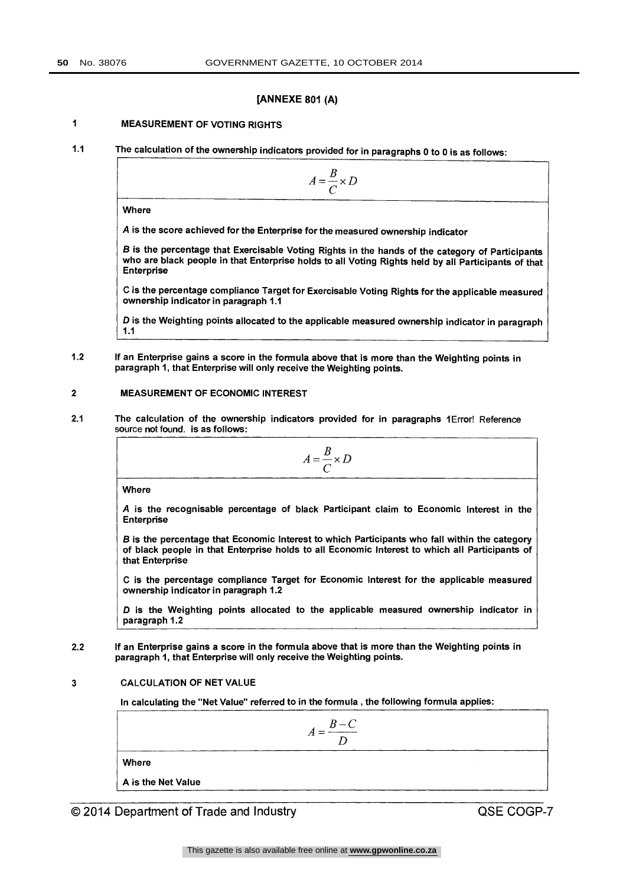## [ANNEXE 801 (A)

#### <sup>1</sup> MEASUREMENT OF VOTING RIGHTS

1.1 The calculation of the ownership indicators provided for in paragraphs 0 to 0 is as follows:

 $A=\frac{D}{C}\times D$  $C_{\text{max}}$  and  $C_{\text{max}}$ 

**Where** 

A is the score achieved for the Enterprise for the measured ownership indicator

B is the percentage that Exercisable Voting Rights in the hands of the category of Participants who are black people in that Enterprise holds to all Voting Rights held by all Participants of that Enterprise

C is the percentage compliance Target for Exercisable Voting Rights for the applicable measured ownership indicator in paragraph 1.1

D is the Weighting points allocated to the applicable measured ownership indicator in paragraph 1.1

1.2 If an Enterprise gains a score in the formula above that is more than the Weighting points in paragraph 1, that Enterprise will only receive the Weighting points.

#### 2 MEASUREMENT OF ECONOMIC INTEREST

2.1 The calculation of the ownership indicators provided for in paragraphs lError! Reference source not found. is as follows:

$$
A = \frac{B}{C} \times D
$$

**Where** 

A is the recognisable percentage of black Participant claim to Economic Interest in the Enterprise

B is the percentage that Economic Interest to which Participants who fall within the category of black people in that Enterprise holds to all Economic Interest to which all Participants of that Enterprise

C is the percentage compliance Target for Economic Interest for the applicable measured ownership indicator in paragraph 1.2

D is the Weighting points allocated to the applicable measured ownership indicator in paragraph 1.2

2.2 If an Enterprise gains a score in the formula above that is more than the Weighting points in paragraph 1, that Enterprise will only receive the Weighting points.

#### 3 CALCULATION OF NET VALUE

In calculating the "Net Value" referred to in the formula , the following formula applies:



Where

A is the Net Value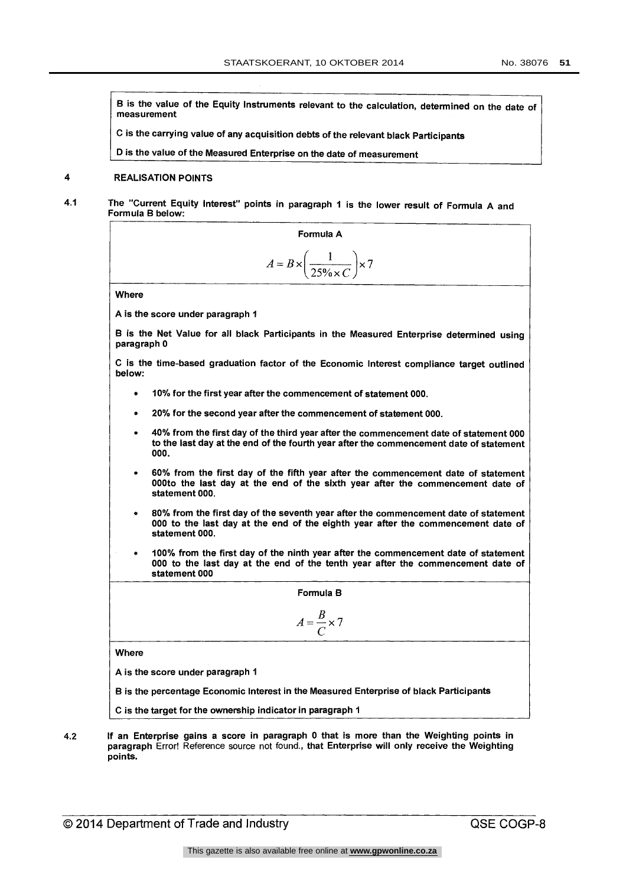B is the value of the Equity Instruments relevant to the calculation, determined on the date of measurement

C is the carrying value of any acquisition debts of the relevant black Participants

D is the value of the Measured Enterprise on the date of measurement

#### 4 REALISATION POINTS

4.1 The "Current Equity Interest" points in paragraph 1 is the lower result of Formula A and Formula B below:

> Formula A

$$
A = B \times \left(\frac{1}{25\% \times C}\right) \times 7
$$

**Where** 

A is the score under paragraph 1

B is the Net Value for all black Participants in the Measured Enterprise determined using paragraph 0

C is the time-based graduation factor of the Economic Interest compliance target outlined below:

- 10% for the first year after the commencement of statement 000.
- 20% for the second year after the commencement of statement 000.
- 40% from the first day of the third year after the commencement date of statement 000 to the last day at the end of the fourth year after the commencement date of statement 000.
- 60% from the first day of the fifth year after the commencement date of statement 000to the last day at the end of the sixth year after the commencement date of statement 000.
- 80% from the first day of the seventh year after the commencement date of statement 000 to the last day at the end of the eighth year after the commencement date of statement 000.
- 100% from the first day of the ninth year after the commencement date of statement 000 to the last day at the end of the tenth year after the commencement date of statement 000

Formula B

$$
A = \frac{B}{C} \times 7
$$

**Where** 

A is the score under paragraph 1

B is the percentage Economic Interest in the Measured Enterprise of black Participants

C is the target for the ownership indicator in paragraph 1

4.2 If an Enterprise gains a score in paragraph 0 that is more than the Weighting points in paragraph Error! Reference source not found., that Enterprise will only receive the Weighting points.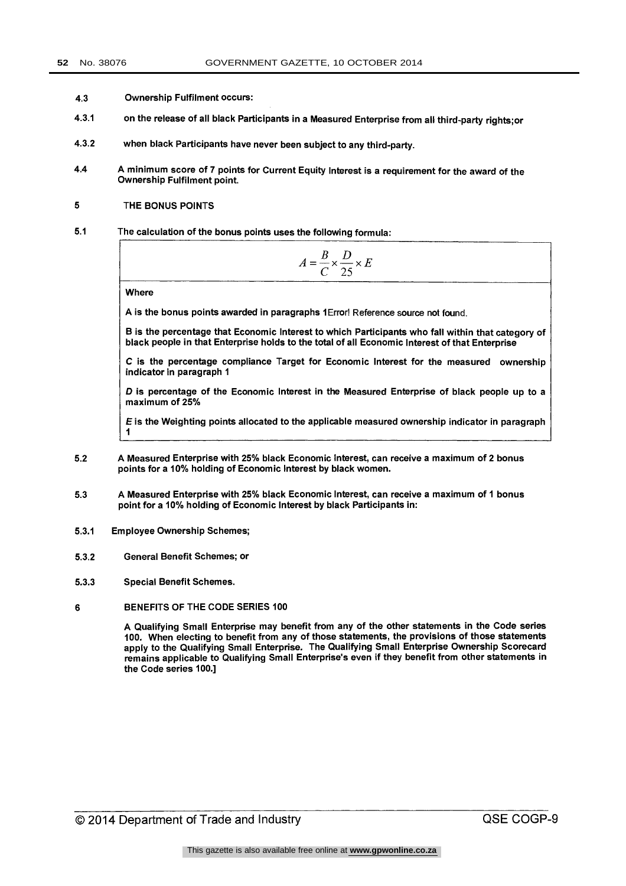- 4.3 Ownership Fulfilment occurs:
- 4.3.1 on the release of all black Participants in a Measured Enterprise from all third-party rights;or
- 4.3.2 when black Participants have never been subject to any third-party.
- 4.4 A minimum score of 7 points for Current Equity Interest is a requirement for the award of the Ownership Fulfilment point.

#### 5 THE BONUS POINTS

5.1 The calculation of the bonus points uses the following formula:

$$
A = \frac{B}{C} \times \frac{D}{25} \times E
$$

Where

A is the bonus points awarded in paragraphs lError! Reference source not found.

B is the percentage that Economic Interest to which Participants who fall within that category of black people in that Enterprise holds to the total of all Economic Interest of that Enterprise

C is the percentage compliance Target for Economic Interest for the measured ownership indicator in paragraph 1

D is percentage of the Economic Interest in the Measured Enterprise of black people up to a maximum of 25%

 $E$  is the Weighting points allocated to the applicable measured ownership indicator in paragraph 1

- 5.2 A Measured Enterprise with 25% black Economic Interest, can receive a maximum of 2 bonus points for a 10% holding of Economic Interest by black women.
- 5.3 A Measured Enterprise with 25% black Economic Interest, can receive a maximum of 1 bonus point for a 10% holding of Economic Interest by black Participants in:
- 5.3.1 Employee Ownership Schemes;
- 5.3.2 General Benefit Schemes; or
- 5.3.3 Special Benefit Schemes.
- 6 BENEFITS OF THE CODE SERIES 100

A Qualifying Small Enterprise may benefit from any of the other statements in the Code series 100. When electing to benefit from any of those statements, the provisions of those statements apply to the Qualifying Small Enterprise. The Qualifying Small Enterprise Ownership Scorecard remains applicable to Qualifying Small Enterprise's even if they benefit from other statements in the Code series 100.]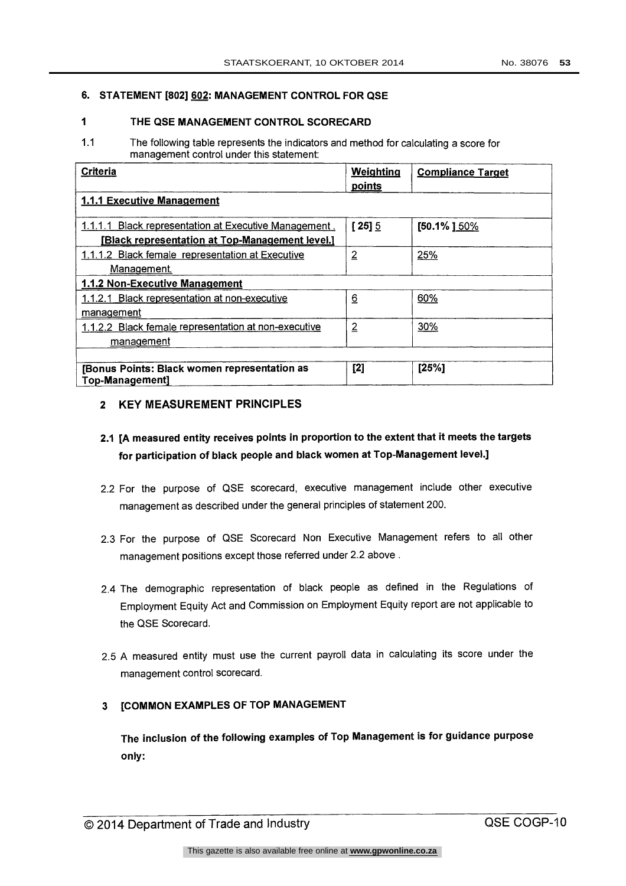## 6. STATEMENT [802] 602: MANAGEMENT CONTROL FOR QSE

## <sup>1</sup> THE QSE MANAGEMENT CONTROL SCORECARD

1.1 The following table represents the indicators and method for calculating a score for management control under this statement:

| <b>Criteria</b>                                                                                          | Weighting<br>points | <b>Compliance Target</b> |
|----------------------------------------------------------------------------------------------------------|---------------------|--------------------------|
| <b>1.1.1 Executive Management</b>                                                                        |                     |                          |
| 1.1.1.1 Black representation at Executive Management.<br>[Black representation at Top-Management level.] | $[25]$ 5            | $[50.1\%]$ 50%           |
| 1.1.1.2 Black female representation at Executive<br>Management.                                          | $\overline{2}$      | 25%                      |
| <b>1.1.2 Non-Executive Management</b>                                                                    |                     |                          |
| 1.1.2.1 Black representation at non-executive<br>management                                              | $6\overline{6}$     | 60%                      |
| 1.1.2.2 Black female representation at non-executive<br>management                                       | $\overline{2}$      | 30%                      |
|                                                                                                          |                     |                          |
| [Bonus Points: Black women representation as<br><b>Top-Management]</b>                                   | [2]                 | [25%]                    |

## 2 KEY MEASUREMENT PRINCIPLES

## 2.1 [A measured entity receives points in proportion to the extent that it meets the targets for participation of black people and black women at Top-Management level.]

- 2.2 For the purpose of QSE scorecard, executive management include other executive management as described under the general principles of statement 200.
- 2.3 For the purpose of QSE Scorecard Non Executive Management refers to all other management positions except those referred under 2.2 above .
- 2.4 The demographic representation of black people as defined in the Regulations of Employment Equity Act and Commission on Employment Equity report are not applicable to the QSE Scorecard.
- 2.5 A measured entity must use the current payroll data in calculating its score under the management control scorecard.

## 3 [COMMON EXAMPLES OF TOP MANAGEMENT

The inclusion of the following examples of Top Management is for guidance purpose only: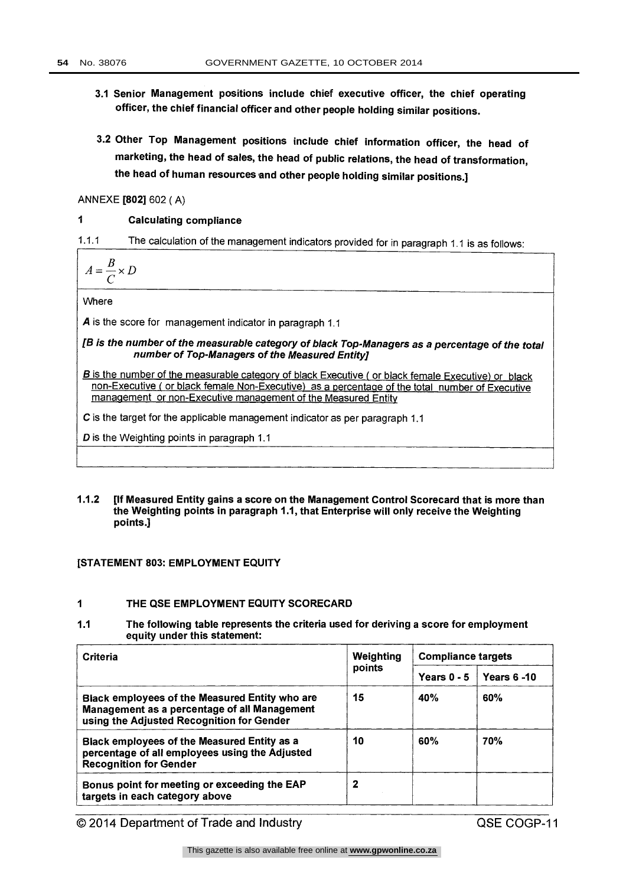- 3.1 Senior Management positions include chief executive officer, the chief operating officer, the chief financial officer and other people holding similar positions.
- 3.2 Other Top Management positions include chief information officer, the head of marketing, the head of sales, the head of public relations, the head of transformation, the head of human resources and other people holding similar positions.]

## ANNEXE [802] 602 ( A)

## <sup>1</sup> Calculating compliance

| 1.1.1 | . The calculation of the management indicators provided for in paragraph 1.1 is as follows: |
|-------|---------------------------------------------------------------------------------------------|
|       |                                                                                             |

$$
A = \frac{B}{C} \times D
$$

**Where** 

A is the score for management indicator in paragraph 1.1

## (B is the number of the measurable category of black Top-Managers as a percentage of the total number of Top-Managers of the Measured Entity]

B is the number of the measurable category of black Executive (or black female Executive) or black non-Executive ( or black female Non-Executive) as a percentage of the total number of Executive management or non-Executive management of the Measured Entity

C is the target for the applicable management indicator as per paragraph 1.1

D is the Weighting points in paragraph 1.1

## 1.1.2 [If Measured Entity gains a score on the Management Control Scorecard that is more than the Weighting points in paragraph 1.1, that Enterprise will only receive the Weighting points.]

## [STATEMENT 803: EMPLOYMENT EQUITY

#### $\ddot{\mathbf{1}}$ THE QSE EMPLOYMENT EQUITY SCORECARD

#### $1.1$ The following table represents the criteria used for deriving a score for employment equity under this statement:

| Criteria                                                                                                                                           | Weighting | <b>Compliance targets</b> |                |
|----------------------------------------------------------------------------------------------------------------------------------------------------|-----------|---------------------------|----------------|
|                                                                                                                                                    | points    | Years $0 - 5$             | Years $6 - 10$ |
| <b>Black employees of the Measured Entity who are</b><br>Management as a percentage of all Management<br>using the Adjusted Recognition for Gender | 15        | 40%                       | 60%            |
| <b>Black employees of the Measured Entity as a</b><br>percentage of all employees using the Adjusted<br><b>Recognition for Gender</b>              | 10        | 60%                       | 70%            |
| Bonus point for meeting or exceeding the EAP<br>targets in each category above                                                                     | 2         |                           |                |

© 2014 Department of Trade and Industry example that the COGP-11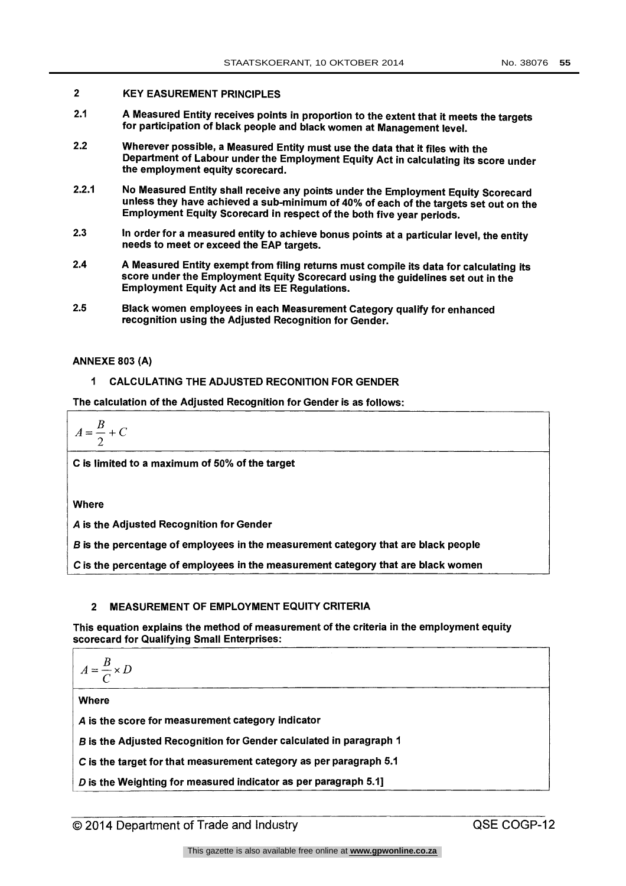## 2 KEY EASUREMENT PRINCIPLES

- 2.1 A Measured Entity receives points in proportion to the extent that it meets the targets for participation of black people and black women at Management level.
- 2.2 Wherever possible, a Measured Entity must use the data that it files with the Department of Labour under the Employment Equity Act in calculating its score under the employment equity scorecard.
- 2.2.1 No Measured Entity shall receive any points under the Employment Equity Scorecard unless they have achieved a sub-minimum of 40% of each of the targets set out on the Employment Equity Scorecard in respect of the both five year periods.
- 2.3 In order for a measured entity to achieve bonus points at a particular level, the entity needs to meet or exceed the EAP targets.
- 2.4 A Measured Entity exempt from filing returns must compile its data for calculating its score under the Employment Equity Scorecard using the guidelines set out in the Employment Equity Act and its EE Regulations.
- 2.5 Black women employees in each Measurement Category qualify for enhanced recognition using the Adjusted Recognition for Gender.

## ANNEXE 803 (A)

## <sup>1</sup> CALCULATING THE ADJUSTED RECONITION FOR GENDER

The calculation of the Adjusted Recognition for Gender is as follows:

$$
A = \frac{B}{2} + C
$$

C is limited to a maximum of 50% of the target

**Where** 

A is the Adjusted Recognition for Gender

B is the percentage of employees in the measurement category that are black people

C is the percentage of employees in the measurement category that are black women

## 2 MEASUREMENT OF EMPLOYMENT EQUITY CRITERIA

This equation explains the method of measurement of the criteria in the employment equity scorecard for Qualifying Small Enterprises:

$$
A = \frac{B}{C} \times D
$$

**Where** 

A is the score for measurement category indicator

B is the Adjusted Recognition for Gender calculated in paragraph 1

C is the target for that measurement category as per paragraph 5.1

D is the Weighting for measured indicator as per paragraph 5.1]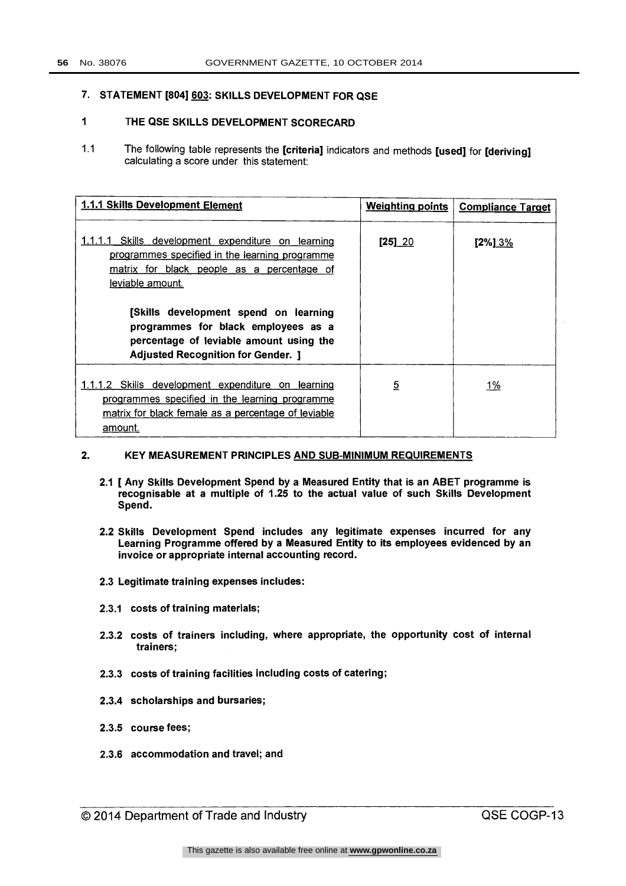## 7. STATEMENT [804] 603: SKILLS DEVELOPMENT FOR QSE

## <sup>1</sup> THE QSE SKILLS DEVELOPMENT SCORECARD

1.1 The following table represents the [criteria] indicators and methods [used] for [deriving] calculating a score under this statement:

| <b>1.1.1 Skills Development Element</b>                                                                                                                                                                                                                                                              | <b>Weighting points</b> | <b>Compliance Target</b> |
|------------------------------------------------------------------------------------------------------------------------------------------------------------------------------------------------------------------------------------------------------------------------------------------------------|-------------------------|--------------------------|
| Skills development expenditure on learning<br>1.1.1.1<br>programmes specified in the learning programme<br>matrix for black people as a percentage of<br>leviable amount.<br>[Skills development spend on learning<br>programmes for black employees as a<br>percentage of leviable amount using the | $[25]$ 20               | $[2\%]3\%$               |
| <b>Adjusted Recognition for Gender. 1</b>                                                                                                                                                                                                                                                            |                         |                          |
| 1.1.1.2 Skills development expenditure on learning<br>programmes specified in the learning programme<br>matrix for black female as a percentage of leviable<br>amount.                                                                                                                               | 5                       | 1%                       |

## 2. KEY MEASUREMENT PRINCIPLES AND SUB-MINIMUM REQUIREMENTS

- 2.1 [ Any Skills Development Spend by a Measured Entity that is an ABET programme is recognisable at a multiple of 1.25 to the actual value of such Skills Development Spend.
- 2.2 Skills Development Spend includes any legitimate expenses incurred for any Learning Programme offered by a Measured Entity to its employees evidenced by an invoice or appropriate internal accounting record.
- 2.3 Legitimate training expenses includes:
- 2.3.1 costs of training materials;
- 2.3.2 costs of trainers including, where appropriate, the opportunity cost of internal trainers;
- 2.3.3 costs of training facilities including costs of catering;
- 2.3.4 scholarships and bursaries;
- 2.3.5 course fees;
- 2.3.6 accommodation and travel; and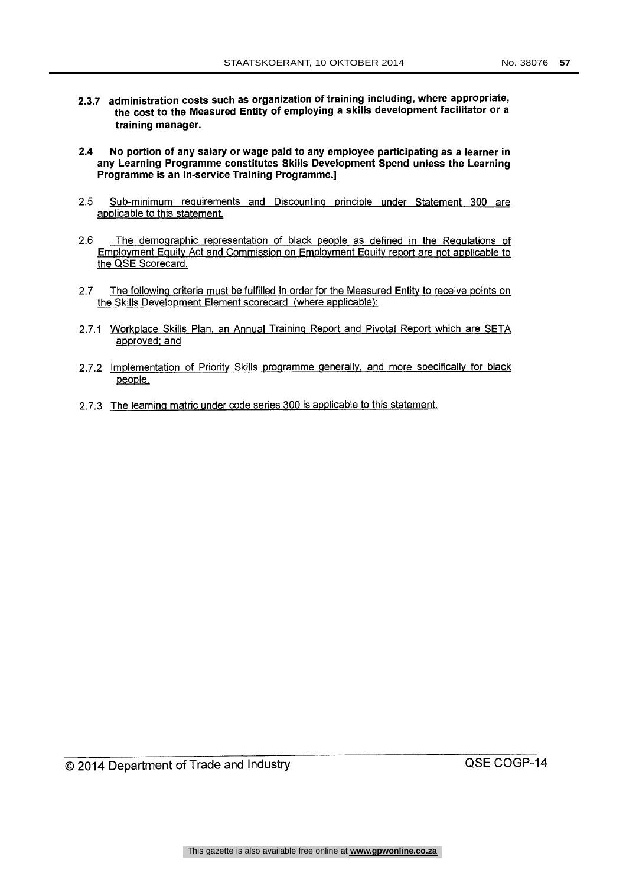- 2.3.7 administration costs such as organization of training including, where appropriate, the cost to the Measured Entity of employing a skills development facilitator or a training manager.
- 2.4 No portion of any salary or wage paid to any employee participating as a learner in any Learning Programme constitutes Skills Development Spend unless the Learning Programme is an In-service Training Programme.]
- 2.5 Sub-minimum requirements and Discounting principle under Statement 300 are applicable to this statement.
- 2.6 The demographic representation of black people as defined in the Regulations of Employment Equity Act and Commission on Employment Equity report are not applicable to the QSE Scorecard.
- 2.7 The following criteria must be fulfilled in order for the Measured Entity to receive points on the Skills Development Element scorecard (where applicable):
- 2.7.1 Workplace Skills Plan, an Annual Training Report and Pivotal Report which are SETA approved; and
- 2.7.2 Implementation of Priority Skills programme generally, and more specifically for black people.
- 2.7.3 The learning matric under code series 300 is applicable to this statement.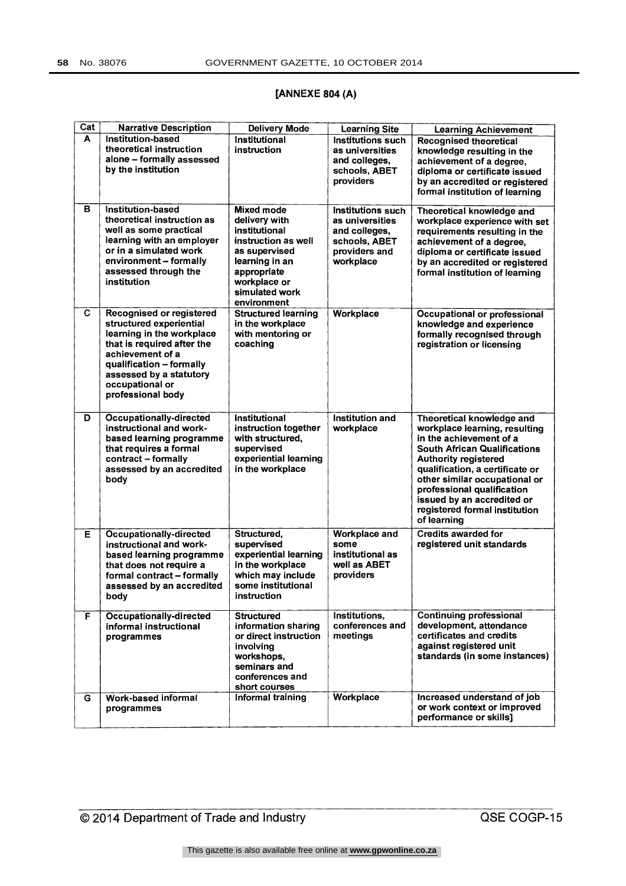## [ANNEXE 804 (A)

| Cat | <b>Narrative Description</b>                                                                                                                                                                                                      | <b>Delivery Mode</b>                                                                                                                                                   | <b>Learning Site</b>                                                                                        | <b>Learning Achievement</b>                                                                                                                                                                                                                                                                                                                 |
|-----|-----------------------------------------------------------------------------------------------------------------------------------------------------------------------------------------------------------------------------------|------------------------------------------------------------------------------------------------------------------------------------------------------------------------|-------------------------------------------------------------------------------------------------------------|---------------------------------------------------------------------------------------------------------------------------------------------------------------------------------------------------------------------------------------------------------------------------------------------------------------------------------------------|
| A   | Institution-based<br>theoretical instruction<br>alone - formally assessed<br>by the institution                                                                                                                                   | Institutional<br>instruction                                                                                                                                           | <b>Institutions such</b><br>as universities<br>and colleges,<br>schools, ABET<br>providers                  | <b>Recognised theoretical</b><br>knowledge resulting in the<br>achievement of a degree,<br>diploma or certificate issued<br>by an accredited or registered<br>formal institution of learning                                                                                                                                                |
| в   | Institution-based<br>theoretical instruction as<br>well as some practical<br>learning with an employer<br>or in a simulated work<br>environment - formally<br>assessed through the<br>institution                                 | Mixed mode<br>delivery with<br>institutional<br>instruction as well<br>as supervised<br>learning in an<br>appropriate<br>workplace or<br>simulated work<br>environment | <b>Institutions such</b><br>as universities<br>and colleges,<br>schools, ABET<br>providers and<br>workplace | Theoretical knowledge and<br>workplace experience with set<br>requirements resulting in the<br>achievement of a degree,<br>diploma or certificate issued<br>by an accredited or registered<br>formal institution of learning                                                                                                                |
| C   | Recognised or registered<br>structured experiential<br>learning in the workplace<br>that is required after the<br>achievement of a<br>qualification - formally<br>assessed by a statutory<br>occupational or<br>professional body | <b>Structured learning</b><br>in the workplace<br>with mentoring or<br>coaching                                                                                        | <b>Workplace</b>                                                                                            | Occupational or professional<br>knowledge and experience<br>formally recognised through<br>registration or licensing                                                                                                                                                                                                                        |
| D   | Occupationally-directed<br>instructional and work-<br>based learning programme<br>that requires a formal<br>contract - formally<br>assessed by an accredited<br>body                                                              | <b>Institutional</b><br>instruction together<br>with structured,<br>supervised<br>experiential learning<br>in the workplace                                            | Institution and<br>workplace                                                                                | Theoretical knowledge and<br>workplace learning, resulting<br>in the achievement of a<br><b>South African Qualifications</b><br><b>Authority registered</b><br>qualification, a certificate or<br>other similar occupational or<br>professional qualification<br>issued by an accredited or<br>registered formal institution<br>of learning |
| Е   | Occupationally-directed<br>instructional and work-<br>based learning programme<br>that does not require a<br>formal contract - formally<br>assessed by an accredited<br>body                                                      | Structured,<br>supervised<br>experiential learning<br>in the workplace<br>which may include<br>some institutional<br><b>Instruction</b>                                | Workplace and<br>some<br>institutional as<br>well as ABET<br>providers                                      | <b>Credits awarded for</b><br>registered unit standards                                                                                                                                                                                                                                                                                     |
| F   | Occupationally-directed<br>informal instructional<br>programmes                                                                                                                                                                   | <b>Structured</b><br>information sharing<br>or direct instruction<br>involving<br>workshops,<br>seminars and<br>conferences and<br>short courses                       | Institutions,<br>conferences and<br>meetings                                                                | <b>Continuing professional</b><br>development, attendance<br>certificates and credits<br>against registered unit<br>standards (in some instances)                                                                                                                                                                                           |
| G   | Work-based informal<br>programmes                                                                                                                                                                                                 | Informal training                                                                                                                                                      | <b>Workplace</b>                                                                                            | Increased understand of job<br>or work context or improved<br>performance or skills]                                                                                                                                                                                                                                                        |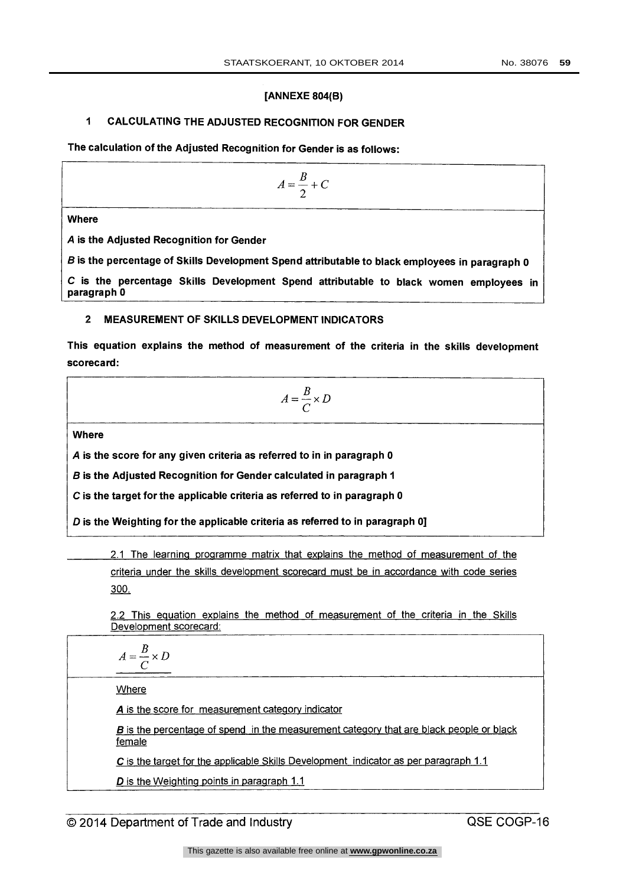## [ANNEXE 804(B)

## <sup>1</sup> CALCULATING THE ADJUSTED RECOGNITION FOR GENDER

The calculation of the Adjusted Recognition for Gender is as follows:

$$
A = \frac{B}{2} + C
$$

**Where** 

A is the Adjusted Recognition for Gender

B is the percentage of Skills Development Spend attributable to black employees in paragraph 0

C is the percentage Skills Development Spend attributable to black women employees in paragraph 0

## 2 MEASUREMENT OF SKILLS DEVELOPMENT INDICATORS

This equation explains the method of measurement of the criteria in the skills development scorecard:

$$
A = \frac{B}{C} \times D
$$

Where

A is the score for any given criteria as referred to in in paragraph 0

B is the Adjusted Recognition for Gender calculated in paragraph 1

C is the target for the applicable criteria as referred to in paragraph 0

D is the Weighting for the applicable criteria as referred to in paragraph 0]

2.1 The learning programme matrix that explains the method of measurement of the criteria under the skills development scorecard must be in accordance with code series 300.

2.2 This equation explains the method of measurement of the criteria in the Skills Development scorecard:

$$
A = \frac{B}{C} \times D
$$

<u>Where</u>

A is the score for measurement category indicator

**B** is the percentage of spend in the measurement category that are black people or black female

C is the target for the applicable Skills Development indicator as per paragraph 1.1

D is the Weighting points in paragraph 1.1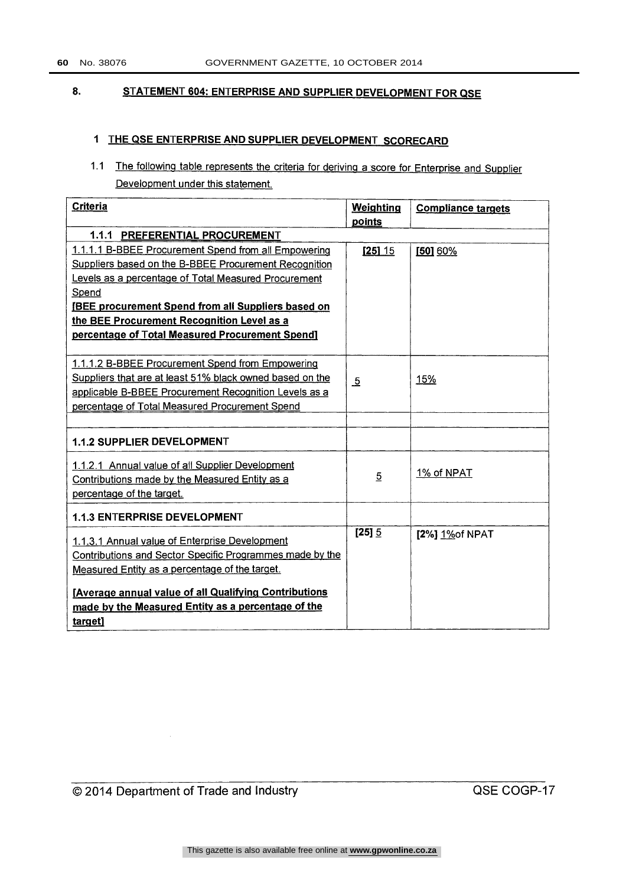## 8. STATEMENT 604: ENTERPRISE AND SUPPLIER DEVELOPMENT FOR QSE

## <sup>1</sup> THE QSE ENTERPRISE AND SUPPLIER DEVELOPMENT SCORECARD

## 1.1 The following table represents the criteria for deriving a score for Enterprise and Supplier Development under this statement.

| <b>Criteria</b>                                                                                                                                                                                                                                                                                                                              | <b>Weighting</b><br>points | <b>Compliance targets</b> |
|----------------------------------------------------------------------------------------------------------------------------------------------------------------------------------------------------------------------------------------------------------------------------------------------------------------------------------------------|----------------------------|---------------------------|
| 1.1.1 PREFERENTIAL PROCUREMENT                                                                                                                                                                                                                                                                                                               |                            |                           |
| 1.1.1.1 B-BBEE Procurement Spend from all Empowering<br>Suppliers based on the B-BBEE Procurement Recognition<br>Levels as a percentage of Total Measured Procurement<br>Spend<br><b>IBEE procurement Spend from all Suppliers based on</b><br>the BEE Procurement Recognition Level as a<br>percentage of Total Measured Procurement Spend] | $[25]$ 15                  | <b>[50] 60%</b>           |
| 1.1.1.2 B-BBEE Procurement Spend from Empowering<br>Suppliers that are at least 51% black owned based on the<br>applicable B-BBEE Procurement Recognition Levels as a<br>percentage of Total Measured Procurement Spend                                                                                                                      | $\overline{5}$             | 15%                       |
| <b>1.1.2 SUPPLIER DEVELOPMENT</b>                                                                                                                                                                                                                                                                                                            |                            |                           |
| 1.1.2.1 Annual value of all Supplier Development<br>Contributions made by the Measured Entity as a<br>percentage of the target.                                                                                                                                                                                                              | $\overline{5}$             | 1% of NPAT                |
| <b>1.1.3 ENTERPRISE DEVELOPMENT</b>                                                                                                                                                                                                                                                                                                          |                            |                           |
| 1.1.3.1 Annual value of Enterprise Development<br>Contributions and Sector Specific Programmes made by the<br>Measured Entity as a percentage of the target.<br>[Average annual value of all Qualifying Contributions<br>made by the Measured Entity as a percentage of the<br>target]                                                       | [25] 5                     | [2%] 1%of NPAT            |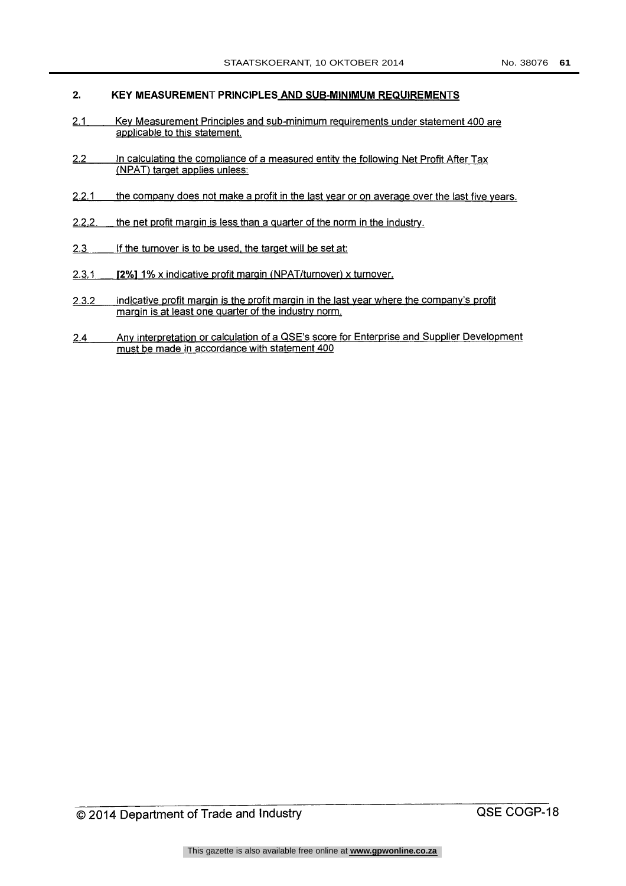## 2. KEY MEASUREMENT PRINCIPLES AND SUB-MINIMUM REQUIREMENTS

- 2.1 Key Measurement Principles and sub-minimum requirements under statement 400 are applicable to this statement.
- 2.2 In calculating the compliance of a measured entity the following Net Profit After Tax (NPAT) target applies unless:
- 2.2.1 the company does not make a profit in the last year or on average over the last five years.
- 2.2.2. the net profit margin is less than a quarter of the norm in the industry.
- 2.3 If the turnover is to be used, the target will be set at:
- 2.3.1 12%1 1% x indicative profit margin (NPAT/turnover) x turnover.
- 2.3.2 indicative profit margin is the profit margin in the last year where the company's profit margin is at least one quarter of the industry norm.
- 2.4 Any interpretation or calculation of a QSE's score for Enterprise and Supplier Development must be made in accordance with statement 400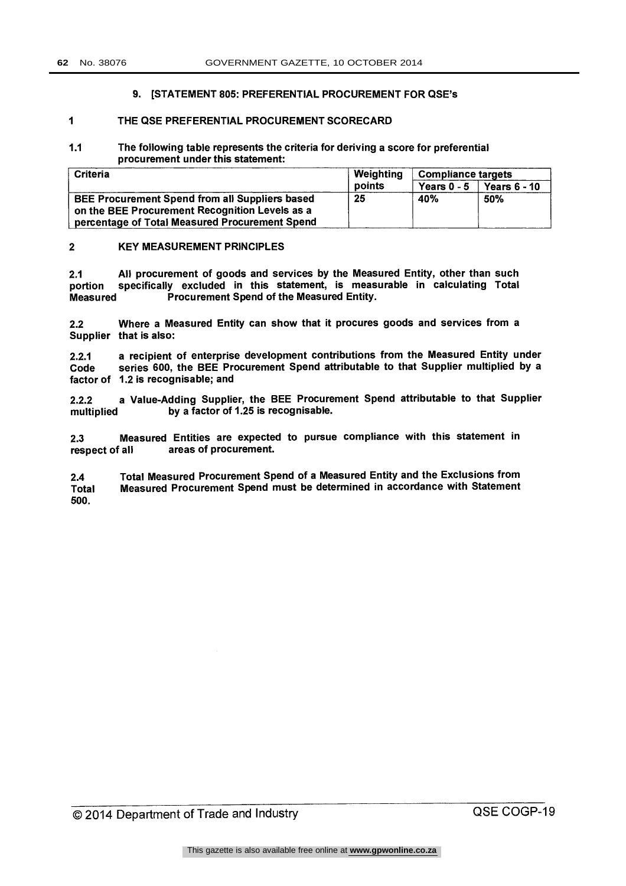## 9. [STATEMENT 805: PREFERENTIAL PROCUREMENT FOR QSE's

## <sup>1</sup> THE QSE PREFERENTIAL PROCUREMENT SCORECARD

#### 1.1 The following table represents the criteria for deriving a score for preferential procurement under this statement:

| Criteria                                       | Weighting | <b>Compliance targets</b> |                               |
|------------------------------------------------|-----------|---------------------------|-------------------------------|
|                                                | points    |                           | Years 0 - 5 $\,$ Years 6 - 10 |
| BEE Procurement Spend from all Suppliers based | 25        | 40%                       | 50%                           |
| on the BEE Procurement Recognition Levels as a |           |                           |                               |
| percentage of Total Measured Procurement Spend |           |                           |                               |

#### 2 KEY MEASUREMENT PRINCIPLES

2.1 All procurement of goods and services by the Measured Entity, other than such portion specifically excluded in this statement, is measurable in calculating Total<br>Measured Procurement Spend of the Measured Entity. Procurement Spend of the Measured Entity.

2.2 Where a Measured Entity can show that it procures goods and services from a Supplier that is also:

2.2.1 a recipient of enterprise development contributions from the Measured Entity under Code series 600, the BEE Procurement Spend attributable to that Supplier multiplied by a factor of 1.2 is recognisable; and

2.2.2 a Value-Adding Supplier, the BEE Procurement Spend attributable to that Supplier<br>multiplied by a factor of 1.25 is recognisable. by a factor of 1.25 is recognisable.

2.3 Measured Entities are expected to pursue compliance with this statement in respect of all areas of procurement. areas of procurement.

2.4 Total Measured Procurement Spend of a Measured Entity and the Exclusions from<br>Total Measured Procurement Spend must be determined in accordance with Statement Measured Procurement Spend must be determined in accordance with Statement 500.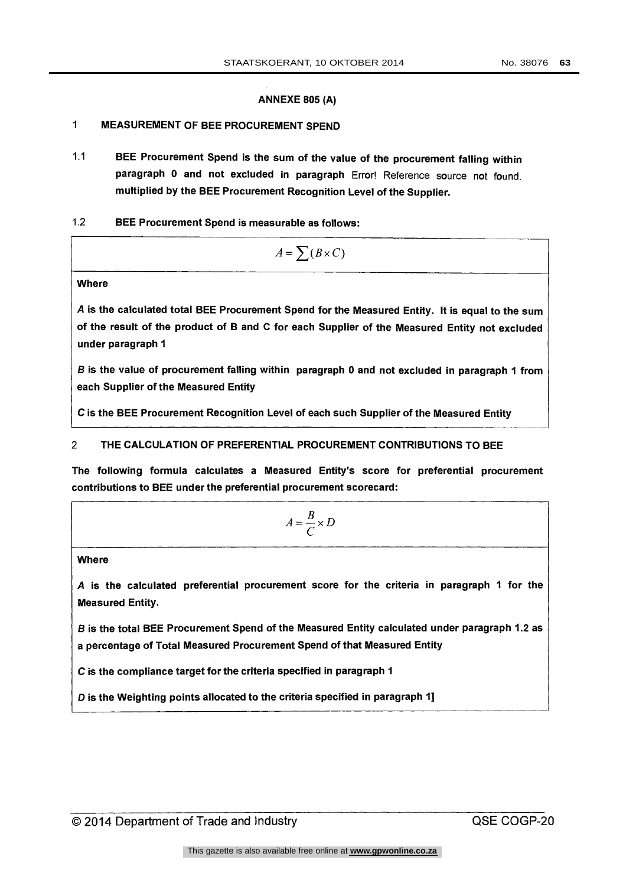## ANNEXE 805 (A)

## <sup>1</sup> MEASUREMENT OF BEE PROCUREMENT SPEND

1.1 BEE Procurement Spend is the sum of the value of the procurement falling within paragraph 0 and not excluded in paragraph Error! Reference source not found. multiplied by the BEE Procurement Recognition Level of the Supplier.

## 1.2 BEE Procurement Spend is measurable as follows:

$$
A = \sum (B \times C)
$$

## Where

A is the calculated total BEE Procurement Spend for the Measured Entity. It is equal to the sum of the result of the product of B and C for each Supplier of the Measured Entity not excluded under paragraph 1

B is the value of procurement falling within paragraph 0 and not excluded in paragraph 1 from each Supplier of the Measured Entity

C is the BEE Procurement Recognition Level of each such Supplier of the Measured Entity

## 2 THE CALCULATION OF PREFERENTIAL PROCUREMENT CONTRIBUTIONS TO BEE

The following formula calculates a Measured Entity's score for preferential procurement contributions to BEE under the preferential procurement scorecard:

$$
A = \frac{B}{C} \times D
$$

## **Where**

A is the calculated preferential procurement score for the criteria in paragraph 1 for the Measured Entity.

B is the total BEE Procurement Spend of the Measured Entity calculated under paragraph 1.2 as a percentage of Total Measured Procurement Spend of that Measured Entity

C is the compliance target for the criteria specified in paragraph 1

D is the Weighting points allocated to the criteria specified in paragraph 1]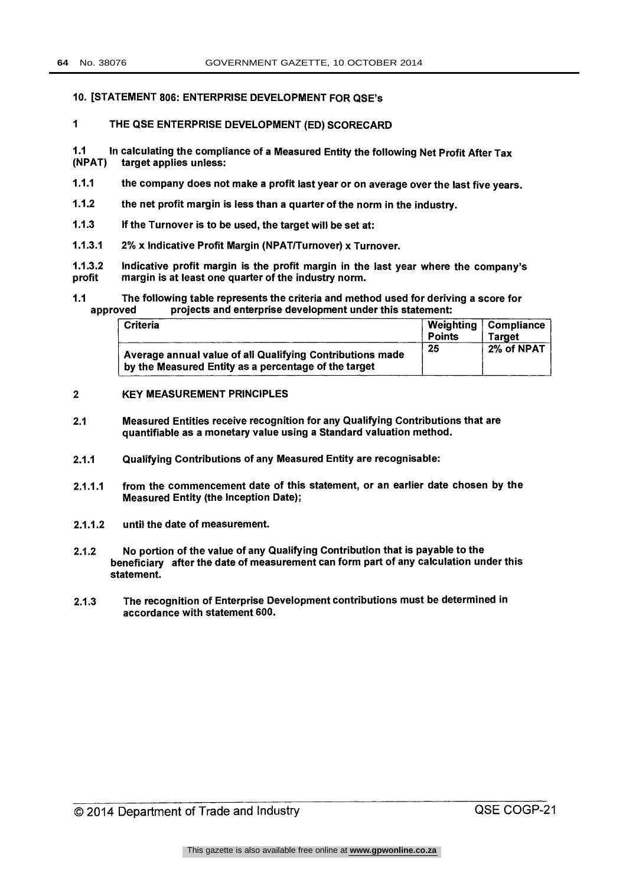## 10. [STATEMENT 806: ENTERPRISE DEVELOPMENT FOR QSE's

- <sup>1</sup> THE QSE ENTERPRISE DEVELOPMENT (ED) SCORECARD
- 1.1 In calculating the compliance of a Measured Entity the following Net Profit After Tax (NPAT) target applies unless: target applies unless:
- 1.1.1 the company does not make a profit last year or on average over the last five years.
- 1.1.2 the net profit margin is less than a quarter of the norm in the industry.
- 1.1.3 If the Turnover is to be used, the target will be set at:
- 1.1.3.1 2% x Indicative Profit Margin (NPAT/Turnover) x Turnover.
- 1.1.3.2 Indicative profit margin is the profit margin in the last year where the company's margin is at least one quarter of the industry norm.
- 1.1 The following table represents the criteria and method used for deriving a score for approved projects and enterprise development under this statement:

| Criteria                                                                                                          | Weighting<br><b>Points</b> | <b>Compliance</b><br><b>Target</b> |
|-------------------------------------------------------------------------------------------------------------------|----------------------------|------------------------------------|
| Average annual value of all Qualifying Contributions made<br>by the Measured Entity as a percentage of the target | 25                         | 2% of NPAT                         |

- 2 KEY MEASUREMENT PRINCIPLES
- 2.1 Measured Entities receive recognition for any Qualifying Contributions that are quantifiable as a monetary value using a Standard valuation method.
- 2.1.1 Qualifying Contributions of any Measured Entity are recognisable:
- 2.1.1.1 from the commencement date of this statement, or an earlier date chosen by the Measured Entity (the Inception Date);
- 2.1.1.2 until the date of measurement.
- 2.1.2 No portion of the value of any Qualifying Contribution that is payable to the beneficiary after the date of measurement can form part of any calculation under this statement.
- 2.1.3 The recognition of Enterprise Development contributions must be determined in accordance with statement 600.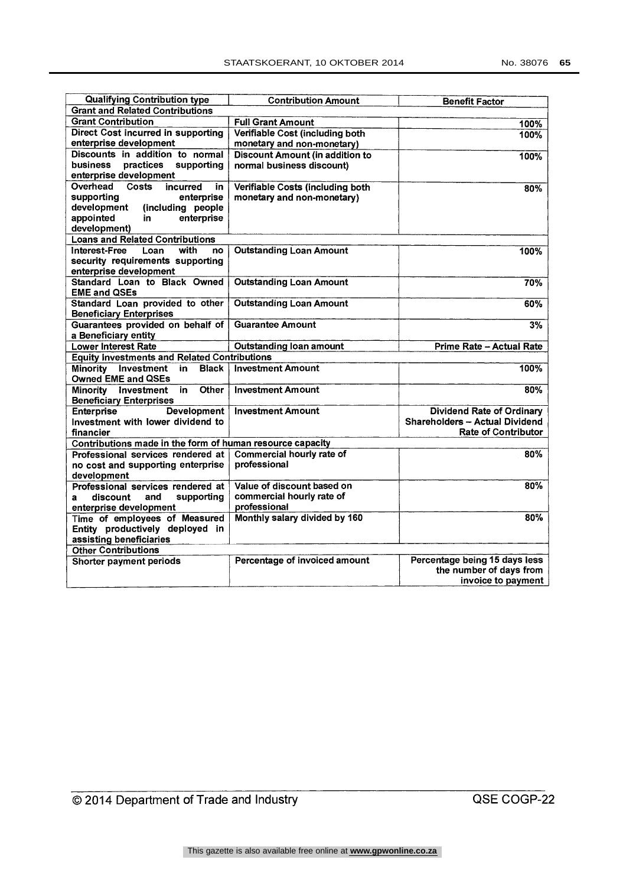| <b>Qualifying Contribution type</b>                                 | <b>Contribution Amount</b>                | <b>Benefit Factor</b>                         |
|---------------------------------------------------------------------|-------------------------------------------|-----------------------------------------------|
| <b>Grant and Related Contributions</b>                              |                                           |                                               |
| <b>Grant Contribution</b>                                           | <b>Full Grant Amount</b>                  | 100%                                          |
| <b>Direct Cost incurred in supporting</b>                           | Verifiable Cost (including both           | 100%                                          |
| enterprise development                                              | monetary and non-monetary)                |                                               |
| Discounts in addition to normal                                     | <b>Discount Amount (in addition to</b>    | 100%                                          |
| <b>business</b><br>practices<br>supporting                          | normal business discount)                 |                                               |
| enterprise development                                              |                                           |                                               |
| Overhead<br>Costs<br>incurred<br>in                                 | Verifiable Costs (including both          | 80%                                           |
| supporting<br>enterprise                                            | monetary and non-monetary)                |                                               |
| development<br>(including people                                    |                                           |                                               |
| appointed<br>enterprise<br>in                                       |                                           |                                               |
| development)                                                        |                                           |                                               |
| <b>Loans and Related Contributions</b>                              |                                           |                                               |
| Interest-Free<br>with<br>Loan<br>no                                 | <b>Outstanding Loan Amount</b>            | 100%                                          |
| security requirements supporting                                    |                                           |                                               |
| enterprise development                                              |                                           |                                               |
| Standard Loan to Black Owned                                        | <b>Outstanding Loan Amount</b>            | 70%                                           |
| <b>EME and QSEs</b>                                                 |                                           |                                               |
| Standard Loan provided to other                                     | <b>Outstanding Loan Amount</b>            | 60%                                           |
| <b>Beneficiary Enterprises</b>                                      |                                           |                                               |
| Guarantees provided on behalf of                                    | <b>Guarantee Amount</b>                   | 3%                                            |
| a Beneficiary entity                                                |                                           |                                               |
| <b>Lower Interest Rate</b>                                          | <b>Outstanding loan amount</b>            | Prime Rate - Actual Rate                      |
| <b>Equity Investments and Related Contributions</b>                 |                                           |                                               |
| Minority Investment in<br><b>Black</b><br><b>Owned EME and QSEs</b> | <b>Investment Amount</b>                  | 100%                                          |
| <b>Other</b><br>Minority Investment in                              | <b>Investment Amount</b>                  | 80%                                           |
| <b>Beneficiary Enterprises</b>                                      |                                           |                                               |
| <b>Development</b><br><b>Enterprise</b>                             | <b>Investment Amount</b>                  | <b>Dividend Rate of Ordinary</b>              |
| Investment with lower dividend to                                   |                                           | Shareholders - Actual Dividend                |
| financier                                                           |                                           | <b>Rate of Contributor</b>                    |
| Contributions made in the form of human resource capacity           |                                           |                                               |
| Professional services rendered at                                   | Commercial hourly rate of                 | 80%                                           |
| no cost and supporting enterprise                                   | professional                              |                                               |
| development                                                         |                                           |                                               |
|                                                                     |                                           |                                               |
|                                                                     |                                           |                                               |
| Professional services rendered at                                   | Value of discount based on                | 80%                                           |
| discount<br>and<br>supporting<br>a                                  | commercial hourly rate of<br>professional |                                               |
| enterprise development                                              |                                           | 80%                                           |
| Time of employees of Measured                                       | Monthly salary divided by 160             |                                               |
| Entity productively deployed in                                     |                                           |                                               |
| assisting beneficiaries<br><b>Other Contributions</b>               |                                           |                                               |
| Shorter payment periods                                             | Percentage of invoiced amount             | Percentage being 15 days less                 |
|                                                                     |                                           | the number of days from<br>invoice to payment |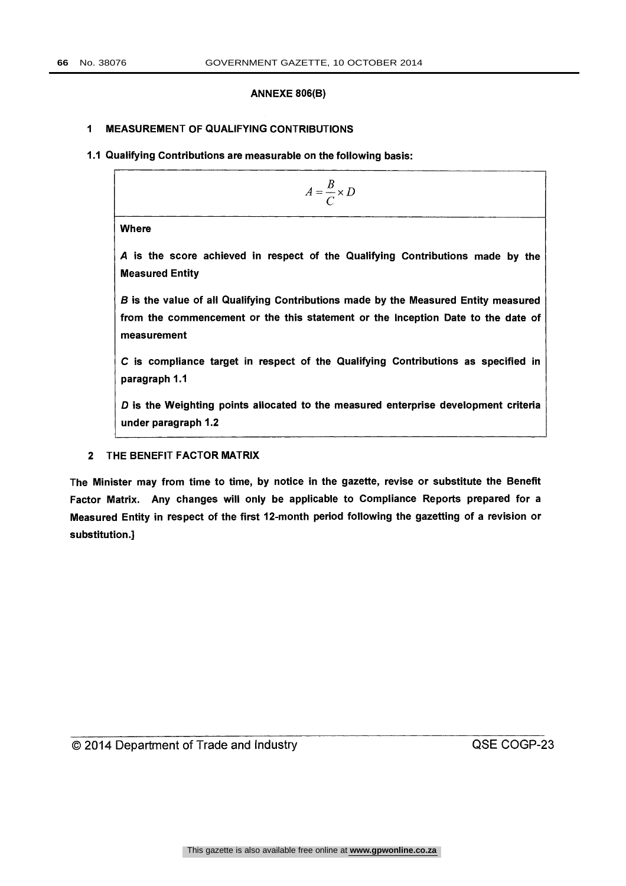## ANNEXE 806(B)

## <sup>1</sup> MEASUREMENT OF QUALIFYING CONTRIBUTIONS

## 1.1 Qualifying Contributions are measurable on the following basis:

$$
A = \frac{B}{C} \times D
$$

**Where** 

A is the score achieved in respect of the Qualifying Contributions made by the Measured Entity

B is the value of all Qualifying Contributions made by the Measured Entity measured from the commencement or the this statement or the Inception Date to the date of measurement

C is compliance target in respect of the Qualifying Contributions as specified in paragraph 1.1

D is the Weighting points allocated to the measured enterprise development criteria under paragraph 1.2

## 2 THE BENEFIT FACTOR MATRIX

The Minister may from time to time, by notice in the gazette, revise or substitute the Benefit Factor Matrix. Any changes will only be applicable to Compliance Reports prepared for a Measured Entity in respect of the first 12-month period following the gazetting of a revision or substitution.]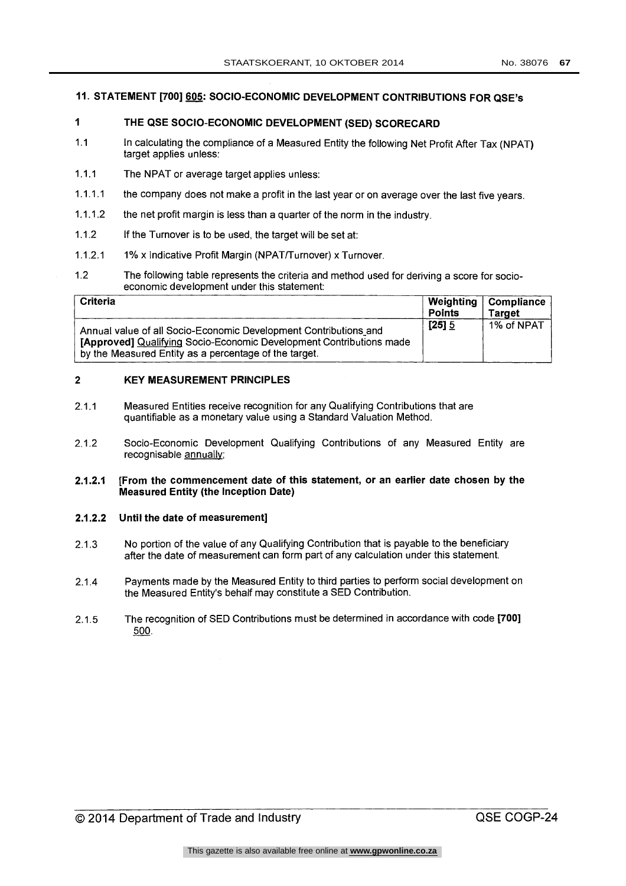## 11. STATEMENT [700] 605: SOCIO-ECONOMIC DEVELOPMENT CONTRIBUTIONS FOR QSE's

## <sup>1</sup> THE QSE SOCIO-ECONOMIC DEVELOPMENT (SED) SCORECARD

- 1.1 In calculating the compliance of a Measured Entity the following Net Profit After Tax (NPAT) target applies unless:
- 1.1.1 The NPAT or average target applies unless:
- 1.1.1.1 the company does not make a profit in the last year or on average over the last five years.
- 1.1.1.2 the net profit margin is less than a quarter of the norm in the industry.
- 1.1.2 If the Turnover is to be used, the target will be set at:
- 1.1.2.1 1% x Indicative Profit Margin (NPAT/Turnover) x Turnover.
- 1.2 The following table represents the criteria and method used for deriving a score for socioeconomic development under this statement:

| Criteria                                                                                                                                                                                                | Weighting<br><b>Points</b> | $\mid$ Compliance<br><b>Target</b> |
|---------------------------------------------------------------------------------------------------------------------------------------------------------------------------------------------------------|----------------------------|------------------------------------|
| Annual value of all Socio-Economic Development Contributions and<br><b>[Approved]</b> Qualifying Socio-Economic Development Contributions made<br>by the Measured Entity as a percentage of the target. | [25] 5                     | 1% of NPAT                         |

## 2 KEY MEASUREMENT PRINCIPLES

- 2.1.1 Measured Entities receive recognition for any Qualifying Contributions that are quantifiable as a monetary value using a Standard Valuation Method.
- 2.1.2 Socio-Economic Development Qualifying Contributions of any Measured Entity are recognisable annually;

## 2.1.2.1 [From the commencement date of this statement, or an earlier date chosen by the Measured Entity (the Inception Date)

#### 2.1.2.2 Until the date of measurement]

- 2.1.3 No portion of the value of any Qualifying Contribution that is payable to the beneficiary after the date of measurement can form part of any calculation under this statement.
- 2.1.4 Payments made by the Measured Entity to third parties to perform social development on the Measured Entity's behalf may constitute a SED Contribution.
- 2.1.5 The recognition of SED Contributions must be determined in accordance with code [700] 500.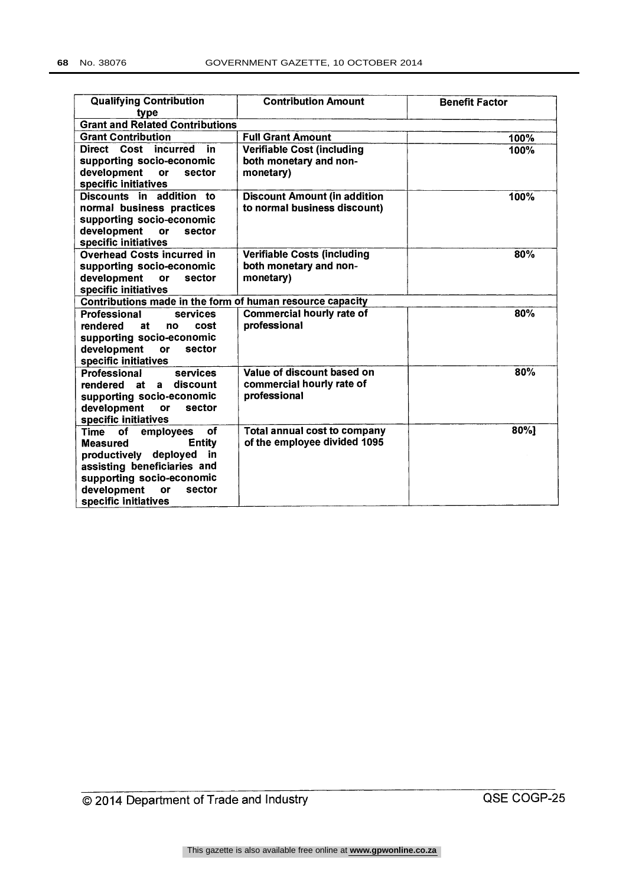| <b>Qualifying Contribution</b>                            | <b>Contribution Amount</b>          | <b>Benefit Factor</b> |
|-----------------------------------------------------------|-------------------------------------|-----------------------|
| type<br><b>Grant and Related Contributions</b>            |                                     |                       |
| <b>Grant Contribution</b>                                 | <b>Full Grant Amount</b>            | 100%                  |
| Direct Cost incurred<br>in                                | <b>Verifiable Cost (including</b>   | 100%                  |
| supporting socio-economic                                 | both monetary and non-              |                       |
| development<br><b>or</b><br>sector                        | monetary)                           |                       |
| specific initiatives                                      |                                     |                       |
| Discounts in addition to                                  | <b>Discount Amount (in addition</b> | 100%                  |
| normal business practices                                 | to normal business discount)        |                       |
| supporting socio-economic                                 |                                     |                       |
| development<br>sector<br><b>or</b>                        |                                     |                       |
| specific initiatives                                      |                                     |                       |
| <b>Overhead Costs incurred in</b>                         | <b>Verifiable Costs (including</b>  | 80%                   |
| supporting socio-economic                                 | both monetary and non-              |                       |
| development<br>sector<br>or                               | monetary)                           |                       |
| specific initiatives                                      |                                     |                       |
| Contributions made in the form of human resource capacity |                                     |                       |
| Professional<br>services                                  | <b>Commercial hourly rate of</b>    | 80%                   |
| rendered<br>at<br>cost<br>no                              | professional                        |                       |
| supporting socio-economic                                 |                                     |                       |
| development<br>sector<br>or                               |                                     |                       |
| specific initiatives                                      |                                     |                       |
| Professional<br>services                                  | Value of discount based on          | 80%                   |
| discount<br>rendered at<br>$\mathbf{a}$                   | commercial hourly rate of           |                       |
| supporting socio-economic                                 | professional                        |                       |
| development<br>or<br>sector                               |                                     |                       |
| specific initiatives<br>οf                                | <b>Total annual cost to company</b> | 80%]                  |
| Time<br>of<br>employees<br>Entity<br><b>Measured</b>      | of the employee divided 1095        |                       |
| productively deployed<br>in                               |                                     |                       |
| assisting beneficiaries and                               |                                     |                       |
| supporting socio-economic                                 |                                     |                       |
| development<br>sector<br>or                               |                                     |                       |
| specific initiatives                                      |                                     |                       |
|                                                           |                                     |                       |